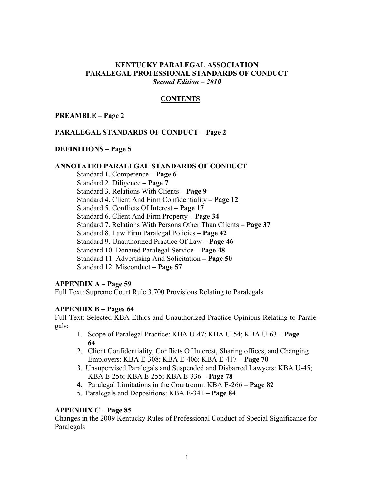#### **KENTUCKY PARALEGAL ASSOCIATION PARALEGAL PROFESSIONAL STANDARDS OF CONDUCT** *Second Edition – 2010*

## **CONTENTS**

## **PREAMBLE – Page 2**

## **PARALEGAL STANDARDS OF CONDUCT – Page 2**

## **DEFINITIONS – Page 5**

#### **ANNOTATED PARALEGAL STANDARDS OF CONDUCT**

Standard 1. Competence **– Page 6** Standard 2. Diligence **– Page 7** Standard 3. Relations With Clients **– Page 9** Standard 4. Client And Firm Confidentiality **– Page 12** Standard 5. Conflicts Of Interest **– Page 17** Standard 6. Client And Firm Property **– Page 34** Standard 7. Relations With Persons Other Than Clients **– Page 37** Standard 8. Law Firm Paralegal Policies **– Page 42** Standard 9. Unauthorized Practice Of Law **– Page 46** Standard 10. Donated Paralegal Service **– Page 48** Standard 11. Advertising And Solicitation **– Page 50** Standard 12. Misconduct **– Page 57**

## **APPENDIX A – Page 59**

Full Text: Supreme Court Rule 3.700 Provisions Relating to Paralegals

## **APPENDIX B – Pages 64**

Full Text: Selected KBA Ethics and Unauthorized Practice Opinions Relating to Paralegals:

- 1. Scope of Paralegal Practice: KBA U-47; KBA U-54; KBA U-63  **Page 64**
- 2. Client Confidentiality, Conflicts Of Interest, Sharing offices, and Changing Employers: KBA E-308; KBA E-406; KBA E-417 **– Page 70**
- 3. Unsupervised Paralegals and Suspended and Disbarred Lawyers: KBA U-45; KBA E-256; KBA E-255; KBA E-336 **– Page 78**
- 4. Paralegal Limitations in the Courtroom: KBA E-266  **Page 82**
- 5. Paralegals and Depositions: KBA E-341  **Page 84**

## **APPENDIX C – Page 85**

Changes in the 2009 Kentucky Rules of Professional Conduct of Special Significance for Paralegals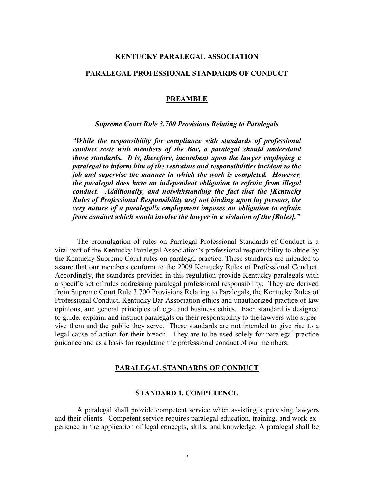#### **KENTUCKY PARALEGAL ASSOCIATION**

#### **PARALEGAL PROFESSIONAL STANDARDS OF CONDUCT**

#### **PREAMBLE**

#### *Supreme Court Rule 3.700 Provisions Relating to Paralegals*

*"While the responsibility for compliance with standards of professional conduct rests with members of the Bar, a paralegal should understand those standards. It is, therefore, incumbent upon the lawyer employing a paralegal to inform him of the restraints and responsibilities incident to the job and supervise the manner in which the work is completed. However, the paralegal does have an independent obligation to refrain from illegal conduct. Additionally, and notwithstanding the fact that the [Kentucky Rules of Professional Responsibility are] not binding upon lay persons, the very nature of a paralegal's employment imposes an obligation to refrain from conduct which would involve the lawyer in a violation of the [Rules]."*

The promulgation of rules on Paralegal Professional Standards of Conduct is a vital part of the Kentucky Paralegal Association's professional responsibility to abide by the Kentucky Supreme Court rules on paralegal practice. These standards are intended to assure that our members conform to the 2009 Kentucky Rules of Professional Conduct. Accordingly, the standards provided in this regulation provide Kentucky paralegals with a specific set of rules addressing paralegal professional responsibility. They are derived from Supreme Court Rule 3.700 Provisions Relating to Paralegals, the Kentucky Rules of Professional Conduct, Kentucky Bar Association ethics and unauthorized practice of law opinions, and general principles of legal and business ethics. Each standard is designed to guide, explain, and instruct paralegals on their responsibility to the lawyers who supervise them and the public they serve. These standards are not intended to give rise to a legal cause of action for their breach. They are to be used solely for paralegal practice guidance and as a basis for regulating the professional conduct of our members.

#### **PARALEGAL STANDARDS OF CONDUCT**

#### **STANDARD 1. COMPETENCE**

A paralegal shall provide competent service when assisting supervising lawyers and their clients. Competent service requires paralegal education, training, and work experience in the application of legal concepts, skills, and knowledge. A paralegal shall be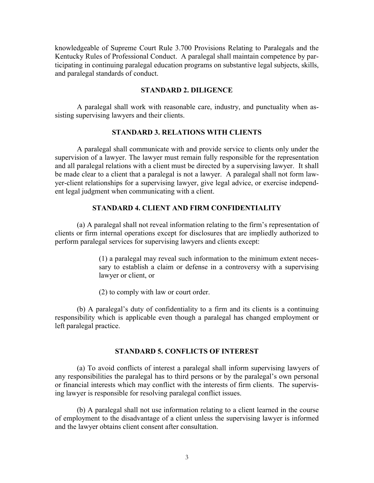knowledgeable of Supreme Court Rule 3.700 Provisions Relating to Paralegals and the Kentucky Rules of Professional Conduct. A paralegal shall maintain competence by participating in continuing paralegal education programs on substantive legal subjects, skills, and paralegal standards of conduct.

#### **STANDARD 2. DILIGENCE**

A paralegal shall work with reasonable care, industry, and punctuality when assisting supervising lawyers and their clients.

#### **STANDARD 3. RELATIONS WITH CLIENTS**

A paralegal shall communicate with and provide service to clients only under the supervision of a lawyer. The lawyer must remain fully responsible for the representation and all paralegal relations with a client must be directed by a supervising lawyer. It shall be made clear to a client that a paralegal is not a lawyer. A paralegal shall not form lawyer-client relationships for a supervising lawyer, give legal advice, or exercise independent legal judgment when communicating with a client.

#### **STANDARD 4. CLIENT AND FIRM CONFIDENTIALITY**

(a) A paralegal shall not reveal information relating to the firm's representation of clients or firm internal operations except for disclosures that are impliedly authorized to perform paralegal services for supervising lawyers and clients except:

> (1) a paralegal may reveal such information to the minimum extent necessary to establish a claim or defense in a controversy with a supervising lawyer or client, or

(2) to comply with law or court order.

(b) A paralegal's duty of confidentiality to a firm and its clients is a continuing responsibility which is applicable even though a paralegal has changed employment or left paralegal practice.

#### **STANDARD 5. CONFLICTS OF INTEREST**

(a) To avoid conflicts of interest a paralegal shall inform supervising lawyers of any responsibilities the paralegal has to third persons or by the paralegal's own personal or financial interests which may conflict with the interests of firm clients. The supervising lawyer is responsible for resolving paralegal conflict issues.

(b) A paralegal shall not use information relating to a client learned in the course of employment to the disadvantage of a client unless the supervising lawyer is informed and the lawyer obtains client consent after consultation.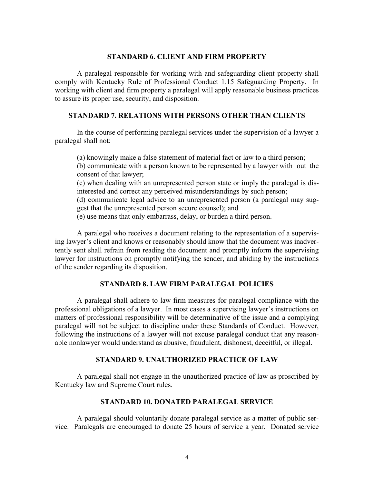#### **STANDARD 6. CLIENT AND FIRM PROPERTY**

A paralegal responsible for working with and safeguarding client property shall comply with Kentucky Rule of Professional Conduct 1.15 Safeguarding Property. In working with client and firm property a paralegal will apply reasonable business practices to assure its proper use, security, and disposition.

#### **STANDARD 7. RELATIONS WITH PERSONS OTHER THAN CLIENTS**

In the course of performing paralegal services under the supervision of a lawyer a paralegal shall not:

(a) knowingly make a false statement of material fact or law to a third person;

(b) communicate with a person known to be represented by a lawyer with out the consent of that lawyer;

(c) when dealing with an unrepresented person state or imply the paralegal is disinterested and correct any perceived misunderstandings by such person;

(d) communicate legal advice to an unrepresented person (a paralegal may suggest that the unrepresented person secure counsel); and

(e) use means that only embarrass, delay, or burden a third person.

A paralegal who receives a document relating to the representation of a supervising lawyer's client and knows or reasonably should know that the document was inadvertently sent shall refrain from reading the document and promptly inform the supervising lawyer for instructions on promptly notifying the sender, and abiding by the instructions of the sender regarding its disposition.

#### **STANDARD 8. LAW FIRM PARALEGAL POLICIES**

A paralegal shall adhere to law firm measures for paralegal compliance with the professional obligations of a lawyer. In most cases a supervising lawyer's instructions on matters of professional responsibility will be determinative of the issue and a complying paralegal will not be subject to discipline under these Standards of Conduct. However, following the instructions of a lawyer will not excuse paralegal conduct that any reasonable nonlawyer would understand as abusive, fraudulent, dishonest, deceitful, or illegal.

#### **STANDARD 9. UNAUTHORIZED PRACTICE OF LAW**

A paralegal shall not engage in the unauthorized practice of law as proscribed by Kentucky law and Supreme Court rules.

#### **STANDARD 10. DONATED PARALEGAL SERVICE**

A paralegal should voluntarily donate paralegal service as a matter of public service. Paralegals are encouraged to donate 25 hours of service a year. Donated service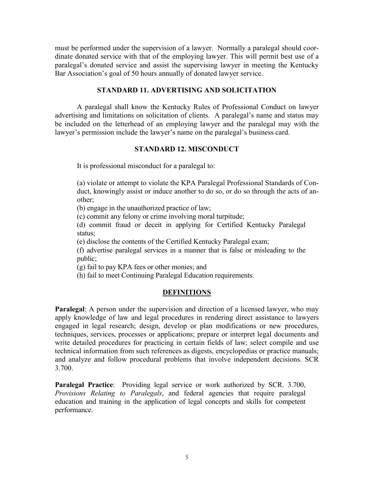must be performed under the supervision of a lawyer. Normally a paralegal should coordinate donated service with that of the employing lawyer. This will permit best use of a paralegal's donated service and assist the supervising lawyer in meeting the Kentucky Bar Association's goal of 50 hours annually of donated lawyer service.

#### **STANDARD 11. ADVERTISING AND SOLICITATION**

A paralegal shall know the Kentucky Rules of Professional Conduct on lawyer advertising and limitations on solicitation of clients. A paralegal's name and status may be included on the letterhead of an employing lawyer and the paralegal may with the lawyer's permission include the lawyer's name on the paralegal's business card.

#### **STANDARD 12. MISCONDUCT**

It is professional misconduct for a paralegal to:

(a) violate or attempt to violate the KPA Paralegal Professional Standards of Conduct, knowingly assist or induce another to do so, or do so through the acts of another;

(b) engage in the unauthorized practice of law;

(c) commit any felony or crime involving moral turpitude;

(d) commit fraud or deceit in applying for Certified Kentucky Paralegal status;

(e) disclose the contents of the Certified Kentucky Paralegal exam;

(f) advertise paralegal services in a manner that is false or misleading to the public;

(g) fail to pay KPA fees or other monies; and

(h) fail to meet Continuing Paralegal Education requirements.

#### **DEFINITIONS**

**Paralegal**: A person under the supervision and direction of a licensed lawyer, who may apply knowledge of law and legal procedures in rendering direct assistance to lawyers engaged in legal research; design, develop or plan modifications or new procedures, techniques, services, processes or applications; prepare or interpret legal documents and write detailed procedures for practicing in certain fields of law; select compile and use technical information from such references as digests, encyclopedias or practice manuals; and analyze and follow procedural problems that involve independent decisions. SCR 3.700.

**Paralegal Practice**: Providing legal service or work authorized by SCR. 3.700, *Provisions Relating to Paralegals*, and federal agencies that require paralegal education and training in the application of legal concepts and skills for competent performance.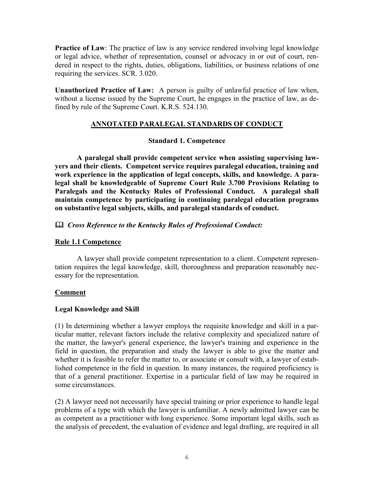**Practice of Law**: The practice of law is any service rendered involving legal knowledge or legal advice, whether of representation, counsel or advocacy in or out of court, rendered in respect to the rights, duties, obligations, liabilities, or business relations of one requiring the services. SCR. 3.020.

**Unauthorized Practice of Law:** A person is guilty of unlawful practice of law when, without a license issued by the Supreme Court, he engages in the practice of law, as defined by rule of the Supreme Court. K.R.S. 524.130.

## **ANNOTATED PARALEGAL STANDARDS OF CONDUCT**

#### **Standard 1. Competence**

**A paralegal shall provide competent service when assisting supervising lawyers and their clients. Competent service requires paralegal education, training and work experience in the application of legal concepts, skills, and knowledge. A paralegal shall be knowledgeable of Supreme Court Rule 3.700 Provisions Relating to Paralegals and the Kentucky Rules of Professional Conduct. A paralegal shall maintain competence by participating in continuing paralegal education programs on substantive legal subjects, skills, and paralegal standards of conduct.** 

*Cross Reference to the Kentucky Rules of Professional Conduct:*

#### **Rule 1.1 Competence**

A lawyer shall provide competent representation to a client. Competent representation requires the legal knowledge, skill, thoroughness and preparation reasonably necessary for the representation.

#### **Comment**

## **Legal Knowledge and Skill**

(1) In determining whether a lawyer employs the requisite knowledge and skill in a particular matter, relevant factors include the relative complexity and specialized nature of the matter, the lawyer's general experience, the lawyer's training and experience in the field in question, the preparation and study the lawyer is able to give the matter and whether it is feasible to refer the matter to, or associate or consult with, a lawyer of established competence in the field in question. In many instances, the required proficiency is that of a general practitioner. Expertise in a particular field of law may be required in some circumstances.

(2) A lawyer need not necessarily have special training or prior experience to handle legal problems of a type with which the lawyer is unfamiliar. A newly admitted lawyer can be as competent as a practitioner with long experience. Some important legal skills, such as the analysis of precedent, the evaluation of evidence and legal drafting, are required in all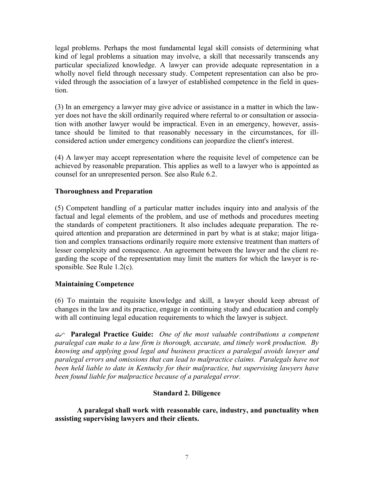legal problems. Perhaps the most fundamental legal skill consists of determining what kind of legal problems a situation may involve, a skill that necessarily transcends any particular specialized knowledge. A lawyer can provide adequate representation in a wholly novel field through necessary study. Competent representation can also be provided through the association of a lawyer of established competence in the field in question.

(3) In an emergency a lawyer may give advice or assistance in a matter in which the lawyer does not have the skill ordinarily required where referral to or consultation or association with another lawyer would be impractical. Even in an emergency, however, assistance should be limited to that reasonably necessary in the circumstances, for illconsidered action under emergency conditions can jeopardize the client's interest.

(4) A lawyer may accept representation where the requisite level of competence can be achieved by reasonable preparation. This applies as well to a lawyer who is appointed as counsel for an unrepresented person. See also Rule 6.2.

## **Thoroughness and Preparation**

(5) Competent handling of a particular matter includes inquiry into and analysis of the factual and legal elements of the problem, and use of methods and procedures meeting the standards of competent practitioners. It also includes adequate preparation. The required attention and preparation are determined in part by what is at stake; major litigation and complex transactions ordinarily require more extensive treatment than matters of lesser complexity and consequence. An agreement between the lawyer and the client regarding the scope of the representation may limit the matters for which the lawyer is responsible. See Rule 1.2(c).

## **Maintaining Competence**

(6) To maintain the requisite knowledge and skill, a lawyer should keep abreast of changes in the law and its practice, engage in continuing study and education and comply with all continuing legal education requirements to which the lawyer is subject.

 **Paralegal Practice Guide:** *One of the most valuable contributions a competent paralegal can make to a law firm is thorough, accurate, and timely work production. By knowing and applying good legal and business practices a paralegal avoids lawyer and paralegal errors and omissions that can lead to malpractice claims. Paralegals have not been held liable to date in Kentucky for their malpractice, but supervising lawyers have been found liable for malpractice because of a paralegal error.*

## **Standard 2. Diligence**

**A paralegal shall work with reasonable care, industry, and punctuality when assisting supervising lawyers and their clients.**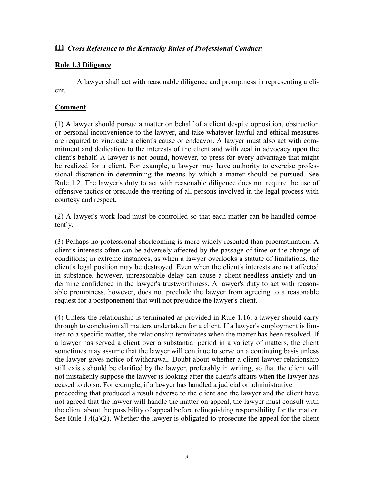# *Cross Reference to the Kentucky Rules of Professional Conduct:*

### **Rule 1.3 Diligence**

A lawyer shall act with reasonable diligence and promptness in representing a client.

### **Comment**

(1) A lawyer should pursue a matter on behalf of a client despite opposition, obstruction or personal inconvenience to the lawyer, and take whatever lawful and ethical measures are required to vindicate a client's cause or endeavor. A lawyer must also act with commitment and dedication to the interests of the client and with zeal in advocacy upon the client's behalf. A lawyer is not bound, however, to press for every advantage that might be realized for a client. For example, a lawyer may have authority to exercise professional discretion in determining the means by which a matter should be pursued. See Rule 1.2. The lawyer's duty to act with reasonable diligence does not require the use of offensive tactics or preclude the treating of all persons involved in the legal process with courtesy and respect.

(2) A lawyer's work load must be controlled so that each matter can be handled competently.

(3) Perhaps no professional shortcoming is more widely resented than procrastination. A client's interests often can be adversely affected by the passage of time or the change of conditions; in extreme instances, as when a lawyer overlooks a statute of limitations, the client's legal position may be destroyed. Even when the client's interests are not affected in substance, however, unreasonable delay can cause a client needless anxiety and undermine confidence in the lawyer's trustworthiness. A lawyer's duty to act with reasonable promptness, however, does not preclude the lawyer from agreeing to a reasonable request for a postponement that will not prejudice the lawyer's client.

(4) Unless the relationship is terminated as provided in Rule 1.16, a lawyer should carry through to conclusion all matters undertaken for a client. If a lawyer's employment is limited to a specific matter, the relationship terminates when the matter has been resolved. If a lawyer has served a client over a substantial period in a variety of matters, the client sometimes may assume that the lawyer will continue to serve on a continuing basis unless the lawyer gives notice of withdrawal. Doubt about whether a client-lawyer relationship still exists should be clarified by the lawyer, preferably in writing, so that the client will not mistakenly suppose the lawyer is looking after the client's affairs when the lawyer has ceased to do so. For example, if a lawyer has handled a judicial or administrative proceeding that produced a result adverse to the client and the lawyer and the client have not agreed that the lawyer will handle the matter on appeal, the lawyer must consult with the client about the possibility of appeal before relinquishing responsibility for the matter. See Rule 1.4(a)(2). Whether the lawyer is obligated to prosecute the appeal for the client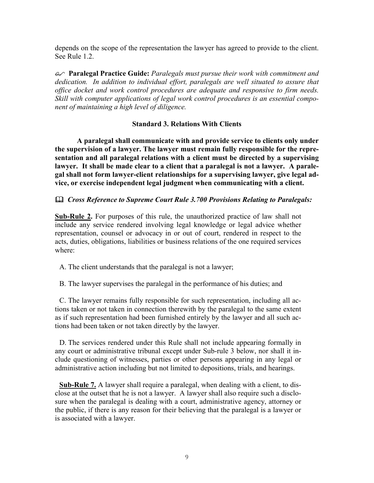depends on the scope of the representation the lawyer has agreed to provide to the client. See Rule 1.2.

 **Paralegal Practice Guide:** *Paralegals must pursue their work with commitment and*  dedication. In addition to individual effort, paralegals are well situated to assure that *office docket and work control procedures are adequate and responsive to firm needs. Skill with computer applications of legal work control procedures is an essential component of maintaining a high level of diligence.*

## **Standard 3. Relations With Clients**

**A paralegal shall communicate with and provide service to clients only under the supervision of a lawyer. The lawyer must remain fully responsible for the representation and all paralegal relations with a client must be directed by a supervising**  lawyer. It shall be made clear to a client that a paralegal is not a lawyer. A parale**gal shall not form lawyer-client relationships for a supervising lawyer, give legal advice, or exercise independent legal judgment when communicating with a client.**

#### *Cross Reference to Supreme Court Rule 3.700 Provisions Relating to Paralegals:*

**Sub-Rule 2.** For purposes of this rule, the unauthorized practice of law shall not include any service rendered involving legal knowledge or legal advice whether representation, counsel or advocacy in or out of court, rendered in respect to the acts, duties, obligations, liabilities or business relations of the one required services where:

A. The client understands that the paralegal is not a lawyer;

B. The lawyer supervises the paralegal in the performance of his duties; and

C. The lawyer remains fully responsible for such representation, including all actions taken or not taken in connection therewith by the paralegal to the same extent as if such representation had been furnished entirely by the lawyer and all such actions had been taken or not taken directly by the lawyer.

D. The services rendered under this Rule shall not include appearing formally in any court or administrative tribunal except under Sub-rule 3 below, nor shall it include questioning of witnesses, parties or other persons appearing in any legal or administrative action including but not limited to depositions, trials, and hearings.

**Sub-Rule 7.** A lawyer shall require a paralegal, when dealing with a client, to disclose at the outset that he is not a lawyer. A lawyer shall also require such a disclosure when the paralegal is dealing with a court, administrative agency, attorney or the public, if there is any reason for their believing that the paralegal is a lawyer or is associated with a lawyer.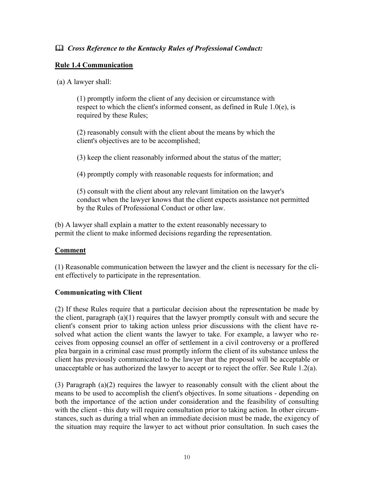# *Cross Reference to the Kentucky Rules of Professional Conduct:*

## **Rule 1.4 Communication**

(a) A lawyer shall:

(1) promptly inform the client of any decision or circumstance with respect to which the client's informed consent, as defined in Rule 1.0(e), is required by these Rules;

(2) reasonably consult with the client about the means by which the client's objectives are to be accomplished;

(3) keep the client reasonably informed about the status of the matter;

(4) promptly comply with reasonable requests for information; and

(5) consult with the client about any relevant limitation on the lawyer's conduct when the lawyer knows that the client expects assistance not permitted by the Rules of Professional Conduct or other law.

(b) A lawyer shall explain a matter to the extent reasonably necessary to permit the client to make informed decisions regarding the representation.

## **Comment**

(1) Reasonable communication between the lawyer and the client is necessary for the client effectively to participate in the representation.

## **Communicating with Client**

(2) If these Rules require that a particular decision about the representation be made by the client, paragraph (a)(1) requires that the lawyer promptly consult with and secure the client's consent prior to taking action unless prior discussions with the client have resolved what action the client wants the lawyer to take. For example, a lawyer who receives from opposing counsel an offer of settlement in a civil controversy or a proffered plea bargain in a criminal case must promptly inform the client of its substance unless the client has previously communicated to the lawyer that the proposal will be acceptable or unacceptable or has authorized the lawyer to accept or to reject the offer. See Rule 1.2(a).

(3) Paragraph (a)(2) requires the lawyer to reasonably consult with the client about the means to be used to accomplish the client's objectives. In some situations - depending on both the importance of the action under consideration and the feasibility of consulting with the client - this duty will require consultation prior to taking action. In other circumstances, such as during a trial when an immediate decision must be made, the exigency of the situation may require the lawyer to act without prior consultation. In such cases the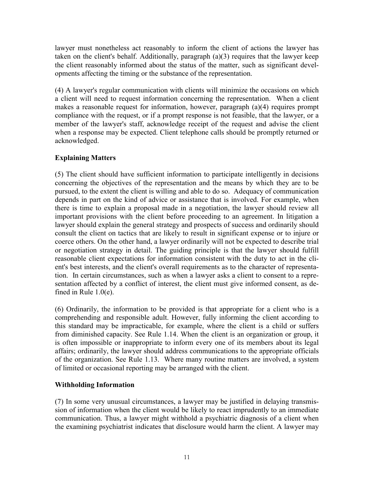lawyer must nonetheless act reasonably to inform the client of actions the lawyer has taken on the client's behalf. Additionally, paragraph (a)(3) requires that the lawyer keep the client reasonably informed about the status of the matter, such as significant developments affecting the timing or the substance of the representation.

(4) A lawyer's regular communication with clients will minimize the occasions on which a client will need to request information concerning the representation. When a client makes a reasonable request for information, however, paragraph (a)(4) requires prompt compliance with the request, or if a prompt response is not feasible, that the lawyer, or a member of the lawyer's staff, acknowledge receipt of the request and advise the client when a response may be expected. Client telephone calls should be promptly returned or acknowledged.

# **Explaining Matters**

(5) The client should have sufficient information to participate intelligently in decisions concerning the objectives of the representation and the means by which they are to be pursued, to the extent the client is willing and able to do so. Adequacy of communication depends in part on the kind of advice or assistance that is involved. For example, when there is time to explain a proposal made in a negotiation, the lawyer should review all important provisions with the client before proceeding to an agreement. In litigation a lawyer should explain the general strategy and prospects of success and ordinarily should consult the client on tactics that are likely to result in significant expense or to injure or coerce others. On the other hand, a lawyer ordinarily will not be expected to describe trial or negotiation strategy in detail. The guiding principle is that the lawyer should fulfill reasonable client expectations for information consistent with the duty to act in the client's best interests, and the client's overall requirements as to the character of representation. In certain circumstances, such as when a lawyer asks a client to consent to a representation affected by a conflict of interest, the client must give informed consent, as defined in Rule 1.0(e).

(6) Ordinarily, the information to be provided is that appropriate for a client who is a comprehending and responsible adult. However, fully informing the client according to this standard may be impracticable, for example, where the client is a child or suffers from diminished capacity. See Rule 1.14. When the client is an organization or group, it is often impossible or inappropriate to inform every one of its members about its legal affairs; ordinarily, the lawyer should address communications to the appropriate officials of the organization. See Rule 1.13. Where many routine matters are involved, a system of limited or occasional reporting may be arranged with the client.

# **Withholding Information**

(7) In some very unusual circumstances, a lawyer may be justified in delaying transmission of information when the client would be likely to react imprudently to an immediate communication. Thus, a lawyer might withhold a psychiatric diagnosis of a client when the examining psychiatrist indicates that disclosure would harm the client. A lawyer may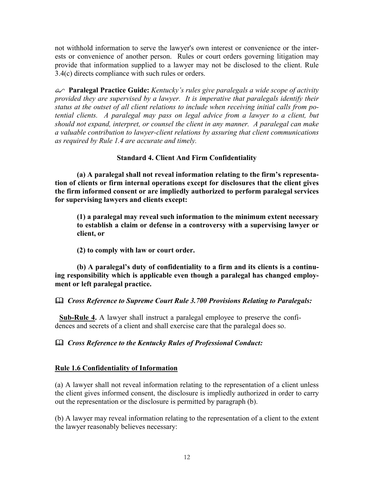not withhold information to serve the lawyer's own interest or convenience or the interests or convenience of another person. Rules or court orders governing litigation may provide that information supplied to a lawyer may not be disclosed to the client. Rule 3.4(c) directs compliance with such rules or orders.

 **Paralegal Practice Guide:** *Kentucky's rules give paralegals a wide scope of activity provided they are supervised by a lawyer. It is imperative that paralegals identify their status at the outset of all client relations to include when receiving initial calls from potential clients. A paralegal may pass on legal advice from a lawyer to a client, but should not expand, interpret, or counsel the client in any manner. A paralegal can make a valuable contribution to lawyer-client relations by assuring that client communications as required by Rule 1.4 are accurate and timely.*

# **Standard 4. Client And Firm Confidentiality**

**(a) A paralegal shall not reveal information relating to the firm's representation of clients or firm internal operations except for disclosures that the client gives the firm informed consent or are impliedly authorized to perform paralegal services for supervising lawyers and clients except:** 

**(1) a paralegal may reveal such information to the minimum extent necessary to establish a claim or defense in a controversy with a supervising lawyer or client, or** 

**(2) to comply with law or court order.**

**(b) A paralegal's duty of confidentiality to a firm and its clients is a continuing responsibility which is applicable even though a paralegal has changed employment or left paralegal practice.**

# *Cross Reference to Supreme Court Rule 3.700 Provisions Relating to Paralegals:*

**Sub-Rule 4.** A lawyer shall instruct a paralegal employee to preserve the confidences and secrets of a client and shall exercise care that the paralegal does so.

# *Cross Reference to the Kentucky Rules of Professional Conduct:*

## **Rule 1.6 Confidentiality of Information**

(a) A lawyer shall not reveal information relating to the representation of a client unless the client gives informed consent, the disclosure is impliedly authorized in order to carry out the representation or the disclosure is permitted by paragraph (b).

(b) A lawyer may reveal information relating to the representation of a client to the extent the lawyer reasonably believes necessary: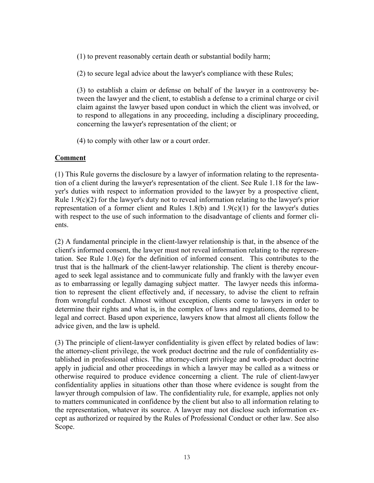(1) to prevent reasonably certain death or substantial bodily harm;

(2) to secure legal advice about the lawyer's compliance with these Rules;

(3) to establish a claim or defense on behalf of the lawyer in a controversy between the lawyer and the client, to establish a defense to a criminal charge or civil claim against the lawyer based upon conduct in which the client was involved, or to respond to allegations in any proceeding, including a disciplinary proceeding, concerning the lawyer's representation of the client; or

(4) to comply with other law or a court order.

## **Comment**

(1) This Rule governs the disclosure by a lawyer of information relating to the representation of a client during the lawyer's representation of the client. See Rule 1.18 for the lawyer's duties with respect to information provided to the lawyer by a prospective client, Rule 1.9(c)(2) for the lawyer's duty not to reveal information relating to the lawyer's prior representation of a former client and Rules  $1.8(b)$  and  $1.9(c)(1)$  for the lawyer's duties with respect to the use of such information to the disadvantage of clients and former clients.

(2) A fundamental principle in the client-lawyer relationship is that, in the absence of the client's informed consent, the lawyer must not reveal information relating to the representation. See Rule 1.0(e) for the definition of informed consent. This contributes to the trust that is the hallmark of the client-lawyer relationship. The client is thereby encouraged to seek legal assistance and to communicate fully and frankly with the lawyer even as to embarrassing or legally damaging subject matter. The lawyer needs this information to represent the client effectively and, if necessary, to advise the client to refrain from wrongful conduct. Almost without exception, clients come to lawyers in order to determine their rights and what is, in the complex of laws and regulations, deemed to be legal and correct. Based upon experience, lawyers know that almost all clients follow the advice given, and the law is upheld.

(3) The principle of client-lawyer confidentiality is given effect by related bodies of law: the attorney-client privilege, the work product doctrine and the rule of confidentiality established in professional ethics. The attorney-client privilege and work-product doctrine apply in judicial and other proceedings in which a lawyer may be called as a witness or otherwise required to produce evidence concerning a client. The rule of client-lawyer confidentiality applies in situations other than those where evidence is sought from the lawyer through compulsion of law. The confidentiality rule, for example, applies not only to matters communicated in confidence by the client but also to all information relating to the representation, whatever its source. A lawyer may not disclose such information except as authorized or required by the Rules of Professional Conduct or other law. See also Scope.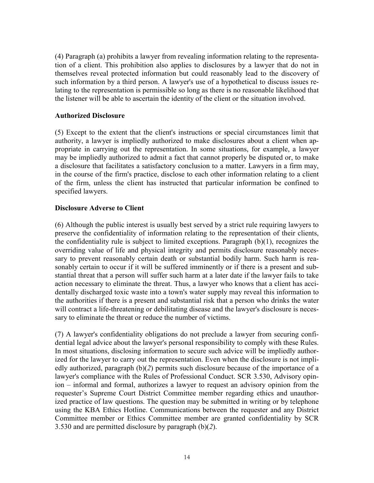(4) Paragraph (a) prohibits a lawyer from revealing information relating to the representation of a client. This prohibition also applies to disclosures by a lawyer that do not in themselves reveal protected information but could reasonably lead to the discovery of such information by a third person. A lawyer's use of a hypothetical to discuss issues relating to the representation is permissible so long as there is no reasonable likelihood that the listener will be able to ascertain the identity of the client or the situation involved.

#### **Authorized Disclosure**

(5) Except to the extent that the client's instructions or special circumstances limit that authority, a lawyer is impliedly authorized to make disclosures about a client when appropriate in carrying out the representation. In some situations, for example, a lawyer may be impliedly authorized to admit a fact that cannot properly be disputed or, to make a disclosure that facilitates a satisfactory conclusion to a matter. Lawyers in a firm may, in the course of the firm's practice, disclose to each other information relating to a client of the firm, unless the client has instructed that particular information be confined to specified lawyers.

#### **Disclosure Adverse to Client**

(6) Although the public interest is usually best served by a strict rule requiring lawyers to preserve the confidentiality of information relating to the representation of their clients, the confidentiality rule is subject to limited exceptions. Paragraph (b)(1), recognizes the overriding value of life and physical integrity and permits disclosure reasonably necessary to prevent reasonably certain death or substantial bodily harm. Such harm is reasonably certain to occur if it will be suffered imminently or if there is a present and substantial threat that a person will suffer such harm at a later date if the lawyer fails to take action necessary to eliminate the threat. Thus, a lawyer who knows that a client has accidentally discharged toxic waste into a town's water supply may reveal this information to the authorities if there is a present and substantial risk that a person who drinks the water will contract a life-threatening or debilitating disease and the lawyer's disclosure is necessary to eliminate the threat or reduce the number of victims.

(7) A lawyer's confidentiality obligations do not preclude a lawyer from securing confidential legal advice about the lawyer's personal responsibility to comply with these Rules. In most situations, disclosing information to secure such advice will be impliedly authorized for the lawyer to carry out the representation. Even when the disclosure is not impliedly authorized, paragraph (b)(*2*) permits such disclosure because of the importance of a lawyer's compliance with the Rules of Professional Conduct. SCR 3.530, Advisory opinion – informal and formal, authorizes a lawyer to request an advisory opinion from the requester's Supreme Court District Committee member regarding ethics and unauthorized practice of law questions. The question may be submitted in writing or by telephone using the KBA Ethics Hotline. Communications between the requester and any District Committee member or Ethics Committee member are granted confidentiality by SCR 3.530 and are permitted disclosure by paragraph (b)(*2*).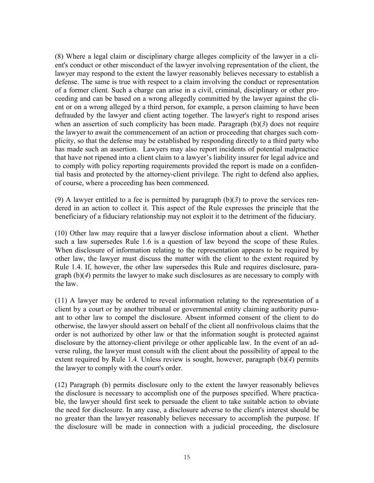(8) Where a legal claim or disciplinary charge alleges complicity of the lawyer in a client's conduct or other misconduct of the lawyer involving representation of the client, the lawyer may respond to the extent the lawyer reasonably believes necessary to establish a defense. The same is true with respect to a claim involving the conduct or representation of a former client. Such a charge can arise in a civil, criminal, disciplinary or other proceeding and can be based on a wrong allegedly committed by the lawyer against the client or on a wrong alleged by a third person, for example, a person claiming to have been defrauded by the lawyer and client acting together. The lawyer's right to respond arises when an assertion of such complicity has been made. Paragraph (b)(3) does not require the lawyer to await the commencement of an action or proceeding that charges such complicity, so that the defense may be established by responding directly to a third party who has made such an assertion. Lawyers may also report incidents of potential malpractice that have not ripened into a client claim to a lawyer's liability insurer for legal advice and to comply with policy reporting requirements provided the report is made on a confidential basis and protected by the attorney-client privilege. The right to defend also applies, of course, where a proceeding has been commenced.

(9) A lawyer entitled to a fee is permitted by paragraph  $(b)(3)$  to prove the services rendered in an action to collect it. This aspect of the Rule expresses the principle that the beneficiary of a fiduciary relationship may not exploit it to the detriment of the fiduciary.

(10) Other law may require that a lawyer disclose information about a client. Whether such a law supersedes Rule 1.6 is a question of law beyond the scope of these Rules. When disclosure of information relating to the representation appears to be required by other law, the lawyer must discuss the matter with the client to the extent required by Rule 1.4. If, however, the other law supersedes this Rule and requires disclosure, paragraph (b)(*4*) permits the lawyer to make such disclosures as are necessary to comply with the law.

(11) A lawyer may be ordered to reveal information relating to the representation of a client by a court or by another tribunal or governmental entity claiming authority pursuant to other law to compel the disclosure. Absent informed consent of the client to do otherwise, the lawyer should assert on behalf of the client all nonfrivolous claims that the order is not authorized by other law or that the information sought is protected against disclosure by the attorney-client privilege or other applicable law. In the event of an adverse ruling, the lawyer must consult with the client about the possibility of appeal to the extent required by Rule 1.4. Unless review is sought, however, paragraph (b)(*4*) permits the lawyer to comply with the court's order.

(12) Paragraph (b) permits disclosure only to the extent the lawyer reasonably believes the disclosure is necessary to accomplish one of the purposes specified. Where practicable, the lawyer should first seek to persuade the client to take suitable action to obviate the need for disclosure. In any case, a disclosure adverse to the client's interest should be no greater than the lawyer reasonably believes necessary to accomplish the purpose. If the disclosure will be made in connection with a judicial proceeding, the disclosure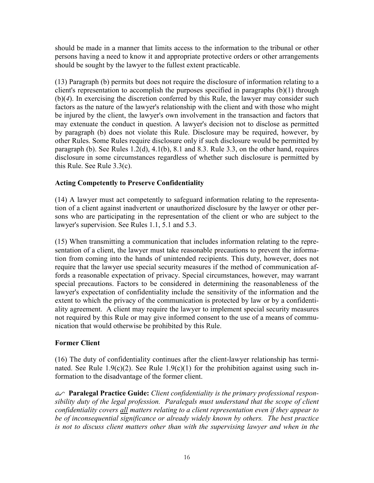should be made in a manner that limits access to the information to the tribunal or other persons having a need to know it and appropriate protective orders or other arrangements should be sought by the lawyer to the fullest extent practicable.

(13) Paragraph (b) permits but does not require the disclosure of information relating to a client's representation to accomplish the purposes specified in paragraphs (b)(1) through (b)(*4*). In exercising the discretion conferred by this Rule, the lawyer may consider such factors as the nature of the lawyer's relationship with the client and with those who might be injured by the client, the lawyer's own involvement in the transaction and factors that may extenuate the conduct in question. A lawyer's decision not to disclose as permitted by paragraph (b) does not violate this Rule. Disclosure may be required, however, by other Rules. Some Rules require disclosure only if such disclosure would be permitted by paragraph (b). See Rules 1.2(d), 4.1(b), 8.1 and 8.3. Rule 3.3, on the other hand, requires disclosure in some circumstances regardless of whether such disclosure is permitted by this Rule. See Rule 3.3(c).

# **Acting Competently to Preserve Confidentiality**

(14) A lawyer must act competently to safeguard information relating to the representation of a client against inadvertent or unauthorized disclosure by the lawyer or other persons who are participating in the representation of the client or who are subject to the lawyer's supervision. See Rules 1.1, 5.1 and 5.3.

(15) When transmitting a communication that includes information relating to the representation of a client, the lawyer must take reasonable precautions to prevent the information from coming into the hands of unintended recipients. This duty, however, does not require that the lawyer use special security measures if the method of communication affords a reasonable expectation of privacy. Special circumstances, however, may warrant special precautions. Factors to be considered in determining the reasonableness of the lawyer's expectation of confidentiality include the sensitivity of the information and the extent to which the privacy of the communication is protected by law or by a confidentiality agreement. A client may require the lawyer to implement special security measures not required by this Rule or may give informed consent to the use of a means of communication that would otherwise be prohibited by this Rule.

## **Former Client**

(16) The duty of confidentiality continues after the client-lawyer relationship has terminated. See Rule  $1.9(c)(2)$ . See Rule  $1.9(c)(1)$  for the prohibition against using such information to the disadvantage of the former client.

 **Paralegal Practice Guide:** *Client confidentiality is the primary professional responsibility duty of the legal profession. Paralegals must understand that the scope of client confidentiality covers all matters relating to a client representation even if they appear to be of inconsequential significance or already widely known by others. The best practice is not to discuss client matters other than with the supervising lawyer and when in the*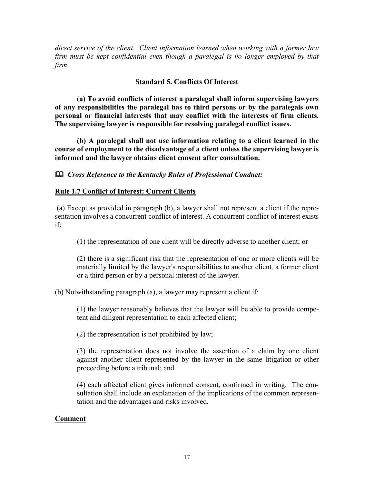*direct service of the client. Client information learned when working with a former law firm must be kept confidential even though a paralegal is no longer employed by that firm.*

### **Standard 5. Conflicts Of Interest**

**(a) To avoid conflicts of interest a paralegal shall inform supervising lawyers of any responsibilities the paralegal has to third persons or by the paralegals own personal or financial interests that may conflict with the interests of firm clients. The supervising lawyer is responsible for resolving paralegal conflict issues.** 

**(b) A paralegal shall not use information relating to a client learned in the course of employment to the disadvantage of a client unless the supervising lawyer is informed and the lawyer obtains client consent after consultation.**

*Cross Reference to the Kentucky Rules of Professional Conduct:*

#### **Rule 1.7 Conflict of Interest: Current Clients**

 (a) Except as provided in paragraph (b), a lawyer shall not represent a client if the representation involves a concurrent conflict of interest. A concurrent conflict of interest exists if:

(1) the representation of one client will be directly adverse to another client; or

(2) there is a significant risk that the representation of one or more clients will be materially limited by the lawyer's responsibilities to another client*,* a former client or a third person or by a personal interest of the lawyer.

(b) Notwithstanding paragraph (a), a lawyer may represent a client if:

(1) the lawyer reasonably believes that the lawyer will be able to provide competent and diligent representation to each affected client;

(2) the representation is not prohibited by law;

(3) the representation does not involve the assertion of a claim by one client against another client represented by the lawyer in the same litigation or other proceeding before a tribunal; and

(4) each affected client gives informed consent, confirmed in writing. The consultation shall include an explanation of the implications of the common representation and the advantages and risks involved.

#### **Comment**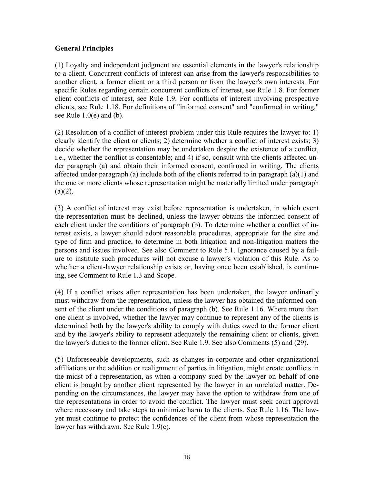## **General Principles**

(1) Loyalty and independent judgment are essential elements in the lawyer's relationship to a client. Concurrent conflicts of interest can arise from the lawyer's responsibilities to another client, a former client or a third person or from the lawyer's own interests. For specific Rules regarding certain concurrent conflicts of interest, see Rule 1.8. For former client conflicts of interest, see Rule 1.9. For conflicts of interest involving prospective clients, see Rule 1.18. For definitions of "informed consent" and "confirmed in writing," see Rule  $1.0(e)$  and  $(b)$ .

(2) Resolution of a conflict of interest problem under this Rule requires the lawyer to: 1) clearly identify the client or clients; 2) determine whether a conflict of interest exists; 3) decide whether the representation may be undertaken despite the existence of a conflict, i.e., whether the conflict is consentable; and 4) if so, consult with the clients affected under paragraph (a) and obtain their informed consent, confirmed in writing. The clients affected under paragraph (a) include both of the clients referred to in paragraph (a)(1) and the one or more clients whose representation might be materially limited under paragraph  $(a)(2)$ .

(3) A conflict of interest may exist before representation is undertaken, in which event the representation must be declined, unless the lawyer obtains the informed consent of each client under the conditions of paragraph (b). To determine whether a conflict of interest exists, a lawyer should adopt reasonable procedures, appropriate for the size and type of firm and practice, to determine in both litigation and non-litigation matters the persons and issues involved. See also Comment to Rule 5.1. Ignorance caused by a failure to institute such procedures will not excuse a lawyer's violation of this Rule. As to whether a client-lawyer relationship exists or, having once been established, is continuing, see Comment to Rule 1.3 and Scope.

(4) If a conflict arises after representation has been undertaken, the lawyer ordinarily must withdraw from the representation, unless the lawyer has obtained the informed consent of the client under the conditions of paragraph (b). See Rule 1.16. Where more than one client is involved, whether the lawyer may continue to represent any of the clients is determined both by the lawyer's ability to comply with duties owed to the former client and by the lawyer's ability to represent adequately the remaining client or clients, given the lawyer's duties to the former client. See Rule 1.9. See also Comments (5) and (29).

(5) Unforeseeable developments, such as changes in corporate and other organizational affiliations or the addition or realignment of parties in litigation, might create conflicts in the midst of a representation, as when a company sued by the lawyer on behalf of one client is bought by another client represented by the lawyer in an unrelated matter. Depending on the circumstances, the lawyer may have the option to withdraw from one of the representations in order to avoid the conflict. The lawyer must seek court approval where necessary and take steps to minimize harm to the clients. See Rule 1.16. The lawyer must continue to protect the confidences of the client from whose representation the lawyer has withdrawn. See Rule 1.9(c).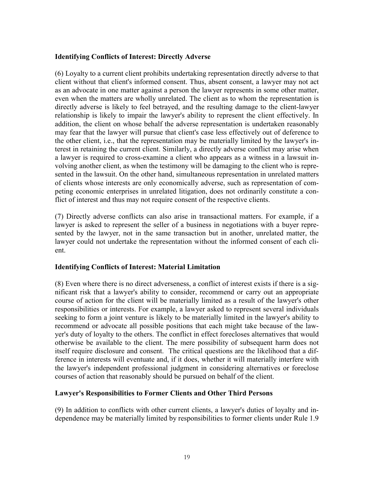#### **Identifying Conflicts of Interest: Directly Adverse**

(6) Loyalty to a current client prohibits undertaking representation directly adverse to that client without that client's informed consent. Thus, absent consent, a lawyer may not act as an advocate in one matter against a person the lawyer represents in some other matter, even when the matters are wholly unrelated. The client as to whom the representation is directly adverse is likely to feel betrayed, and the resulting damage to the client-lawyer relationship is likely to impair the lawyer's ability to represent the client effectively. In addition, the client on whose behalf the adverse representation is undertaken reasonably may fear that the lawyer will pursue that client's case less effectively out of deference to the other client, i.e., that the representation may be materially limited by the lawyer's interest in retaining the current client. Similarly, a directly adverse conflict may arise when a lawyer is required to cross-examine a client who appears as a witness in a lawsuit involving another client, as when the testimony will be damaging to the client who is represented in the lawsuit. On the other hand, simultaneous representation in unrelated matters of clients whose interests are only economically adverse, such as representation of competing economic enterprises in unrelated litigation, does not ordinarily constitute a conflict of interest and thus may not require consent of the respective clients.

(7) Directly adverse conflicts can also arise in transactional matters. For example, if a lawyer is asked to represent the seller of a business in negotiations with a buyer represented by the lawyer, not in the same transaction but in another, unrelated matter, the lawyer could not undertake the representation without the informed consent of each client.

#### **Identifying Conflicts of Interest: Material Limitation**

(8) Even where there is no direct adverseness, a conflict of interest exists if there is a significant risk that a lawyer's ability to consider, recommend or carry out an appropriate course of action for the client will be materially limited as a result of the lawyer's other responsibilities or interests. For example, a lawyer asked to represent several individuals seeking to form a joint venture is likely to be materially limited in the lawyer's ability to recommend or advocate all possible positions that each might take because of the lawyer's duty of loyalty to the others. The conflict in effect forecloses alternatives that would otherwise be available to the client. The mere possibility of subsequent harm does not itself require disclosure and consent. The critical questions are the likelihood that a difference in interests will eventuate and, if it does, whether it will materially interfere with the lawyer's independent professional judgment in considering alternatives or foreclose courses of action that reasonably should be pursued on behalf of the client.

#### **Lawyer's Responsibilities to Former Clients and Other Third Persons**

(9) In addition to conflicts with other current clients, a lawyer's duties of loyalty and independence may be materially limited by responsibilities to former clients under Rule 1.9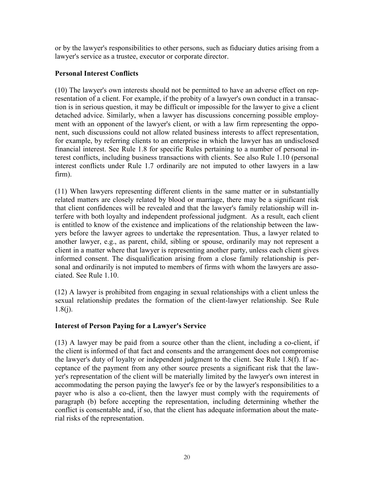or by the lawyer's responsibilities to other persons, such as fiduciary duties arising from a lawyer's service as a trustee, executor or corporate director.

# **Personal Interest Conflicts**

(10) The lawyer's own interests should not be permitted to have an adverse effect on representation of a client. For example, if the probity of a lawyer's own conduct in a transaction is in serious question, it may be difficult or impossible for the lawyer to give a client detached advice. Similarly, when a lawyer has discussions concerning possible employment with an opponent of the lawyer's client, or with a law firm representing the opponent, such discussions could not allow related business interests to affect representation, for example, by referring clients to an enterprise in which the lawyer has an undisclosed financial interest. See Rule 1.8 for specific Rules pertaining to a number of personal interest conflicts, including business transactions with clients. See also Rule 1.10 (personal interest conflicts under Rule 1.7 ordinarily are not imputed to other lawyers in a law firm).

(11) When lawyers representing different clients in the same matter or in substantially related matters are closely related by blood or marriage, there may be a significant risk that client confidences will be revealed and that the lawyer's family relationship will interfere with both loyalty and independent professional judgment. As a result, each client is entitled to know of the existence and implications of the relationship between the lawyers before the lawyer agrees to undertake the representation. Thus, a lawyer related to another lawyer, e.g., as parent, child, sibling or spouse, ordinarily may not represent a client in a matter where that lawyer is representing another party, unless each client gives informed consent. The disqualification arising from a close family relationship is personal and ordinarily is not imputed to members of firms with whom the lawyers are associated. See Rule 1.10.

(12) A lawyer is prohibited from engaging in sexual relationships with a client unless the sexual relationship predates the formation of the client-lawyer relationship. See Rule  $1.8(i)$ .

## **Interest of Person Paying for a Lawyer's Service**

(13) A lawyer may be paid from a source other than the client, including a co-client, if the client is informed of that fact and consents and the arrangement does not compromise the lawyer's duty of loyalty or independent judgment to the client. See Rule 1.8(f). If acceptance of the payment from any other source presents a significant risk that the lawyer's representation of the client will be materially limited by the lawyer's own interest in accommodating the person paying the lawyer's fee or by the lawyer's responsibilities to a payer who is also a co-client, then the lawyer must comply with the requirements of paragraph (b) before accepting the representation, including determining whether the conflict is consentable and, if so, that the client has adequate information about the material risks of the representation.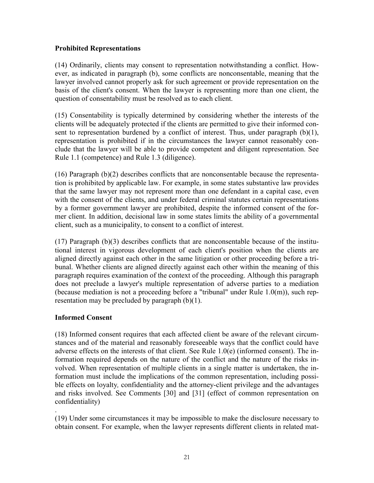#### **Prohibited Representations**

(14) Ordinarily, clients may consent to representation notwithstanding a conflict. However, as indicated in paragraph (b), some conflicts are nonconsentable, meaning that the lawyer involved cannot properly ask for such agreement or provide representation on the basis of the client's consent. When the lawyer is representing more than one client, the question of consentability must be resolved as to each client.

(15) Consentability is typically determined by considering whether the interests of the clients will be adequately protected if the clients are permitted to give their informed consent to representation burdened by a conflict of interest. Thus, under paragraph  $(b)(1)$ , representation is prohibited if in the circumstances the lawyer cannot reasonably conclude that the lawyer will be able to provide competent and diligent representation. See Rule 1.1 (competence) and Rule 1.3 (diligence).

(16) Paragraph (b)(2) describes conflicts that are nonconsentable because the representation is prohibited by applicable law. For example, in some states substantive law provides that the same lawyer may not represent more than one defendant in a capital case, even with the consent of the clients, and under federal criminal statutes certain representations by a former government lawyer are prohibited, despite the informed consent of the former client. In addition, decisional law in some states limits the ability of a governmental client, such as a municipality, to consent to a conflict of interest.

(17) Paragraph (b)(3) describes conflicts that are nonconsentable because of the institutional interest in vigorous development of each client's position when the clients are aligned directly against each other in the same litigation or other proceeding before a tribunal. Whether clients are aligned directly against each other within the meaning of this paragraph requires examination of the context of the proceeding. Although this paragraph does not preclude a lawyer's multiple representation of adverse parties to a mediation (because mediation is not a proceeding before a "tribunal" under Rule  $1.0(m)$ ), such representation may be precluded by paragraph (b)(1).

## **Informed Consent**

(18) Informed consent requires that each affected client be aware of the relevant circumstances and of the material and reasonably foreseeable ways that the conflict could have adverse effects on the interests of that client. See Rule 1.0(e) (informed consent). The information required depends on the nature of the conflict and the nature of the risks involved. When representation of multiple clients in a single matter is undertaken, the information must include the implications of the common representation, including possible effects on loyalty*,* confidentiality and the attorney-client privilege and the advantages and risks involved. See Comments [30] and [31] (effect of common representation on confidentiality)

. (19) Under some circumstances it may be impossible to make the disclosure necessary to obtain consent. For example, when the lawyer represents different clients in related mat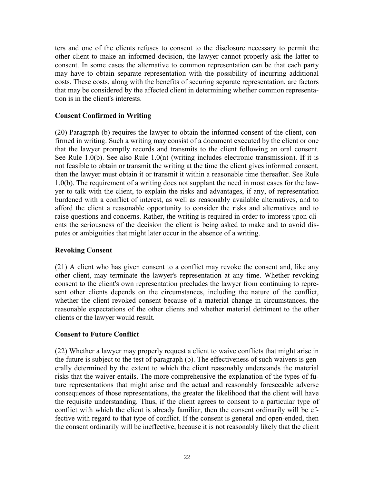ters and one of the clients refuses to consent to the disclosure necessary to permit the other client to make an informed decision, the lawyer cannot properly ask the latter to consent. In some cases the alternative to common representation can be that each party may have to obtain separate representation with the possibility of incurring additional costs. These costs, along with the benefits of securing separate representation, are factors that may be considered by the affected client in determining whether common representation is in the client's interests.

# **Consent Confirmed in Writing**

(20) Paragraph (b) requires the lawyer to obtain the informed consent of the client, confirmed in writing. Such a writing may consist of a document executed by the client or one that the lawyer promptly records and transmits to the client following an oral consent. See Rule 1.0(b). See also Rule 1.0(n) (writing includes electronic transmission). If it is not feasible to obtain or transmit the writing at the time the client gives informed consent, then the lawyer must obtain it or transmit it within a reasonable time thereafter. See Rule 1.0(b). The requirement of a writing does not supplant the need in most cases for the lawyer to talk with the client, to explain the risks and advantages, if any, of representation burdened with a conflict of interest, as well as reasonably available alternatives, and to afford the client a reasonable opportunity to consider the risks and alternatives and to raise questions and concerns. Rather, the writing is required in order to impress upon clients the seriousness of the decision the client is being asked to make and to avoid disputes or ambiguities that might later occur in the absence of a writing.

## **Revoking Consent**

(21) A client who has given consent to a conflict may revoke the consent and, like any other client, may terminate the lawyer's representation at any time. Whether revoking consent to the client's own representation precludes the lawyer from continuing to represent other clients depends on the circumstances, including the nature of the conflict, whether the client revoked consent because of a material change in circumstances, the reasonable expectations of the other clients and whether material detriment to the other clients or the lawyer would result.

## **Consent to Future Conflict**

(22) Whether a lawyer may properly request a client to waive conflicts that might arise in the future is subject to the test of paragraph (b). The effectiveness of such waivers is generally determined by the extent to which the client reasonably understands the material risks that the waiver entails. The more comprehensive the explanation of the types of future representations that might arise and the actual and reasonably foreseeable adverse consequences of those representations, the greater the likelihood that the client will have the requisite understanding. Thus, if the client agrees to consent to a particular type of conflict with which the client is already familiar, then the consent ordinarily will be effective with regard to that type of conflict. If the consent is general and open-ended, then the consent ordinarily will be ineffective, because it is not reasonably likely that the client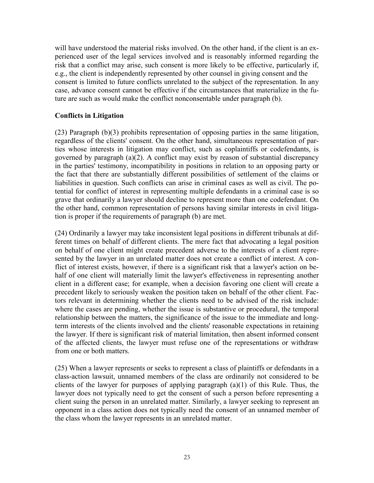will have understood the material risks involved. On the other hand, if the client is an experienced user of the legal services involved and is reasonably informed regarding the risk that a conflict may arise, such consent is more likely to be effective, particularly if, e.g., the client is independently represented by other counsel in giving consent and the consent is limited to future conflicts unrelated to the subject of the representation. In any case, advance consent cannot be effective if the circumstances that materialize in the future are such as would make the conflict nonconsentable under paragraph (b).

# **Conflicts in Litigation**

(23) Paragraph (b)(3) prohibits representation of opposing parties in the same litigation, regardless of the clients' consent. On the other hand, simultaneous representation of parties whose interests in litigation may conflict, such as coplaintiffs or codefendants, is governed by paragraph (a)(2). A conflict may exist by reason of substantial discrepancy in the parties' testimony, incompatibility in positions in relation to an opposing party or the fact that there are substantially different possibilities of settlement of the claims or liabilities in question. Such conflicts can arise in criminal cases as well as civil. The potential for conflict of interest in representing multiple defendants in a criminal case is so grave that ordinarily a lawyer should decline to represent more than one codefendant. On the other hand, common representation of persons having similar interests in civil litigation is proper if the requirements of paragraph (b) are met.

(24) Ordinarily a lawyer may take inconsistent legal positions in different tribunals at different times on behalf of different clients. The mere fact that advocating a legal position on behalf of one client might create precedent adverse to the interests of a client represented by the lawyer in an unrelated matter does not create a conflict of interest. A conflict of interest exists, however, if there is a significant risk that a lawyer's action on behalf of one client will materially limit the lawyer's effectiveness in representing another client in a different case; for example, when a decision favoring one client will create a precedent likely to seriously weaken the position taken on behalf of the other client. Factors relevant in determining whether the clients need to be advised of the risk include: where the cases are pending, whether the issue is substantive or procedural, the temporal relationship between the matters, the significance of the issue to the immediate and longterm interests of the clients involved and the clients' reasonable expectations in retaining the lawyer. If there is significant risk of material limitation, then absent informed consent of the affected clients, the lawyer must refuse one of the representations or withdraw from one or both matters.

(25) When a lawyer represents or seeks to represent a class of plaintiffs or defendants in a class-action lawsuit, unnamed members of the class are ordinarily not considered to be clients of the lawyer for purposes of applying paragraph  $(a)(1)$  of this Rule. Thus, the lawyer does not typically need to get the consent of such a person before representing a client suing the person in an unrelated matter. Similarly, a lawyer seeking to represent an opponent in a class action does not typically need the consent of an unnamed member of the class whom the lawyer represents in an unrelated matter.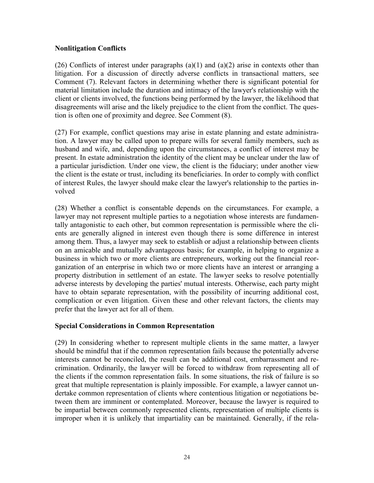## **Nonlitigation Conflicts**

(26) Conflicts of interest under paragraphs  $(a)(1)$  and  $(a)(2)$  arise in contexts other than litigation. For a discussion of directly adverse conflicts in transactional matters, see Comment (7). Relevant factors in determining whether there is significant potential for material limitation include the duration and intimacy of the lawyer's relationship with the client or clients involved, the functions being performed by the lawyer, the likelihood that disagreements will arise and the likely prejudice to the client from the conflict. The question is often one of proximity and degree. See Comment (8).

(27) For example, conflict questions may arise in estate planning and estate administration. A lawyer may be called upon to prepare wills for several family members, such as husband and wife, and, depending upon the circumstances, a conflict of interest may be present. In estate administration the identity of the client may be unclear under the law of a particular jurisdiction. Under one view, the client is the fiduciary; under another view the client is the estate or trust, including its beneficiaries. In order to comply with conflict of interest Rules, the lawyer should make clear the lawyer's relationship to the parties involved

(28) Whether a conflict is consentable depends on the circumstances. For example, a lawyer may not represent multiple parties to a negotiation whose interests are fundamentally antagonistic to each other, but common representation is permissible where the clients are generally aligned in interest even though there is some difference in interest among them. Thus, a lawyer may seek to establish or adjust a relationship between clients on an amicable and mutually advantageous basis; for example, in helping to organize a business in which two or more clients are entrepreneurs, working out the financial reorganization of an enterprise in which two or more clients have an interest or arranging a property distribution in settlement of an estate. The lawyer seeks to resolve potentially adverse interests by developing the parties' mutual interests. Otherwise, each party might have to obtain separate representation, with the possibility of incurring additional cost, complication or even litigation. Given these and other relevant factors, the clients may prefer that the lawyer act for all of them.

#### **Special Considerations in Common Representation**

(29) In considering whether to represent multiple clients in the same matter, a lawyer should be mindful that if the common representation fails because the potentially adverse interests cannot be reconciled, the result can be additional cost, embarrassment and recrimination. Ordinarily, the lawyer will be forced to withdraw from representing all of the clients if the common representation fails. In some situations, the risk of failure is so great that multiple representation is plainly impossible. For example, a lawyer cannot undertake common representation of clients where contentious litigation or negotiations between them are imminent or contemplated. Moreover, because the lawyer is required to be impartial between commonly represented clients, representation of multiple clients is improper when it is unlikely that impartiality can be maintained. Generally, if the rela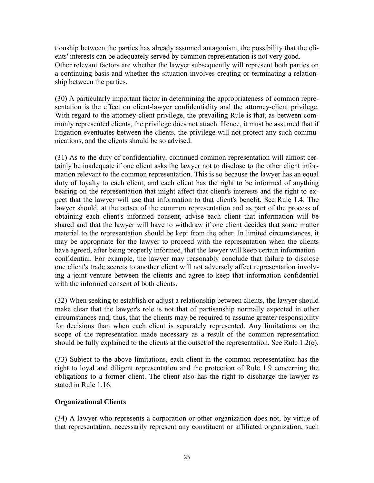tionship between the parties has already assumed antagonism, the possibility that the clients' interests can be adequately served by common representation is not very good. Other relevant factors are whether the lawyer subsequently will represent both parties on a continuing basis and whether the situation involves creating or terminating a relationship between the parties.

(30) A particularly important factor in determining the appropriateness of common representation is the effect on client-lawyer confidentiality and the attorney-client privilege. With regard to the attorney-client privilege, the prevailing Rule is that, as between commonly represented clients, the privilege does not attach. Hence, it must be assumed that if litigation eventuates between the clients, the privilege will not protect any such communications, and the clients should be so advised.

(31) As to the duty of confidentiality, continued common representation will almost certainly be inadequate if one client asks the lawyer not to disclose to the other client information relevant to the common representation. This is so because the lawyer has an equal duty of loyalty to each client, and each client has the right to be informed of anything bearing on the representation that might affect that client's interests and the right to expect that the lawyer will use that information to that client's benefit. See Rule 1.4. The lawyer should, at the outset of the common representation and as part of the process of obtaining each client's informed consent, advise each client that information will be shared and that the lawyer will have to withdraw if one client decides that some matter material to the representation should be kept from the other. In limited circumstances, it may be appropriate for the lawyer to proceed with the representation when the clients have agreed, after being properly informed, that the lawyer will keep certain information confidential. For example, the lawyer may reasonably conclude that failure to disclose one client's trade secrets to another client will not adversely affect representation involving a joint venture between the clients and agree to keep that information confidential with the informed consent of both clients.

(32) When seeking to establish or adjust a relationship between clients, the lawyer should make clear that the lawyer's role is not that of partisanship normally expected in other circumstances and, thus, that the clients may be required to assume greater responsibility for decisions than when each client is separately represented. Any limitations on the scope of the representation made necessary as a result of the common representation should be fully explained to the clients at the outset of the representation. See Rule 1.2(c).

(33) Subject to the above limitations, each client in the common representation has the right to loyal and diligent representation and the protection of Rule 1.9 concerning the obligations to a former client. The client also has the right to discharge the lawyer as stated in Rule 1.16.

## **Organizational Clients**

(34) A lawyer who represents a corporation or other organization does not, by virtue of that representation, necessarily represent any constituent or affiliated organization, such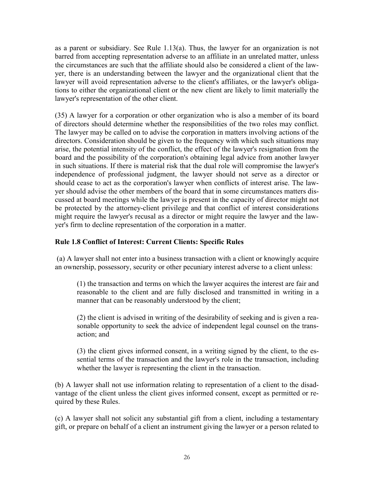as a parent or subsidiary. See Rule  $1.13(a)$ . Thus, the lawyer for an organization is not barred from accepting representation adverse to an affiliate in an unrelated matter, unless the circumstances are such that the affiliate should also be considered a client of the lawyer, there is an understanding between the lawyer and the organizational client that the lawyer will avoid representation adverse to the client's affiliates, or the lawyer's obligations to either the organizational client or the new client are likely to limit materially the lawyer's representation of the other client.

(35) A lawyer for a corporation or other organization who is also a member of its board of directors should determine whether the responsibilities of the two roles may conflict. The lawyer may be called on to advise the corporation in matters involving actions of the directors. Consideration should be given to the frequency with which such situations may arise, the potential intensity of the conflict, the effect of the lawyer's resignation from the board and the possibility of the corporation's obtaining legal advice from another lawyer in such situations. If there is material risk that the dual role will compromise the lawyer's independence of professional judgment, the lawyer should not serve as a director or should cease to act as the corporation's lawyer when conflicts of interest arise. The lawyer should advise the other members of the board that in some circumstances matters discussed at board meetings while the lawyer is present in the capacity of director might not be protected by the attorney-client privilege and that conflict of interest considerations might require the lawyer's recusal as a director or might require the lawyer and the lawyer's firm to decline representation of the corporation in a matter.

## **Rule 1.8 Conflict of Interest: Current Clients: Specific Rules**

 (a) A lawyer shall not enter into a business transaction with a client or knowingly acquire an ownership, possessory, security or other pecuniary interest adverse to a client unless:

(1) the transaction and terms on which the lawyer acquires the interest are fair and reasonable to the client and are fully disclosed and transmitted in writing in a manner that can be reasonably understood by the client;

(2) the client is advised in writing of the desirability of seeking and is given a reasonable opportunity to seek the advice of independent legal counsel on the transaction; and

(3) the client gives informed consent, in a writing signed by the client, to the essential terms of the transaction and the lawyer's role in the transaction, including whether the lawyer is representing the client in the transaction.

(b) A lawyer shall not use information relating to representation of a client to the disadvantage of the client unless the client gives informed consent, except as permitted or required by these Rules.

(c) A lawyer shall not solicit any substantial gift from a client, including a testamentary gift, or prepare on behalf of a client an instrument giving the lawyer or a person related to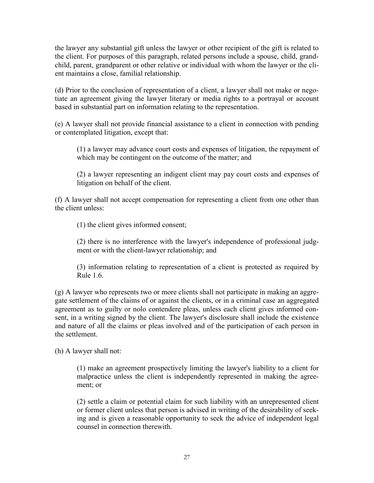the lawyer any substantial gift unless the lawyer or other recipient of the gift is related to the client. For purposes of this paragraph, related persons include a spouse, child, grandchild, parent, grandparent or other relative or individual with whom the lawyer or the client maintains a close, familial relationship.

(d) Prior to the conclusion of representation of a client, a lawyer shall not make or negotiate an agreement giving the lawyer literary or media rights to a portrayal or account based in substantial part on information relating to the representation.

(e) A lawyer shall not provide financial assistance to a client in connection with pending or contemplated litigation, except that:

(1) a lawyer may advance court costs and expenses of litigation, the repayment of which may be contingent on the outcome of the matter; and

(2) a lawyer representing an indigent client may pay court costs and expenses of litigation on behalf of the client.

(f) A lawyer shall not accept compensation for representing a client from one other than the client unless:

(1) the client gives informed consent;

(2) there is no interference with the lawyer's independence of professional judgment or with the client-lawyer relationship; and

(3) information relating to representation of a client is protected as required by Rule 1.6.

(g) A lawyer who represents two or more clients shall not participate in making an aggregate settlement of the claims of or against the clients, or in a criminal case an aggregated agreement as to guilty or nolo contendere pleas, unless each client gives informed consent, in a writing signed by the client. The lawyer's disclosure shall include the existence and nature of all the claims or pleas involved and of the participation of each person in the settlement.

(h) A lawyer shall not:

(1) make an agreement prospectively limiting the lawyer's liability to a client for malpractice unless the client is independently represented in making the agreement; or

(2) settle a claim or potential claim for such liability with an unrepresented client or former client unless that person is advised in writing of the desirability of seeking and is given a reasonable opportunity to seek the advice of independent legal counsel in connection therewith.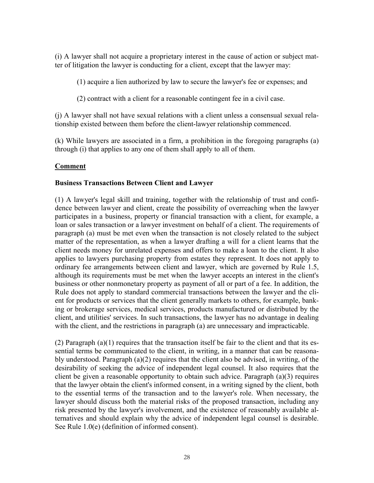(i) A lawyer shall not acquire a proprietary interest in the cause of action or subject matter of litigation the lawyer is conducting for a client, except that the lawyer may:

(1) acquire a lien authorized by law to secure the lawyer's fee or expenses; and

(2) contract with a client for a reasonable contingent fee in a civil case.

(j) A lawyer shall not have sexual relations with a client unless a consensual sexual relationship existed between them before the client-lawyer relationship commenced.

(k) While lawyers are associated in a firm, a prohibition in the foregoing paragraphs (a) through (i) that applies to any one of them shall apply to all of them.

## **Comment**

#### **Business Transactions Between Client and Lawyer**

(1) A lawyer's legal skill and training, together with the relationship of trust and confidence between lawyer and client, create the possibility of overreaching when the lawyer participates in a business, property or financial transaction with a client, for example, a loan or sales transaction or a lawyer investment on behalf of a client. The requirements of paragraph (a) must be met even when the transaction is not closely related to the subject matter of the representation, as when a lawyer drafting a will for a client learns that the client needs money for unrelated expenses and offers to make a loan to the client. It also applies to lawyers purchasing property from estates they represent. It does not apply to ordinary fee arrangements between client and lawyer, which are governed by Rule 1.5, although its requirements must be met when the lawyer accepts an interest in the client's business or other nonmonetary property as payment of all or part of a fee. In addition, the Rule does not apply to standard commercial transactions between the lawyer and the client for products or services that the client generally markets to others, for example, banking or brokerage services, medical services, products manufactured or distributed by the client, and utilities' services. In such transactions, the lawyer has no advantage in dealing with the client, and the restrictions in paragraph (a) are unnecessary and impracticable.

(2) Paragraph  $(a)(1)$  requires that the transaction itself be fair to the client and that its essential terms be communicated to the client, in writing, in a manner that can be reasonably understood. Paragraph (a)(2) requires that the client also be advised, in writing, of the desirability of seeking the advice of independent legal counsel. It also requires that the client be given a reasonable opportunity to obtain such advice. Paragraph (a)(3) requires that the lawyer obtain the client's informed consent, in a writing signed by the client, both to the essential terms of the transaction and to the lawyer's role. When necessary, the lawyer should discuss both the material risks of the proposed transaction, including any risk presented by the lawyer's involvement, and the existence of reasonably available alternatives and should explain why the advice of independent legal counsel is desirable. See Rule 1.0(e) (definition of informed consent).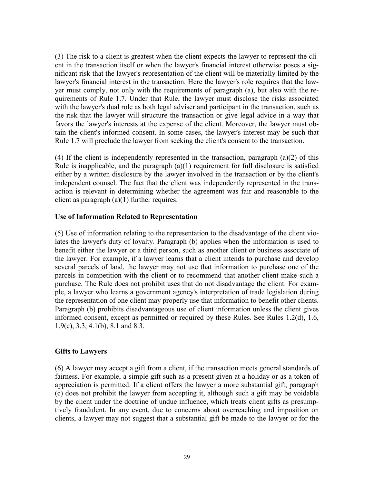(3) The risk to a client is greatest when the client expects the lawyer to represent the client in the transaction itself or when the lawyer's financial interest otherwise poses a significant risk that the lawyer's representation of the client will be materially limited by the lawyer's financial interest in the transaction. Here the lawyer's role requires that the lawyer must comply, not only with the requirements of paragraph (a), but also with the requirements of Rule 1.7. Under that Rule, the lawyer must disclose the risks associated with the lawyer's dual role as both legal adviser and participant in the transaction, such as the risk that the lawyer will structure the transaction or give legal advice in a way that favors the lawyer's interests at the expense of the client. Moreover, the lawyer must obtain the client's informed consent. In some cases, the lawyer's interest may be such that Rule 1.7 will preclude the lawyer from seeking the client's consent to the transaction.

(4) If the client is independently represented in the transaction, paragraph (a)(2) of this Rule is inapplicable, and the paragraph (a)(1) requirement for full disclosure is satisfied either by a written disclosure by the lawyer involved in the transaction or by the client's independent counsel. The fact that the client was independently represented in the transaction is relevant in determining whether the agreement was fair and reasonable to the client as paragraph (a)(1) further requires.

#### **Use of Information Related to Representation**

(5) Use of information relating to the representation to the disadvantage of the client violates the lawyer's duty of loyalty. Paragraph (b) applies when the information is used to benefit either the lawyer or a third person, such as another client or business associate of the lawyer. For example, if a lawyer learns that a client intends to purchase and develop several parcels of land, the lawyer may not use that information to purchase one of the parcels in competition with the client or to recommend that another client make such a purchase. The Rule does not prohibit uses that do not disadvantage the client. For example, a lawyer who learns a government agency's interpretation of trade legislation during the representation of one client may properly use that information to benefit other clients. Paragraph (b) prohibits disadvantageous use of client information unless the client gives informed consent, except as permitted or required by these Rules. See Rules 1.2(d), 1.6, 1.9(c), 3.3, 4.1(b), 8.1 and 8.3.

## **Gifts to Lawyers**

(6) A lawyer may accept a gift from a client, if the transaction meets general standards of fairness. For example, a simple gift such as a present given at a holiday or as a token of appreciation is permitted. If a client offers the lawyer a more substantial gift, paragraph (c) does not prohibit the lawyer from accepting it, although such a gift may be voidable by the client under the doctrine of undue influence, which treats client gifts as presumptively fraudulent. In any event, due to concerns about overreaching and imposition on clients, a lawyer may not suggest that a substantial gift be made to the lawyer or for the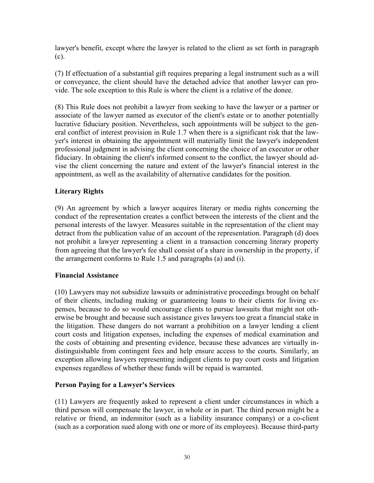lawyer's benefit, except where the lawyer is related to the client as set forth in paragraph (c).

(7) If effectuation of a substantial gift requires preparing a legal instrument such as a will or conveyance, the client should have the detached advice that another lawyer can provide. The sole exception to this Rule is where the client is a relative of the donee.

(8) This Rule does not prohibit a lawyer from seeking to have the lawyer or a partner or associate of the lawyer named as executor of the client's estate or to another potentially lucrative fiduciary position. Nevertheless, such appointments will be subject to the general conflict of interest provision in Rule 1.7 when there is a significant risk that the lawyer's interest in obtaining the appointment will materially limit the lawyer's independent professional judgment in advising the client concerning the choice of an executor or other fiduciary. In obtaining the client's informed consent to the conflict, the lawyer should advise the client concerning the nature and extent of the lawyer's financial interest in the appointment, as well as the availability of alternative candidates for the position.

# **Literary Rights**

(9) An agreement by which a lawyer acquires literary or media rights concerning the conduct of the representation creates a conflict between the interests of the client and the personal interests of the lawyer. Measures suitable in the representation of the client may detract from the publication value of an account of the representation. Paragraph (d) does not prohibit a lawyer representing a client in a transaction concerning literary property from agreeing that the lawyer's fee shall consist of a share in ownership in the property, if the arrangement conforms to Rule 1.5 and paragraphs (a) and (i).

# **Financial Assistance**

(10) Lawyers may not subsidize lawsuits or administrative proceedings brought on behalf of their clients, including making or guaranteeing loans to their clients for living expenses, because to do so would encourage clients to pursue lawsuits that might not otherwise be brought and because such assistance gives lawyers too great a financial stake in the litigation. These dangers do not warrant a prohibition on a lawyer lending a client court costs and litigation expenses, including the expenses of medical examination and the costs of obtaining and presenting evidence, because these advances are virtually indistinguishable from contingent fees and help ensure access to the courts. Similarly, an exception allowing lawyers representing indigent clients to pay court costs and litigation expenses regardless of whether these funds will be repaid is warranted.

# **Person Paying for a Lawyer's Services**

(11) Lawyers are frequently asked to represent a client under circumstances in which a third person will compensate the lawyer, in whole or in part. The third person might be a relative or friend, an indemnitor (such as a liability insurance company) or a co-client (such as a corporation sued along with one or more of its employees). Because third-party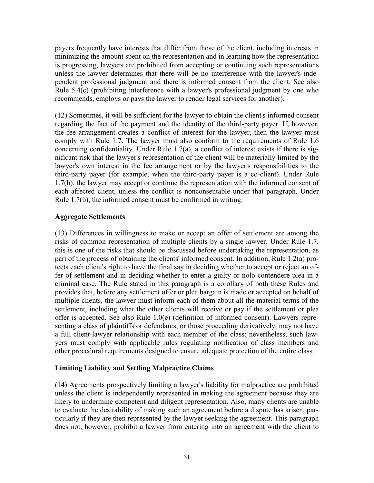payers frequently have interests that differ from those of the client, including interests in minimizing the amount spent on the representation and in learning how the representation is progressing, lawyers are prohibited from accepting or continuing such representations unless the lawyer determines that there will be no interference with the lawyer's independent professional judgment and there is informed consent from the client. See also Rule 5.4(c) (prohibiting interference with a lawyer's professional judgment by one who recommends, employs or pays the lawyer to render legal services for another).

(12) Sometimes, it will be sufficient for the lawyer to obtain the client's informed consent regarding the fact of the payment and the identity of the third-party payer. If, however, the fee arrangement creates a conflict of interest for the lawyer, then the lawyer must comply with Rule 1.7. The lawyer must also conform to the requirements of Rule 1.6 concerning confidentiality. Under Rule 1.7(a), a conflict of interest exists if there is significant risk that the lawyer's representation of the client will be materially limited by the lawyer's own interest in the fee arrangement or by the lawyer's responsibilities to the third-party payer (for example, when the third-party payer is a co-client). Under Rule 1.7(b), the lawyer may accept or continue the representation with the informed consent of each affected client, unless the conflict is nonconsentable under that paragraph. Under Rule 1.7(b), the informed consent must be confirmed in writing.

## **Aggregate Settlements**

(13) Differences in willingness to make or accept an offer of settlement are among the risks of common representation of multiple clients by a single lawyer. Under Rule 1.7, this is one of the risks that should be discussed before undertaking the representation, as part of the process of obtaining the clients' informed consent. In addition, Rule 1.2(a) protects each client's right to have the final say in deciding whether to accept or reject an offer of settlement and in deciding whether to enter a guilty or nolo contendere plea in a criminal case. The Rule stated in this paragraph is a corollary of both these Rules and provides that, before any settlement offer or plea bargain is made or accepted on behalf of multiple clients, the lawyer must inform each of them about all the material terms of the settlement, including what the other clients will receive or pay if the settlement or plea offer is accepted. See also Rule 1.0(e) (definition of informed consent). Lawyers representing a class of plaintiffs or defendants, or those proceeding derivatively, may not have a full client-lawyer relationship with each member of the class; nevertheless, such lawyers must comply with applicable rules regulating notification of class members and other procedural requirements designed to ensure adequate protection of the entire class.

## **Limiting Liability and Settling Malpractice Claims**

(14) Agreements prospectively limiting a lawyer's liability for malpractice are prohibited unless the client is independently represented in making the agreement because they are likely to undermine competent and diligent representation. Also, many clients are unable to evaluate the desirability of making such an agreement before a dispute has arisen, particularly if they are then represented by the lawyer seeking the agreement. This paragraph does not, however, prohibit a lawyer from entering into an agreement with the client to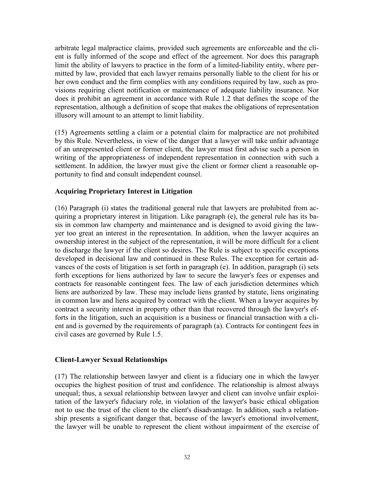arbitrate legal malpractice claims, provided such agreements are enforceable and the client is fully informed of the scope and effect of the agreement. Nor does this paragraph limit the ability of lawyers to practice in the form of a limited-liability entity, where permitted by law, provided that each lawyer remains personally liable to the client for his or her own conduct and the firm complies with any conditions required by law, such as provisions requiring client notification or maintenance of adequate liability insurance. Nor does it prohibit an agreement in accordance with Rule 1.2 that defines the scope of the representation, although a definition of scope that makes the obligations of representation illusory will amount to an attempt to limit liability.

(15) Agreements settling a claim or a potential claim for malpractice are not prohibited by this Rule. Nevertheless, in view of the danger that a lawyer will take unfair advantage of an unrepresented client or former client, the lawyer must first advise such a person in writing of the appropriateness of independent representation in connection with such a settlement. In addition, the lawyer must give the client or former client a reasonable opportunity to find and consult independent counsel.

# **Acquiring Proprietary Interest in Litigation**

(16) Paragraph (i) states the traditional general rule that lawyers are prohibited from acquiring a proprietary interest in litigation. Like paragraph (e), the general rule has its basis in common law champerty and maintenance and is designed to avoid giving the lawyer too great an interest in the representation. In addition, when the lawyer acquires an ownership interest in the subject of the representation, it will be more difficult for a client to discharge the lawyer if the client so desires. The Rule is subject to specific exceptions developed in decisional law and continued in these Rules. The exception for certain advances of the costs of litigation is set forth in paragraph (e). In addition, paragraph (i) sets forth exceptions for liens authorized by law to secure the lawyer's fees or expenses and contracts for reasonable contingent fees. The law of each jurisdiction determines which liens are authorized by law. These may include liens granted by statute, liens originating in common law and liens acquired by contract with the client. When a lawyer acquires by contract a security interest in property other than that recovered through the lawyer's efforts in the litigation, such an acquisition is a business or financial transaction with a client and is governed by the requirements of paragraph (a). Contracts for contingent fees in civil cases are governed by Rule 1.5.

## **Client-Lawyer Sexual Relationships**

(17) The relationship between lawyer and client is a fiduciary one in which the lawyer occupies the highest position of trust and confidence. The relationship is almost always unequal; thus, a sexual relationship between lawyer and client can involve unfair exploitation of the lawyer's fiduciary role, in violation of the lawyer's basic ethical obligation not to use the trust of the client to the client's disadvantage. In addition, such a relationship presents a significant danger that, because of the lawyer's emotional involvement, the lawyer will be unable to represent the client without impairment of the exercise of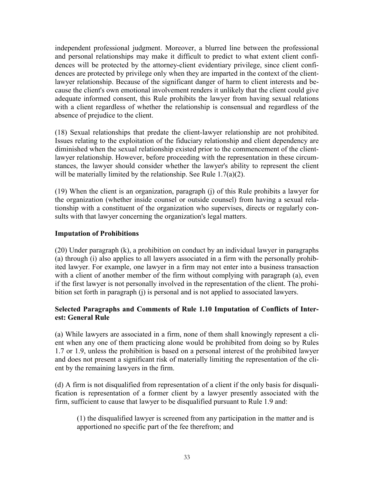independent professional judgment. Moreover, a blurred line between the professional and personal relationships may make it difficult to predict to what extent client confidences will be protected by the attorney-client evidentiary privilege, since client confidences are protected by privilege only when they are imparted in the context of the clientlawyer relationship. Because of the significant danger of harm to client interests and because the client's own emotional involvement renders it unlikely that the client could give adequate informed consent, this Rule prohibits the lawyer from having sexual relations with a client regardless of whether the relationship is consensual and regardless of the absence of prejudice to the client.

(18) Sexual relationships that predate the client-lawyer relationship are not prohibited. Issues relating to the exploitation of the fiduciary relationship and client dependency are diminished when the sexual relationship existed prior to the commencement of the clientlawyer relationship. However, before proceeding with the representation in these circumstances, the lawyer should consider whether the lawyer's ability to represent the client will be materially limited by the relationship. See Rule 1.7(a)(2).

(19) When the client is an organization, paragraph (j) of this Rule prohibits a lawyer for the organization (whether inside counsel or outside counsel) from having a sexual relationship with a constituent of the organization who supervises, directs or regularly consults with that lawyer concerning the organization's legal matters.

# **Imputation of Prohibitions**

(20) Under paragraph (k), a prohibition on conduct by an individual lawyer in paragraphs (a) through (i) also applies to all lawyers associated in a firm with the personally prohibited lawyer. For example, one lawyer in a firm may not enter into a business transaction with a client of another member of the firm without complying with paragraph (a), even if the first lawyer is not personally involved in the representation of the client. The prohibition set forth in paragraph (j) is personal and is not applied to associated lawyers.

## **Selected Paragraphs and Comments of Rule 1.10 Imputation of Conflicts of Interest: General Rule**

(a) While lawyers are associated in a firm, none of them shall knowingly represent a client when any one of them practicing alone would be prohibited from doing so by Rules 1.7 or 1.9, unless the prohibition is based on a personal interest of the prohibited lawyer and does not present a significant risk of materially limiting the representation of the client by the remaining lawyers in the firm.

(d) A firm is not disqualified from representation of a client if the only basis for disqualification is representation of a former client by a lawyer presently associated with the firm, sufficient to cause that lawyer to be disqualified pursuant to Rule 1.9 and:

(1) the disqualified lawyer is screened from any participation in the matter and is apportioned no specific part of the fee therefrom; and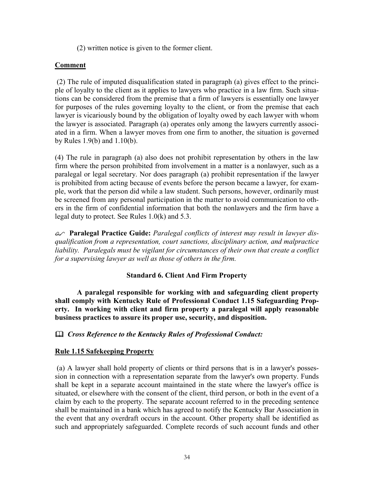(2) written notice is given to the former client.

## **Comment**

 (2) The rule of imputed disqualification stated in paragraph (a) gives effect to the principle of loyalty to the client as it applies to lawyers who practice in a law firm. Such situations can be considered from the premise that a firm of lawyers is essentially one lawyer for purposes of the rules governing loyalty to the client, or from the premise that each lawyer is vicariously bound by the obligation of loyalty owed by each lawyer with whom the lawyer is associated. Paragraph (a) operates only among the lawyers currently associated in a firm. When a lawyer moves from one firm to another, the situation is governed by Rules 1.9(b) and 1.10(b).

(4) The rule in paragraph (a) also does not prohibit representation by others in the law firm where the person prohibited from involvement in a matter is a nonlawyer, such as a paralegal or legal secretary. Nor does paragraph (a) prohibit representation if the lawyer is prohibited from acting because of events before the person became a lawyer, for example, work that the person did while a law student. Such persons, however, ordinarily must be screened from any personal participation in the matter to avoid communication to others in the firm of confidential information that both the nonlawyers and the firm have a legal duty to protect. See Rules 1.0(k) and 5.3.

 **Paralegal Practice Guide:** *Paralegal conflicts of interest may result in lawyer disqualification from a representation, court sanctions, disciplinary action, and malpractice*  liability. Paralegals must be vigilant for circumstances of their own that create a conflict *for a supervising lawyer as well as those of others in the firm.* 

# **Standard 6. Client And Firm Property**

**A paralegal responsible for working with and safeguarding client property shall comply with Kentucky Rule of Professional Conduct 1.15 Safeguarding Property. In working with client and firm property a paralegal will apply reasonable business practices to assure its proper use, security, and disposition.** 

## *Cross Reference to the Kentucky Rules of Professional Conduct:*

## **Rule 1.15 Safekeeping Property**

 (a) A lawyer shall hold property of clients or third persons that is in a lawyer's possession in connection with a representation separate from the lawyer's own property. Funds shall be kept in a separate account maintained in the state where the lawyer's office is situated, or elsewhere with the consent of the client, third person, or both in the event of a claim by each to the property. The separate account referred to in the preceding sentence shall be maintained in a bank which has agreed to notify the Kentucky Bar Association in the event that any overdraft occurs in the account. Other property shall be identified as such and appropriately safeguarded. Complete records of such account funds and other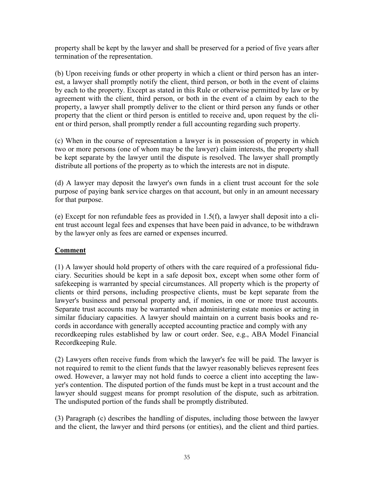property shall be kept by the lawyer and shall be preserved for a period of five years after termination of the representation.

(b) Upon receiving funds or other property in which a client or third person has an interest, a lawyer shall promptly notify the client, third person, or both in the event of claims by each to the property. Except as stated in this Rule or otherwise permitted by law or by agreement with the client, third person, or both in the event of a claim by each to the property, a lawyer shall promptly deliver to the client or third person any funds or other property that the client or third person is entitled to receive and, upon request by the client or third person, shall promptly render a full accounting regarding such property.

(c) When in the course of representation a lawyer is in possession of property in which two or more persons (one of whom may be the lawyer) claim interests, the property shall be kept separate by the lawyer until the dispute is resolved. The lawyer shall promptly distribute all portions of the property as to which the interests are not in dispute.

(d) A lawyer may deposit the lawyer's own funds in a client trust account for the sole purpose of paying bank service charges on that account, but only in an amount necessary for that purpose.

(e) Except for non refundable fees as provided in 1.5(f), a lawyer shall deposit into a client trust account legal fees and expenses that have been paid in advance, to be withdrawn by the lawyer only as fees are earned or expenses incurred.

# **Comment**

(1) A lawyer should hold property of others with the care required of a professional fiduciary. Securities should be kept in a safe deposit box, except when some other form of safekeeping is warranted by special circumstances. All property which is the property of clients or third persons, including prospective clients, must be kept separate from the lawyer's business and personal property and, if monies, in one or more trust accounts. Separate trust accounts may be warranted when administering estate monies or acting in similar fiduciary capacities. A lawyer should maintain on a current basis books and records in accordance with generally accepted accounting practice and comply with any recordkeeping rules established by law or court order. See, e.g., ABA Model Financial Recordkeeping Rule.

(2) Lawyers often receive funds from which the lawyer's fee will be paid. The lawyer is not required to remit to the client funds that the lawyer reasonably believes represent fees owed. However, a lawyer may not hold funds to coerce a client into accepting the lawyer's contention. The disputed portion of the funds must be kept in a trust account and the lawyer should suggest means for prompt resolution of the dispute, such as arbitration. The undisputed portion of the funds shall be promptly distributed.

(3) Paragraph (c) describes the handling of disputes, including those between the lawyer and the client, the lawyer and third persons (or entities), and the client and third parties.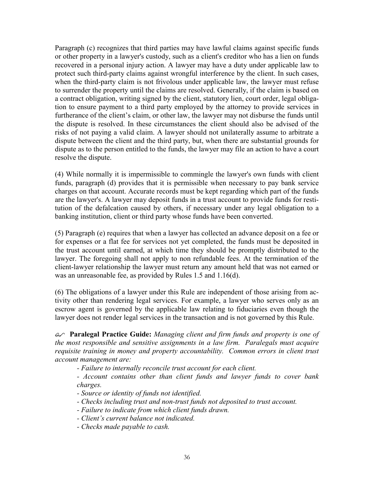Paragraph (c) recognizes that third parties may have lawful claims against specific funds or other property in a lawyer's custody, such as a client's creditor who has a lien on funds recovered in a personal injury action. A lawyer may have a duty under applicable law to protect such third-party claims against wrongful interference by the client. In such cases, when the third-party claim is not frivolous under applicable law, the lawyer must refuse to surrender the property until the claims are resolved. Generally, if the claim is based on a contract obligation, writing signed by the client, statutory lien, court order, legal obligation to ensure payment to a third party employed by the attorney to provide services in furtherance of the client's claim, or other law, the lawyer may not disburse the funds until the dispute is resolved. In these circumstances the client should also be advised of the risks of not paying a valid claim. A lawyer should not unilaterally assume to arbitrate a dispute between the client and the third party, but, when there are substantial grounds for dispute as to the person entitled to the funds, the lawyer may file an action to have a court resolve the dispute.

(4) While normally it is impermissible to commingle the lawyer's own funds with client funds, paragraph (d) provides that it is permissible when necessary to pay bank service charges on that account. Accurate records must be kept regarding which part of the funds are the lawyer's. A lawyer may deposit funds in a trust account to provide funds for restitution of the defalcation caused by others, if necessary under any legal obligation to a banking institution, client or third party whose funds have been converted.

(5) Paragraph (e) requires that when a lawyer has collected an advance deposit on a fee or for expenses or a flat fee for services not yet completed, the funds must be deposited in the trust account until earned, at which time they should be promptly distributed to the lawyer. The foregoing shall not apply to non refundable fees. At the termination of the client-lawyer relationship the lawyer must return any amount held that was not earned or was an unreasonable fee, as provided by Rules 1.5 and 1.16(d).

(6) The obligations of a lawyer under this Rule are independent of those arising from activity other than rendering legal services. For example, a lawyer who serves only as an escrow agent is governed by the applicable law relating to fiduciaries even though the lawyer does not render legal services in the transaction and is not governed by this Rule.

 **Paralegal Practice Guide:** *Managing client and firm funds and property is one of the most responsible and sensitive assignments in a law firm. Paralegals must acquire requisite training in money and property accountability. Common errors in client trust account management are:* 

- *Failure to internally reconcile trust account for each client.*
- *Account contains other than client funds and lawyer funds to cover bank charges.*
- *Source or identity of funds not identified.*
- *Checks including trust and non-trust funds not deposited to trust account.*
- *Failure to indicate from which client funds drawn.*
- *Client's current balance not indicated.*
- *Checks made payable to cash.*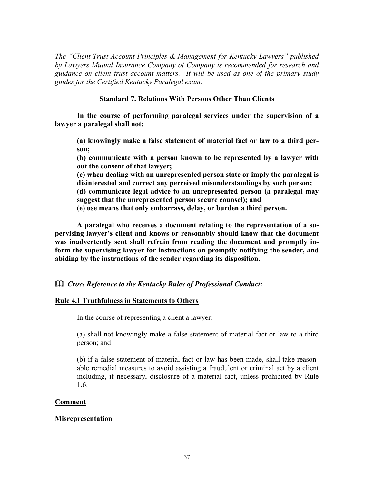*The "Client Trust Account Principles & Management for Kentucky Lawyers" published by Lawyers Mutual Insurance Company of Company is recommended for research and guidance on client trust account matters. It will be used as one of the primary study guides for the Certified Kentucky Paralegal exam.*

#### **Standard 7. Relations With Persons Other Than Clients**

**In the course of performing paralegal services under the supervision of a lawyer a paralegal shall not:**

**(a) knowingly make a false statement of material fact or law to a third person;** 

**(b) communicate with a person known to be represented by a lawyer with out the consent of that lawyer;** 

**(c) when dealing with an unrepresented person state or imply the paralegal is disinterested and correct any perceived misunderstandings by such person;**

**(d) communicate legal advice to an unrepresented person (a paralegal may suggest that the unrepresented person secure counsel); and**

**(e) use means that only embarrass, delay, or burden a third person.**

**A paralegal who receives a document relating to the representation of a supervising lawyer's client and knows or reasonably should know that the document was inadvertently sent shall refrain from reading the document and promptly inform the supervising lawyer for instructions on promptly notifying the sender, and abiding by the instructions of the sender regarding its disposition.**

#### *Cross Reference to the Kentucky Rules of Professional Conduct:*

#### **Rule 4.1 Truthfulness in Statements to Others**

In the course of representing a client a lawyer:

(a) shall not knowingly make a false statement of material fact or law to a third person; and

(b) if a false statement of material fact or law has been made, shall take reasonable remedial measures to avoid assisting a fraudulent or criminal act by a client including, if necessary, disclosure of a material fact, unless prohibited by Rule 1.6.

#### **Comment**

#### **Misrepresentation**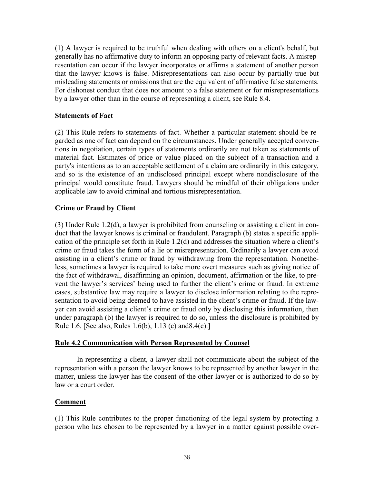(1) A lawyer is required to be truthful when dealing with others on a client's behalf, but generally has no affirmative duty to inform an opposing party of relevant facts. A misrepresentation can occur if the lawyer incorporates or affirms a statement of another person that the lawyer knows is false. Misrepresentations can also occur by partially true but misleading statements or omissions that are the equivalent of affirmative false statements. For dishonest conduct that does not amount to a false statement or for misrepresentations by a lawyer other than in the course of representing a client, see Rule 8.4.

#### **Statements of Fact**

(2) This Rule refers to statements of fact. Whether a particular statement should be regarded as one of fact can depend on the circumstances. Under generally accepted conventions in negotiation, certain types of statements ordinarily are not taken as statements of material fact. Estimates of price or value placed on the subject of a transaction and a party's intentions as to an acceptable settlement of a claim are ordinarily in this category, and so is the existence of an undisclosed principal except where nondisclosure of the principal would constitute fraud. Lawyers should be mindful of their obligations under applicable law to avoid criminal and tortious misrepresentation.

## **Crime or Fraud by Client**

(3) Under Rule 1.2(d), a lawyer is prohibited from counseling or assisting a client in conduct that the lawyer knows is criminal or fraudulent. Paragraph (b) states a specific application of the principle set forth in Rule 1.2(d) and addresses the situation where a client's crime or fraud takes the form of a lie or misrepresentation. Ordinarily a lawyer can avoid assisting in a client's crime or fraud by withdrawing from the representation. Nonetheless, sometimes a lawyer is required to take more overt measures such as giving notice of the fact of withdrawal, disaffirming an opinion, document, affirmation or the like, to prevent the lawyer's services' being used to further the client's crime or fraud. In extreme cases, substantive law may require a lawyer to disclose information relating to the representation to avoid being deemed to have assisted in the client's crime or fraud. If the lawyer can avoid assisting a client's crime or fraud only by disclosing this information, then under paragraph (b) the lawyer is required to do so, unless the disclosure is prohibited by Rule 1.6. [See also, Rules 1.6(b), 1.13 (c) and8.4(c).]

#### **Rule 4.2 Communication with Person Represented by Counsel**

In representing a client, a lawyer shall not communicate about the subject of the representation with a person the lawyer knows to be represented by another lawyer in the matter, unless the lawyer has the consent of the other lawyer or is authorized to do so by law or a court order.

## **Comment**

(1) This Rule contributes to the proper functioning of the legal system by protecting a person who has chosen to be represented by a lawyer in a matter against possible over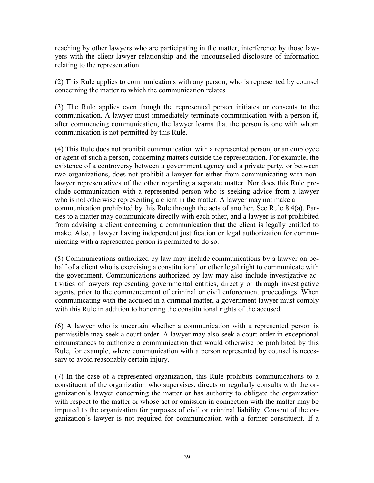reaching by other lawyers who are participating in the matter, interference by those lawyers with the client-lawyer relationship and the uncounselled disclosure of information relating to the representation.

(2) This Rule applies to communications with any person, who is represented by counsel concerning the matter to which the communication relates.

(3) The Rule applies even though the represented person initiates or consents to the communication. A lawyer must immediately terminate communication with a person if, after commencing communication, the lawyer learns that the person is one with whom communication is not permitted by this Rule.

(4) This Rule does not prohibit communication with a represented person, or an employee or agent of such a person, concerning matters outside the representation. For example, the existence of a controversy between a government agency and a private party, or between two organizations, does not prohibit a lawyer for either from communicating with nonlawyer representatives of the other regarding a separate matter. Nor does this Rule preclude communication with a represented person who is seeking advice from a lawyer who is not otherwise representing a client in the matter. A lawyer may not make a communication prohibited by this Rule through the acts of another. See Rule 8.4(a). Parties to a matter may communicate directly with each other, and a lawyer is not prohibited from advising a client concerning a communication that the client is legally entitled to make. Also, a lawyer having independent justification or legal authorization for communicating with a represented person is permitted to do so.

(5) Communications authorized by law may include communications by a lawyer on behalf of a client who is exercising a constitutional or other legal right to communicate with the government. Communications authorized by law may also include investigative activities of lawyers representing governmental entities, directly or through investigative agents, prior to the commencement of criminal or civil enforcement proceedings. When communicating with the accused in a criminal matter, a government lawyer must comply with this Rule in addition to honoring the constitutional rights of the accused.

(6) A lawyer who is uncertain whether a communication with a represented person is permissible may seek a court order. A lawyer may also seek a court order in exceptional circumstances to authorize a communication that would otherwise be prohibited by this Rule, for example, where communication with a person represented by counsel is necessary to avoid reasonably certain injury.

(7) In the case of a represented organization, this Rule prohibits communications to a constituent of the organization who supervises, directs or regularly consults with the organization's lawyer concerning the matter or has authority to obligate the organization with respect to the matter or whose act or omission in connection with the matter may be imputed to the organization for purposes of civil or criminal liability. Consent of the organization's lawyer is not required for communication with a former constituent. If a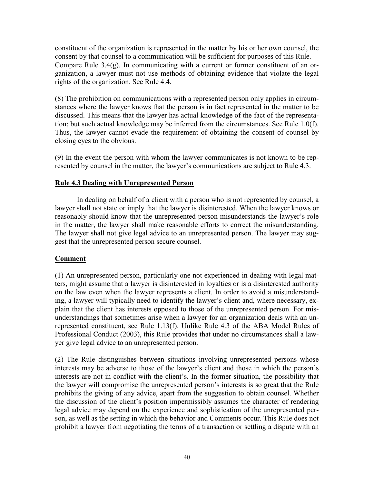constituent of the organization is represented in the matter by his or her own counsel, the consent by that counsel to a communication will be sufficient for purposes of this Rule. Compare Rule 3.4(g). In communicating with a current or former constituent of an organization, a lawyer must not use methods of obtaining evidence that violate the legal rights of the organization. See Rule 4.4.

(8) The prohibition on communications with a represented person only applies in circumstances where the lawyer knows that the person is in fact represented in the matter to be discussed. This means that the lawyer has actual knowledge of the fact of the representation; but such actual knowledge may be inferred from the circumstances. See Rule 1.0(f). Thus, the lawyer cannot evade the requirement of obtaining the consent of counsel by closing eyes to the obvious.

(9) In the event the person with whom the lawyer communicates is not known to be represented by counsel in the matter, the lawyer's communications are subject to Rule 4.3.

## **Rule 4.3 Dealing with Unrepresented Person**

In dealing on behalf of a client with a person who is not represented by counsel, a lawyer shall not state or imply that the lawyer is disinterested. When the lawyer knows or reasonably should know that the unrepresented person misunderstands the lawyer's role in the matter, the lawyer shall make reasonable efforts to correct the misunderstanding. The lawyer shall not give legal advice to an unrepresented person. The lawyer may suggest that the unrepresented person secure counsel.

# **Comment**

(1) An unrepresented person, particularly one not experienced in dealing with legal matters, might assume that a lawyer is disinterested in loyalties or is a disinterested authority on the law even when the lawyer represents a client. In order to avoid a misunderstanding, a lawyer will typically need to identify the lawyer's client and, where necessary, explain that the client has interests opposed to those of the unrepresented person. For misunderstandings that sometimes arise when a lawyer for an organization deals with an unrepresented constituent, see Rule 1.13(f). Unlike Rule 4.3 of the ABA Model Rules of Professional Conduct (2003), this Rule provides that under no circumstances shall a lawyer give legal advice to an unrepresented person.

(2) The Rule distinguishes between situations involving unrepresented persons whose interests may be adverse to those of the lawyer's client and those in which the person's interests are not in conflict with the client's. In the former situation, the possibility that the lawyer will compromise the unrepresented person's interests is so great that the Rule prohibits the giving of any advice, apart from the suggestion to obtain counsel. Whether the discussion of the client's position impermissibly assumes the character of rendering legal advice may depend on the experience and sophistication of the unrepresented person, as well as the setting in which the behavior and Comments occur. This Rule does not prohibit a lawyer from negotiating the terms of a transaction or settling a dispute with an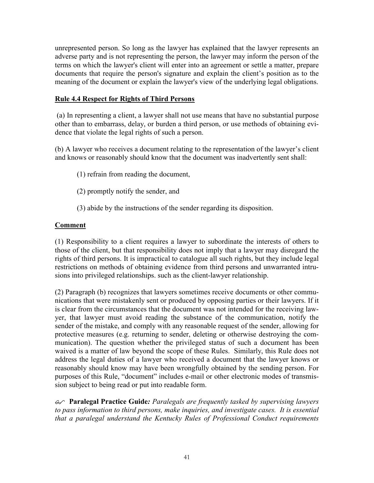unrepresented person. So long as the lawyer has explained that the lawyer represents an adverse party and is not representing the person, the lawyer may inform the person of the terms on which the lawyer's client will enter into an agreement or settle a matter, prepare documents that require the person's signature and explain the client's position as to the meaning of the document or explain the lawyer's view of the underlying legal obligations.

## **Rule 4.4 Respect for Rights of Third Persons**

 (a) In representing a client, a lawyer shall not use means that have no substantial purpose other than to embarrass, delay, or burden a third person, or use methods of obtaining evidence that violate the legal rights of such a person.

(b) A lawyer who receives a document relating to the representation of the lawyer's client and knows or reasonably should know that the document was inadvertently sent shall:

- (1) refrain from reading the document,
- (2) promptly notify the sender, and
- (3) abide by the instructions of the sender regarding its disposition.

## **Comment**

(1) Responsibility to a client requires a lawyer to subordinate the interests of others to those of the client, but that responsibility does not imply that a lawyer may disregard the rights of third persons. It is impractical to catalogue all such rights, but they include legal restrictions on methods of obtaining evidence from third persons and unwarranted intrusions into privileged relationships. such as the client-lawyer relationship.

(2) Paragraph (b) recognizes that lawyers sometimes receive documents or other communications that were mistakenly sent or produced by opposing parties or their lawyers. If it is clear from the circumstances that the document was not intended for the receiving lawyer, that lawyer must avoid reading the substance of the communication, notify the sender of the mistake, and comply with any reasonable request of the sender, allowing for protective measures (e.g. returning to sender, deleting or otherwise destroying the communication). The question whether the privileged status of such a document has been waived is a matter of law beyond the scope of these Rules. Similarly, this Rule does not address the legal duties of a lawyer who received a document that the lawyer knows or reasonably should know may have been wrongfully obtained by the sending person. For purposes of this Rule, "document" includes e-mail or other electronic modes of transmission subject to being read or put into readable form.

 **Paralegal Practice Guide***: Paralegals are frequently tasked by supervising lawyers to pass information to third persons, make inquiries, and investigate cases. It is essential that a paralegal understand the Kentucky Rules of Professional Conduct requirements*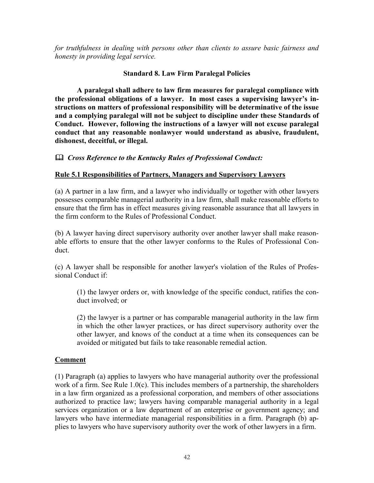*for truthfulness in dealing with persons other than clients to assure basic fairness and honesty in providing legal service.* 

#### **Standard 8. Law Firm Paralegal Policies**

**A paralegal shall adhere to law firm measures for paralegal compliance with the professional obligations of a lawyer. In most cases a supervising lawyer's instructions on matters of professional responsibility will be determinative of the issue and a complying paralegal will not be subject to discipline under these Standards of Conduct. However, following the instructions of a lawyer will not excuse paralegal conduct that any reasonable nonlawyer would understand as abusive, fraudulent, dishonest, deceitful, or illegal.**

## *Cross Reference to the Kentucky Rules of Professional Conduct:*

## **Rule 5.1 Responsibilities of Partners, Managers and Supervisory Lawyers**

(a) A partner in a law firm, and a lawyer who individually or together with other lawyers possesses comparable managerial authority in a law firm, shall make reasonable efforts to ensure that the firm has in effect measures giving reasonable assurance that all lawyers in the firm conform to the Rules of Professional Conduct.

(b) A lawyer having direct supervisory authority over another lawyer shall make reasonable efforts to ensure that the other lawyer conforms to the Rules of Professional Conduct.

(c) A lawyer shall be responsible for another lawyer's violation of the Rules of Professional Conduct if:

(1) the lawyer orders or, with knowledge of the specific conduct, ratifies the conduct involved; or

(2) the lawyer is a partner or has comparable managerial authority in the law firm in which the other lawyer practices, or has direct supervisory authority over the other lawyer, and knows of the conduct at a time when its consequences can be avoided or mitigated but fails to take reasonable remedial action.

## **Comment**

(1) Paragraph (a) applies to lawyers who have managerial authority over the professional work of a firm. See Rule 1.0(c). This includes members of a partnership, the shareholders in a law firm organized as a professional corporation, and members of other associations authorized to practice law; lawyers having comparable managerial authority in a legal services organization or a law department of an enterprise or government agency; and lawyers who have intermediate managerial responsibilities in a firm. Paragraph (b) applies to lawyers who have supervisory authority over the work of other lawyers in a firm.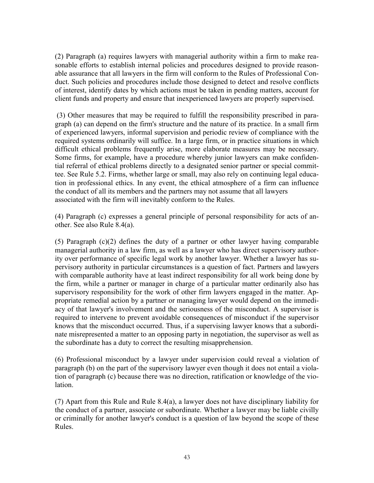(2) Paragraph (a) requires lawyers with managerial authority within a firm to make reasonable efforts to establish internal policies and procedures designed to provide reasonable assurance that all lawyers in the firm will conform to the Rules of Professional Conduct. Such policies and procedures include those designed to detect and resolve conflicts of interest, identify dates by which actions must be taken in pending matters, account for client funds and property and ensure that inexperienced lawyers are properly supervised.

 (3) Other measures that may be required to fulfill the responsibility prescribed in paragraph (a) can depend on the firm's structure and the nature of its practice. In a small firm of experienced lawyers, informal supervision and periodic review of compliance with the required systems ordinarily will suffice. In a large firm, or in practice situations in which difficult ethical problems frequently arise, more elaborate measures may be necessary. Some firms, for example, have a procedure whereby junior lawyers can make confidential referral of ethical problems directly to a designated senior partner or special committee. See Rule 5.2. Firms, whether large or small, may also rely on continuing legal education in professional ethics. In any event, the ethical atmosphere of a firm can influence the conduct of all its members and the partners may not assume that all lawyers associated with the firm will inevitably conform to the Rules.

(4) Paragraph (c) expresses a general principle of personal responsibility for acts of another. See also Rule 8.4(a).

(5) Paragraph (c)(2) defines the duty of a partner or other lawyer having comparable managerial authority in a law firm, as well as a lawyer who has direct supervisory authority over performance of specific legal work by another lawyer. Whether a lawyer has supervisory authority in particular circumstances is a question of fact. Partners and lawyers with comparable authority have at least indirect responsibility for all work being done by the firm, while a partner or manager in charge of a particular matter ordinarily also has supervisory responsibility for the work of other firm lawyers engaged in the matter. Appropriate remedial action by a partner or managing lawyer would depend on the immediacy of that lawyer's involvement and the seriousness of the misconduct. A supervisor is required to intervene to prevent avoidable consequences of misconduct if the supervisor knows that the misconduct occurred. Thus, if a supervising lawyer knows that a subordinate misrepresented a matter to an opposing party in negotiation, the supervisor as well as the subordinate has a duty to correct the resulting misapprehension.

(6) Professional misconduct by a lawyer under supervision could reveal a violation of paragraph (b) on the part of the supervisory lawyer even though it does not entail a violation of paragraph (c) because there was no direction, ratification or knowledge of the violation.

(7) Apart from this Rule and Rule 8.4(a), a lawyer does not have disciplinary liability for the conduct of a partner, associate or subordinate. Whether a lawyer may be liable civilly or criminally for another lawyer's conduct is a question of law beyond the scope of these Rules.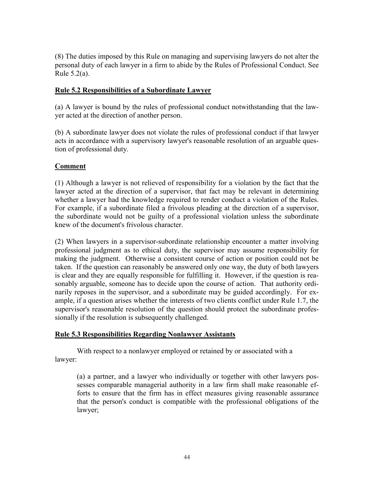(8) The duties imposed by this Rule on managing and supervising lawyers do not alter the personal duty of each lawyer in a firm to abide by the Rules of Professional Conduct. See Rule 5.2(a).

## **Rule 5.2 Responsibilities of a Subordinate Lawyer**

(a) A lawyer is bound by the rules of professional conduct notwithstanding that the lawyer acted at the direction of another person.

(b) A subordinate lawyer does not violate the rules of professional conduct if that lawyer acts in accordance with a supervisory lawyer's reasonable resolution of an arguable question of professional duty.

## **Comment**

(1) Although a lawyer is not relieved of responsibility for a violation by the fact that the lawyer acted at the direction of a supervisor, that fact may be relevant in determining whether a lawyer had the knowledge required to render conduct a violation of the Rules. For example, if a subordinate filed a frivolous pleading at the direction of a supervisor, the subordinate would not be guilty of a professional violation unless the subordinate knew of the document's frivolous character.

(2) When lawyers in a supervisor-subordinate relationship encounter a matter involving professional judgment as to ethical duty, the supervisor may assume responsibility for making the judgment. Otherwise a consistent course of action or position could not be taken. If the question can reasonably be answered only one way, the duty of both lawyers is clear and they are equally responsible for fulfilling it. However, if the question is reasonably arguable, someone has to decide upon the course of action. That authority ordinarily reposes in the supervisor, and a subordinate may be guided accordingly. For example, if a question arises whether the interests of two clients conflict under Rule 1.7, the supervisor's reasonable resolution of the question should protect the subordinate professionally if the resolution is subsequently challenged.

## **Rule 5.3 Responsibilities Regarding Nonlawyer Assistants**

With respect to a nonlawyer employed or retained by or associated with a lawyer:

(a) a partner, and a lawyer who individually or together with other lawyers possesses comparable managerial authority in a law firm shall make reasonable efforts to ensure that the firm has in effect measures giving reasonable assurance that the person's conduct is compatible with the professional obligations of the lawyer;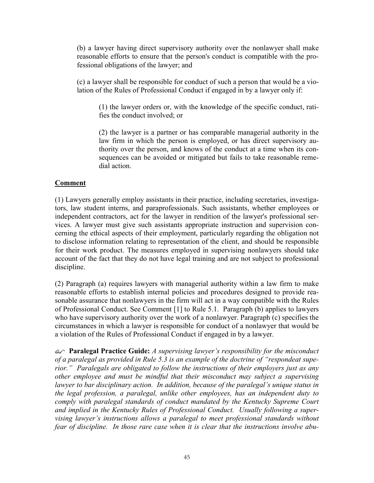(b) a lawyer having direct supervisory authority over the nonlawyer shall make reasonable efforts to ensure that the person's conduct is compatible with the professional obligations of the lawyer; and

(c) a lawyer shall be responsible for conduct of such a person that would be a violation of the Rules of Professional Conduct if engaged in by a lawyer only if:

(1) the lawyer orders or, with the knowledge of the specific conduct, ratifies the conduct involved; or

(2) the lawyer is a partner or has comparable managerial authority in the law firm in which the person is employed, or has direct supervisory authority over the person, and knows of the conduct at a time when its consequences can be avoided or mitigated but fails to take reasonable remedial action.

## **Comment**

(1) Lawyers generally employ assistants in their practice, including secretaries, investigators, law student interns, and paraprofessionals. Such assistants, whether employees or independent contractors, act for the lawyer in rendition of the lawyer's professional services. A lawyer must give such assistants appropriate instruction and supervision concerning the ethical aspects of their employment, particularly regarding the obligation not to disclose information relating to representation of the client, and should be responsible for their work product. The measures employed in supervising nonlawyers should take account of the fact that they do not have legal training and are not subject to professional discipline.

(2) Paragraph (a) requires lawyers with managerial authority within a law firm to make reasonable efforts to establish internal policies and procedures designed to provide reasonable assurance that nonlawyers in the firm will act in a way compatible with the Rules of Professional Conduct. See Comment [1] to Rule 5.1. Paragraph (b) applies to lawyers who have supervisory authority over the work of a nonlawyer. Paragraph (c) specifies the circumstances in which a lawyer is responsible for conduct of a nonlawyer that would be a violation of the Rules of Professional Conduct if engaged in by a lawyer.

 **Paralegal Practice Guide:** *A supervising lawyer's responsibility for the misconduct of a paralegal as provided in Rule 5.3 is an example of the doctrine of "respondeat superior." Paralegals are obligated to follow the instructions of their employers just as any other employee and must be mindful that their misconduct may subject a supervising lawyer to bar disciplinary action. In addition, because of the paralegal's unique status in the legal profession, a paralegal, unlike other employees, has an independent duty to comply with paralegal standards of conduct mandated by the Kentucky Supreme Court and implied in the Kentucky Rules of Professional Conduct. Usually following a supervising lawyer's instructions allows a paralegal to meet professional standards without fear of discipline. In those rare case when it is clear that the instructions involve abu-*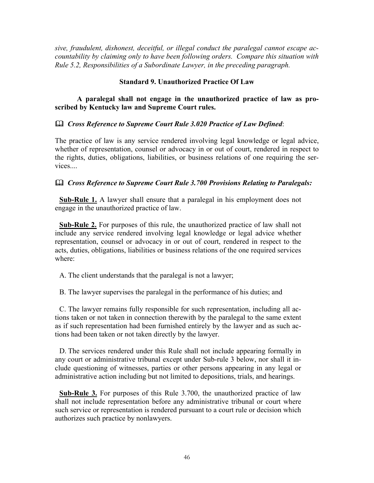*sive, fraudulent, dishonest, deceitful, or illegal conduct the paralegal cannot escape accountability by claiming only to have been following orders. Compare this situation with Rule 5.2, Responsibilities of a Subordinate Lawyer, in the preceding paragraph.*

#### **Standard 9. Unauthorized Practice Of Law**

## **A paralegal shall not engage in the unauthorized practice of law as proscribed by Kentucky law and Supreme Court rules.**

## *Cross Reference to Supreme Court Rule 3.020 Practice of Law Defined*:

The practice of law is any service rendered involving legal knowledge or legal advice, whether of representation, counsel or advocacy in or out of court, rendered in respect to the rights, duties, obligations, liabilities, or business relations of one requiring the services...

## *Cross Reference to Supreme Court Rule 3.700 Provisions Relating to Paralegals:*

**Sub-Rule 1.** A lawyer shall ensure that a paralegal in his employment does not engage in the unauthorized practice of law.

**Sub-Rule 2.** For purposes of this rule, the unauthorized practice of law shall not include any service rendered involving legal knowledge or legal advice whether representation, counsel or advocacy in or out of court, rendered in respect to the acts, duties, obligations, liabilities or business relations of the one required services where:

A. The client understands that the paralegal is not a lawyer;

B. The lawyer supervises the paralegal in the performance of his duties; and

C. The lawyer remains fully responsible for such representation, including all actions taken or not taken in connection therewith by the paralegal to the same extent as if such representation had been furnished entirely by the lawyer and as such actions had been taken or not taken directly by the lawyer.

D. The services rendered under this Rule shall not include appearing formally in any court or administrative tribunal except under Sub-rule 3 below, nor shall it include questioning of witnesses, parties or other persons appearing in any legal or administrative action including but not limited to depositions, trials, and hearings.

**Sub-Rule 3.** For purposes of this Rule 3.700, the unauthorized practice of law shall not include representation before any administrative tribunal or court where such service or representation is rendered pursuant to a court rule or decision which authorizes such practice by nonlawyers.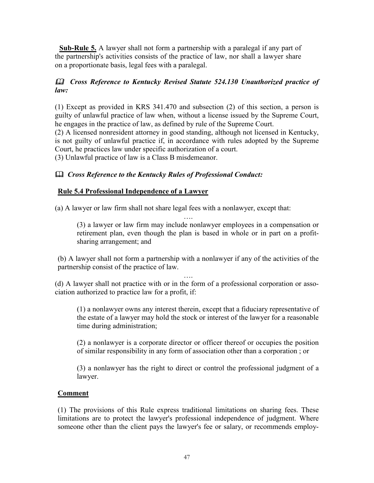**Sub-Rule 5.** A lawyer shall not form a partnership with a paralegal if any part of the partnership's activities consists of the practice of law, nor shall a lawyer share on a proportionate basis, legal fees with a paralegal.

## *Cross Reference to Kentucky Revised Statute 524.130 Unauthorized practice of law:*

(1) Except as provided in KRS 341.470 and subsection (2) of this section, a person is guilty of unlawful practice of law when, without a license issued by the Supreme Court, he engages in the practice of law, as defined by rule of the Supreme Court. (2) A licensed nonresident attorney in good standing, although not licensed in Kentucky, is not guilty of unlawful practice if, in accordance with rules adopted by the Supreme Court, he practices law under specific authorization of a court.

(3) Unlawful practice of law is a Class B misdemeanor.

# *Cross Reference to the Kentucky Rules of Professional Conduct:*

## **Rule 5.4 Professional Independence of a Lawyer**

(a) A lawyer or law firm shall not share legal fees with a nonlawyer, except that:

…. (3) a lawyer or law firm may include nonlawyer employees in a compensation or retirement plan, even though the plan is based in whole or in part on a profitsharing arrangement; and

(b) A lawyer shall not form a partnership with a nonlawyer if any of the activities of the partnership consist of the practice of law.

…. (d) A lawyer shall not practice with or in the form of a professional corporation or association authorized to practice law for a profit, if:

(1) a nonlawyer owns any interest therein, except that a fiduciary representative of the estate of a lawyer may hold the stock or interest of the lawyer for a reasonable time during administration;

(2) a nonlawyer is a corporate director or officer thereof or occupies the position of similar responsibility in any form of association other than a corporation ; or

(3) a nonlawyer has the right to direct or control the professional judgment of a lawyer.

## **Comment**

(1) The provisions of this Rule express traditional limitations on sharing fees. These limitations are to protect the lawyer's professional independence of judgment. Where someone other than the client pays the lawyer's fee or salary, or recommends employ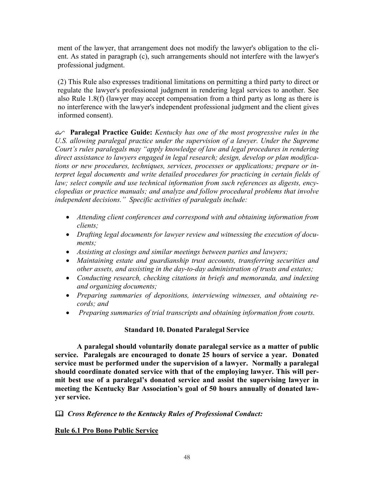ment of the lawyer, that arrangement does not modify the lawyer's obligation to the client. As stated in paragraph (c), such arrangements should not interfere with the lawyer's professional judgment.

(2) This Rule also expresses traditional limitations on permitting a third party to direct or regulate the lawyer's professional judgment in rendering legal services to another. See also Rule 1.8(f) (lawyer may accept compensation from a third party as long as there is no interference with the lawyer's independent professional judgment and the client gives informed consent).

 **Paralegal Practice Guide:** *Kentucky has one of the most progressive rules in the*  U.S. allowing paralegal practice under the supervision of a lawyer. Under the Supreme *Court's rules paralegals may "apply knowledge of law and legal procedures in rendering direct assistance to lawyers engaged in legal research; design, develop or plan modifications or new procedures, techniques, services, processes or applications; prepare or interpret legal documents and write detailed procedures for practicing in certain fields of law; select compile and use technical information from such references as digests, encyclopedias or practice manuals; and analyze and follow procedural problems that involve independent decisions." Specific activities of paralegals include:*

- *Attending client conferences and correspond with and obtaining information from clients;*
- *Drafting legal documents for lawyer review and witnessing the execution of documents;*
- *Assisting at closings and similar meetings between parties and lawyers;*
- *Maintaining estate and guardianship trust accounts, transferring securities and other assets, and assisting in the day-to-day administration of trusts and estates;*
- *Conducting research, checking citations in briefs and memoranda, and indexing and organizing documents;*
- *Preparing summaries of depositions, interviewing witnesses, and obtaining records; and*
- *Preparing summaries of trial transcripts and obtaining information from courts.*

# **Standard 10. Donated Paralegal Service**

**A paralegal should voluntarily donate paralegal service as a matter of public service. Paralegals are encouraged to donate 25 hours of service a year. Donated service must be performed under the supervision of a lawyer. Normally a paralegal should coordinate donated service with that of the employing lawyer. This will permit best use of a paralegal's donated service and assist the supervising lawyer in meeting the Kentucky Bar Association's goal of 50 hours annually of donated lawyer service.** 

# *Cross Reference to the Kentucky Rules of Professional Conduct:*

# **Rule 6.1 Pro Bono Public Service**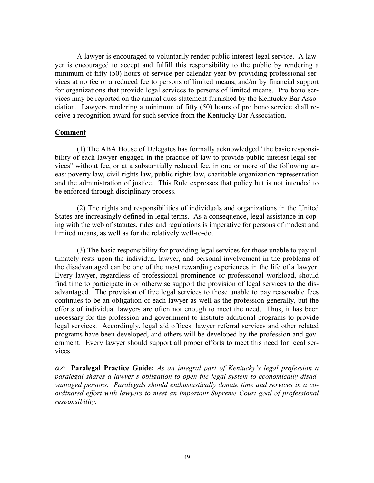A lawyer is encouraged to voluntarily render public interest legal service. A lawyer is encouraged to accept and fulfill this responsibility to the public by rendering a minimum of fifty (50) hours of service per calendar year by providing professional services at no fee or a reduced fee to persons of limited means, and/or by financial support for organizations that provide legal services to persons of limited means. Pro bono services may be reported on the annual dues statement furnished by the Kentucky Bar Association. Lawyers rendering a minimum of fifty (50) hours of pro bono service shall receive a recognition award for such service from the Kentucky Bar Association.

#### **Comment**

(1) The ABA House of Delegates has formally acknowledged "the basic responsibility of each lawyer engaged in the practice of law to provide public interest legal services" without fee, or at a substantially reduced fee, in one or more of the following areas: poverty law, civil rights law, public rights law, charitable organization representation and the administration of justice. This Rule expresses that policy but is not intended to be enforced through disciplinary process.

(2) The rights and responsibilities of individuals and organizations in the United States are increasingly defined in legal terms. As a consequence, legal assistance in coping with the web of statutes, rules and regulations is imperative for persons of modest and limited means, as well as for the relatively well-to-do.

(3) The basic responsibility for providing legal services for those unable to pay ultimately rests upon the individual lawyer, and personal involvement in the problems of the disadvantaged can be one of the most rewarding experiences in the life of a lawyer. Every lawyer, regardless of professional prominence or professional workload, should find time to participate in or otherwise support the provision of legal services to the disadvantaged. The provision of free legal services to those unable to pay reasonable fees continues to be an obligation of each lawyer as well as the profession generally, but the efforts of individual lawyers are often not enough to meet the need. Thus, it has been necessary for the profession and government to institute additional programs to provide legal services. Accordingly, legal aid offices, lawyer referral services and other related programs have been developed, and others will be developed by the profession and government. Every lawyer should support all proper efforts to meet this need for legal services.

 **Paralegal Practice Guide:** *As an integral part of Kentucky's legal profession a paralegal shares a lawyer's obligation to open the legal system to economically disadvantaged persons. Paralegals should enthusiastically donate time and services in a coordinated effort with lawyers to meet an important Supreme Court goal of professional responsibility.*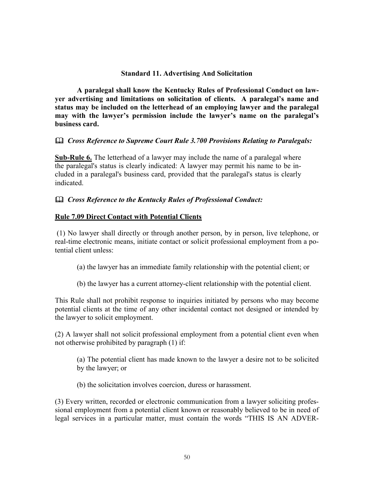#### **Standard 11. Advertising And Solicitation**

**A paralegal shall know the Kentucky Rules of Professional Conduct on lawyer advertising and limitations on solicitation of clients. A paralegal's name and status may be included on the letterhead of an employing lawyer and the paralegal may with the lawyer's permission include the lawyer's name on the paralegal's business card.**

## *Cross Reference to Supreme Court Rule 3.700 Provisions Relating to Paralegals:*

**Sub-Rule 6.** The letterhead of a lawyer may include the name of a paralegal where the paralegal's status is clearly indicated: A lawyer may permit his name to be included in a paralegal's business card, provided that the paralegal's status is clearly indicated.

## *Cross Reference to the Kentucky Rules of Professional Conduct:*

## **Rule 7.09 Direct Contact with Potential Clients**

 (1) No lawyer shall directly or through another person, by in person, live telephone, or real-time electronic means, initiate contact or solicit professional employment from a potential client unless:

- (a) the lawyer has an immediate family relationship with the potential client; or
- (b) the lawyer has a current attorney-client relationship with the potential client.

This Rule shall not prohibit response to inquiries initiated by persons who may become potential clients at the time of any other incidental contact not designed or intended by the lawyer to solicit employment.

(2) A lawyer shall not solicit professional employment from a potential client even when not otherwise prohibited by paragraph (1) if:

(a) The potential client has made known to the lawyer a desire not to be solicited by the lawyer; or

(b) the solicitation involves coercion, duress or harassment.

(3) Every written, recorded or electronic communication from a lawyer soliciting professional employment from a potential client known or reasonably believed to be in need of legal services in a particular matter, must contain the words "THIS IS AN ADVER-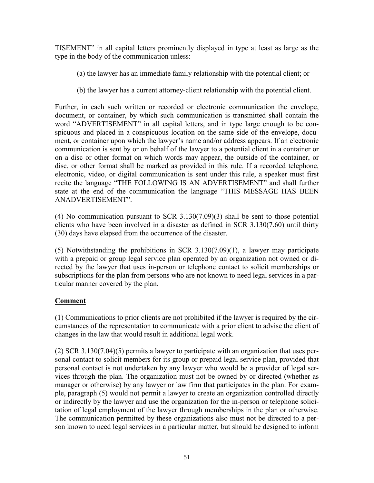TISEMENT" in all capital letters prominently displayed in type at least as large as the type in the body of the communication unless:

- (a) the lawyer has an immediate family relationship with the potential client; or
- (b) the lawyer has a current attorney-client relationship with the potential client.

Further, in each such written or recorded or electronic communication the envelope, document, or container, by which such communication is transmitted shall contain the word "ADVERTISEMENT" in all capital letters, and in type large enough to be conspicuous and placed in a conspicuous location on the same side of the envelope, document, or container upon which the lawyer's name and/or address appears. If an electronic communication is sent by or on behalf of the lawyer to a potential client in a container or on a disc or other format on which words may appear, the outside of the container, or disc, or other format shall be marked as provided in this rule. If a recorded telephone, electronic, video, or digital communication is sent under this rule, a speaker must first recite the language "THE FOLLOWING IS AN ADVERTISEMENT" and shall further state at the end of the communication the language "THIS MESSAGE HAS BEEN ANADVERTISEMENT".

(4) No communication pursuant to SCR 3.130(7.09)(3) shall be sent to those potential clients who have been involved in a disaster as defined in SCR 3.130(7.60) until thirty (30) days have elapsed from the occurrence of the disaster.

(5) Notwithstanding the prohibitions in SCR 3.130(7.09)(1), a lawyer may participate with a prepaid or group legal service plan operated by an organization not owned or directed by the lawyer that uses in-person or telephone contact to solicit memberships or subscriptions for the plan from persons who are not known to need legal services in a particular manner covered by the plan.

# **Comment**

(1) Communications to prior clients are not prohibited if the lawyer is required by the circumstances of the representation to communicate with a prior client to advise the client of changes in the law that would result in additional legal work.

(2) SCR 3.130(7.04)(5) permits a lawyer to participate with an organization that uses personal contact to solicit members for its group or prepaid legal service plan, provided that personal contact is not undertaken by any lawyer who would be a provider of legal services through the plan. The organization must not be owned by or directed (whether as manager or otherwise) by any lawyer or law firm that participates in the plan. For example, paragraph (5) would not permit a lawyer to create an organization controlled directly or indirectly by the lawyer and use the organization for the in-person or telephone solicitation of legal employment of the lawyer through memberships in the plan or otherwise. The communication permitted by these organizations also must not be directed to a person known to need legal services in a particular matter, but should be designed to inform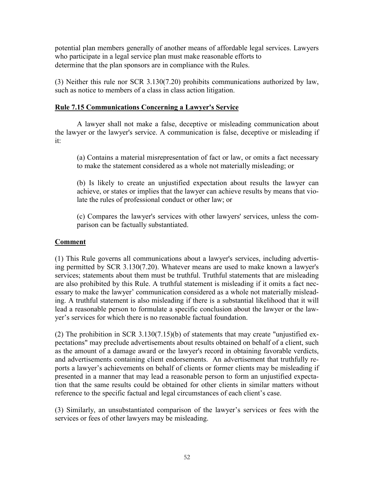potential plan members generally of another means of affordable legal services. Lawyers who participate in a legal service plan must make reasonable efforts to determine that the plan sponsors are in compliance with the Rules.

(3) Neither this rule nor SCR 3.130(7.20) prohibits communications authorized by law, such as notice to members of a class in class action litigation.

## **Rule 7.15 Communications Concerning a Lawyer's Service**

A lawyer shall not make a false, deceptive or misleading communication about the lawyer or the lawyer's service. A communication is false, deceptive or misleading if it:

(a) Contains a material misrepresentation of fact or law, or omits a fact necessary to make the statement considered as a whole not materially misleading; or

(b) Is likely to create an unjustified expectation about results the lawyer can achieve, or states or implies that the lawyer can achieve results by means that violate the rules of professional conduct or other law; or

(c) Compares the lawyer's services with other lawyers' services, unless the comparison can be factually substantiated.

# **Comment**

(1) This Rule governs all communications about a lawyer's services, including advertising permitted by SCR 3.130(7.20). Whatever means are used to make known a lawyer's services; statements about them must be truthful. Truthful statements that are misleading are also prohibited by this Rule. A truthful statement is misleading if it omits a fact necessary to make the lawyer' communication considered as a whole not materially misleading. A truthful statement is also misleading if there is a substantial likelihood that it will lead a reasonable person to formulate a specific conclusion about the lawyer or the lawyer's services for which there is no reasonable factual foundation.

(2) The prohibition in SCR 3.130(7.15)(b) of statements that may create "unjustified expectations" may preclude advertisements about results obtained on behalf of a client, such as the amount of a damage award or the lawyer's record in obtaining favorable verdicts, and advertisements containing client endorsements. An advertisement that truthfully reports a lawyer's achievements on behalf of clients or former clients may be misleading if presented in a manner that may lead a reasonable person to form an unjustified expectation that the same results could be obtained for other clients in similar matters without reference to the specific factual and legal circumstances of each client's case.

(3) Similarly, an unsubstantiated comparison of the lawyer's services or fees with the services or fees of other lawyers may be misleading.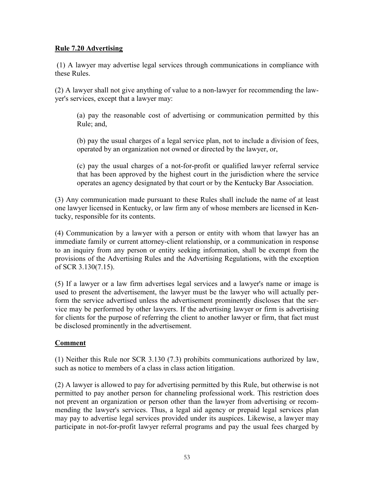## **Rule 7.20 Advertising**

 (1) A lawyer may advertise legal services through communications in compliance with these Rules.

(2) A lawyer shall not give anything of value to a non-lawyer for recommending the lawyer's services, except that a lawyer may:

(a) pay the reasonable cost of advertising or communication permitted by this Rule; and,

(b) pay the usual charges of a legal service plan, not to include a division of fees, operated by an organization not owned or directed by the lawyer, or,

(c) pay the usual charges of a not-for-profit or qualified lawyer referral service that has been approved by the highest court in the jurisdiction where the service operates an agency designated by that court or by the Kentucky Bar Association.

(3) Any communication made pursuant to these Rules shall include the name of at least one lawyer licensed in Kentucky, or law firm any of whose members are licensed in Kentucky, responsible for its contents.

(4) Communication by a lawyer with a person or entity with whom that lawyer has an immediate family or current attorney-client relationship, or a communication in response to an inquiry from any person or entity seeking information, shall be exempt from the provisions of the Advertising Rules and the Advertising Regulations, with the exception of SCR 3.130(7.15).

(5) If a lawyer or a law firm advertises legal services and a lawyer's name or image is used to present the advertisement, the lawyer must be the lawyer who will actually perform the service advertised unless the advertisement prominently discloses that the service may be performed by other lawyers. If the advertising lawyer or firm is advertising for clients for the purpose of referring the client to another lawyer or firm, that fact must be disclosed prominently in the advertisement.

## **Comment**

(1) Neither this Rule nor SCR 3.130 (7.3) prohibits communications authorized by law, such as notice to members of a class in class action litigation.

(2) A lawyer is allowed to pay for advertising permitted by this Rule, but otherwise is not permitted to pay another person for channeling professional work. This restriction does not prevent an organization or person other than the lawyer from advertising or recommending the lawyer's services. Thus, a legal aid agency or prepaid legal services plan may pay to advertise legal services provided under its auspices. Likewise, a lawyer may participate in not-for-profit lawyer referral programs and pay the usual fees charged by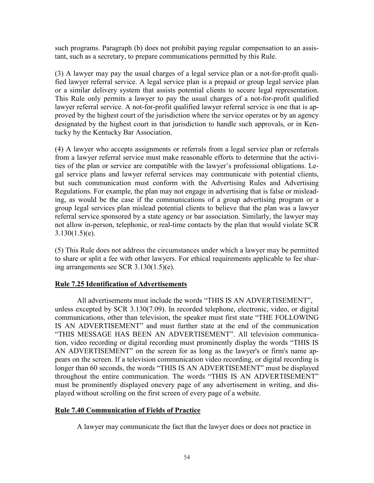such programs. Paragraph (b) does not prohibit paying regular compensation to an assistant, such as a secretary, to prepare communications permitted by this Rule.

(3) A lawyer may pay the usual charges of a legal service plan or a not-for-profit qualified lawyer referral service. A legal service plan is a prepaid or group legal service plan or a similar delivery system that assists potential clients to secure legal representation. This Rule only permits a lawyer to pay the usual charges of a not-for-profit qualified lawyer referral service. A not-for-profit qualified lawyer referral service is one that is approved by the highest court of the jurisdiction where the service operates or by an agency designated by the highest court in that jurisdiction to handle such approvals, or in Kentucky by the Kentucky Bar Association.

(4) A lawyer who accepts assignments or referrals from a legal service plan or referrals from a lawyer referral service must make reasonable efforts to determine that the activities of the plan or service are compatible with the lawyer's professional obligations. Legal service plans and lawyer referral services may communicate with potential clients, but such communication must conform with the Advertising Rules and Advertising Regulations. For example, the plan may not engage in advertising that is false or misleading, as would be the case if the communications of a group advertising program or a group legal services plan mislead potential clients to believe that the plan was a lawyer referral service sponsored by a state agency or bar association. Similarly, the lawyer may not allow in-person, telephonic, or real-time contacts by the plan that would violate SCR  $3.130(1.5)(e)$ .

(5) This Rule does not address the circumstances under which a lawyer may be permitted to share or split a fee with other lawyers. For ethical requirements applicable to fee sharing arrangements see SCR 3.130(1.5)(e).

## **Rule 7.25 Identification of Advertisements**

All advertisements must include the words "THIS IS AN ADVERTISEMENT", unless excepted by SCR 3.130(7.09). In recorded telephone, electronic, video, or digital communications, other than television, the speaker must first state "THE FOLLOWING IS AN ADVERTISEMENT" and must further state at the end of the communication "THIS MESSAGE HAS BEEN AN ADVERTISEMENT". All television communication, video recording or digital recording must prominently display the words "THIS IS AN ADVERTISEMENT" on the screen for as long as the lawyer's or firm's name appears on the screen. If a television communication video recording, or digital recording is longer than 60 seconds, the words "THIS IS AN ADVERTISEMENT" must be displayed throughout the entire communication. The words "THIS IS AN ADVERTISEMENT" must be prominently displayed onevery page of any advertisement in writing, and displayed without scrolling on the first screen of every page of a website.

## **Rule 7.40 Communication of Fields of Practice**

A lawyer may communicate the fact that the lawyer does or does not practice in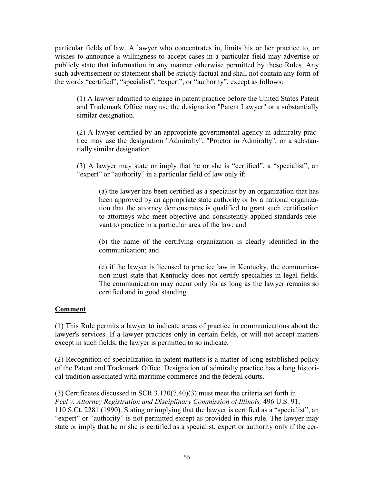particular fields of law. A lawyer who concentrates in, limits his or her practice to, or wishes to announce a willingness to accept cases in a particular field may advertise or publicly state that information in any manner otherwise permitted by these Rules. Any such advertisement or statement shall be strictly factual and shall not contain any form of the words "certified", "specialist", "expert", or "authority", except as follows:

(1) A lawyer admitted to engage in patent practice before the United States Patent and Trademark Office may use the designation "Patent Lawyer" or a substantially similar designation.

(2) A lawyer certified by an appropriate governmental agency in admiralty practice may use the designation "Admiralty", "Proctor in Admiralty", or a substantially similar designation.

(3) A lawyer may state or imply that he or she is "certified", a "specialist", an "expert" or "authority" in a particular field of law only if:

(a) the lawyer has been certified as a specialist by an organization that has been approved by an appropriate state authority or by a national organization that the attorney demonstrates is qualified to grant such certification to attorneys who meet objective and consistently applied standards relevant to practice in a particular area of the law; and

(b) the name of the certifying organization is clearly identified in the communication; and

(c) if the lawyer is licensed to practice law in Kentucky, the communication must state that Kentucky does not certify specialties in legal fields. The communication may occur only for as long as the lawyer remains so certified and in good standing.

## **Comment**

(1) This Rule permits a lawyer to indicate areas of practice in communications about the lawyer's services. If a lawyer practices only in certain fields, or will not accept matters except in such fields, the lawyer is permitted to so indicate.

(2) Recognition of specialization in patent matters is a matter of long-established policy of the Patent and Trademark Office. Designation of admiralty practice has a long historical tradition associated with maritime commerce and the federal courts.

(3) Certificates discussed in SCR 3.130(7.40)(3) must meet the criteria set forth in *Peel v. Attorney Registration and Disciplinary Commission of Illinois,* 496 U.S. 91, 110 S.Ct. 2281 (1990). Stating or implying that the lawyer is certified as a "specialist", an "expert" or "authority" is not permitted except as provided in this rule. The lawyer may state or imply that he or she is certified as a specialist, expert or authority only if the cer-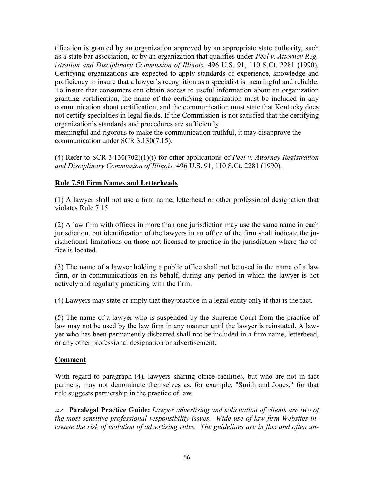tification is granted by an organization approved by an appropriate state authority, such as a state bar association, or by an organization that qualifies under *Peel v. Attorney Registration and Disciplinary Commission of Illinois,* 496 U.S. 91, 110 S.Ct. 2281 (1990)*.*  Certifying organizations are expected to apply standards of experience, knowledge and proficiency to insure that a lawyer's recognition as a specialist is meaningful and reliable. To insure that consumers can obtain access to useful information about an organization granting certification, the name of the certifying organization must be included in any communication about certification, and the communication must state that Kentucky does not certify specialties in legal fields. If the Commission is not satisfied that the certifying organization's standards and procedures are sufficiently

meaningful and rigorous to make the communication truthful, it may disapprove the communication under SCR 3.130(7.15).

(4) Refer to SCR 3.130(702)(1)(i) for other applications of *Peel v. Attorney Registration and Disciplinary Commission of Illinois,* 496 U.S. 91, 110 S.Ct. 2281 (1990).

## **Rule 7.50 Firm Names and Letterheads**

(1) A lawyer shall not use a firm name, letterhead or other professional designation that violates Rule 7.15.

(2) A law firm with offices in more than one jurisdiction may use the same name in each jurisdiction, but identification of the lawyers in an office of the firm shall indicate the jurisdictional limitations on those not licensed to practice in the jurisdiction where the office is located.

(3) The name of a lawyer holding a public office shall not be used in the name of a law firm, or in communications on its behalf, during any period in which the lawyer is not actively and regularly practicing with the firm.

(4) Lawyers may state or imply that they practice in a legal entity only if that is the fact.

(5) The name of a lawyer who is suspended by the Supreme Court from the practice of law may not be used by the law firm in any manner until the lawyer is reinstated. A lawyer who has been permanently disbarred shall not be included in a firm name, letterhead, or any other professional designation or advertisement.

## **Comment**

With regard to paragraph (4), lawyers sharing office facilities, but who are not in fact partners, may not denominate themselves as, for example, "Smith and Jones," for that title suggests partnership in the practice of law.

 **Paralegal Practice Guide:** *Lawyer advertising and solicitation of clients are two of the most sensitive professional responsibility issues. Wide use of law firm Websites increase the risk of violation of advertising rules. The guidelines are in flux and often un-*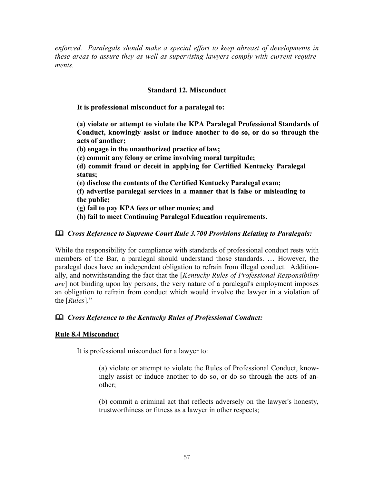*enforced. Paralegals should make a special effort to keep abreast of developments in these areas to assure they as well as supervising lawyers comply with current requirements.*

## **Standard 12. Misconduct**

**It is professional misconduct for a paralegal to:**

**(a) violate or attempt to violate the KPA Paralegal Professional Standards of Conduct, knowingly assist or induce another to do so, or do so through the acts of another;**

**(b) engage in the unauthorized practice of law;**

**(c) commit any felony or crime involving moral turpitude;**

**(d) commit fraud or deceit in applying for Certified Kentucky Paralegal status;** 

**(e) disclose the contents of the Certified Kentucky Paralegal exam;**

**(f) advertise paralegal services in a manner that is false or misleading to the public;**

**(g) fail to pay KPA fees or other monies; and**

**(h) fail to meet Continuing Paralegal Education requirements.**

*Cross Reference to Supreme Court Rule 3.700 Provisions Relating to Paralegals:*

While the responsibility for compliance with standards of professional conduct rests with members of the Bar, a paralegal should understand those standards. … However, the paralegal does have an independent obligation to refrain from illegal conduct. Additionally, and notwithstanding the fact that the [*Kentucky Rules of Professional Responsibility are*] not binding upon lay persons, the very nature of a paralegal's employment imposes an obligation to refrain from conduct which would involve the lawyer in a violation of the [*Rules*]."

# *Cross Reference to the Kentucky Rules of Professional Conduct:*

## **Rule 8.4 Misconduct**

It is professional misconduct for a lawyer to:

(a) violate or attempt to violate the Rules of Professional Conduct, knowingly assist or induce another to do so, or do so through the acts of another;

(b) commit a criminal act that reflects adversely on the lawyer's honesty, trustworthiness or fitness as a lawyer in other respects;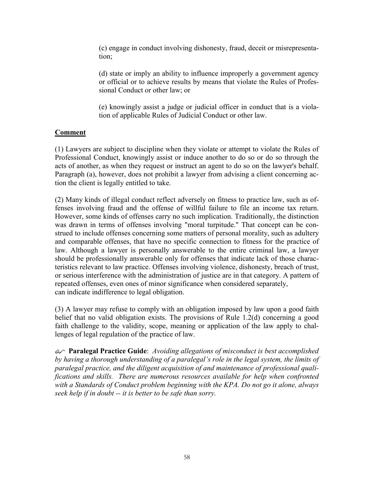(c) engage in conduct involving dishonesty, fraud, deceit or misrepresentation;

(d) state or imply an ability to influence improperly a government agency or official or to achieve results by means that violate the Rules of Professional Conduct or other law; or

(e) knowingly assist a judge or judicial officer in conduct that is a violation of applicable Rules of Judicial Conduct or other law.

## **Comment**

(1) Lawyers are subject to discipline when they violate or attempt to violate the Rules of Professional Conduct, knowingly assist or induce another to do so or do so through the acts of another, as when they request or instruct an agent to do so on the lawyer's behalf. Paragraph (a), however, does not prohibit a lawyer from advising a client concerning action the client is legally entitled to take.

(2) Many kinds of illegal conduct reflect adversely on fitness to practice law, such as offenses involving fraud and the offense of willful failure to file an income tax return. However, some kinds of offenses carry no such implication. Traditionally, the distinction was drawn in terms of offenses involving "moral turpitude." That concept can be construed to include offenses concerning some matters of personal morality, such as adultery and comparable offenses, that have no specific connection to fitness for the practice of law. Although a lawyer is personally answerable to the entire criminal law, a lawyer should be professionally answerable only for offenses that indicate lack of those characteristics relevant to law practice. Offenses involving violence, dishonesty, breach of trust, or serious interference with the administration of justice are in that category. A pattern of repeated offenses, even ones of minor significance when considered separately, can indicate indifference to legal obligation.

(3) A lawyer may refuse to comply with an obligation imposed by law upon a good faith belief that no valid obligation exists. The provisions of Rule 1.2(d) concerning a good faith challenge to the validity, scope, meaning or application of the law apply to challenges of legal regulation of the practice of law.

 **Paralegal Practice Guide**: *Avoiding allegations of misconduct is best accomplished by having a thorough understanding of a paralegal's role in the legal system, the limits of paralegal practice, and the diligent acquisition of and maintenance of professional qualifications and skills. There are numerous resources available for help when confronted with a Standards of Conduct problem beginning with the KPA. Do not go it alone, always seek help if in doubt -- it is better to be safe than sorry.*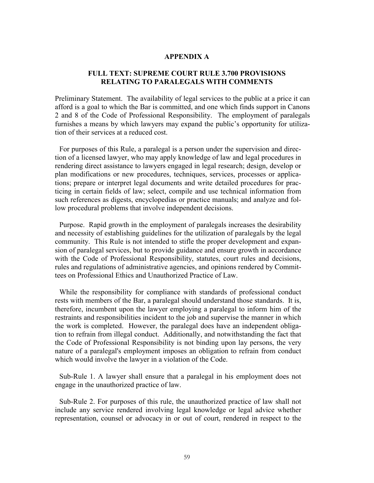#### **APPENDIX A**

#### **FULL TEXT: SUPREME COURT RULE 3.700 PROVISIONS RELATING TO PARALEGALS WITH COMMENTS**

Preliminary Statement. The availability of legal services to the public at a price it can afford is a goal to which the Bar is committed, and one which finds support in Canons 2 and 8 of the Code of Professional Responsibility. The employment of paralegals furnishes a means by which lawyers may expand the public's opportunity for utilization of their services at a reduced cost.

For purposes of this Rule, a paralegal is a person under the supervision and direction of a licensed lawyer, who may apply knowledge of law and legal procedures in rendering direct assistance to lawyers engaged in legal research; design, develop or plan modifications or new procedures, techniques, services, processes or applications; prepare or interpret legal documents and write detailed procedures for practicing in certain fields of law; select, compile and use technical information from such references as digests, encyclopedias or practice manuals; and analyze and follow procedural problems that involve independent decisions.

Purpose. Rapid growth in the employment of paralegals increases the desirability and necessity of establishing guidelines for the utilization of paralegals by the legal community. This Rule is not intended to stifle the proper development and expansion of paralegal services, but to provide guidance and ensure growth in accordance with the Code of Professional Responsibility, statutes, court rules and decisions, rules and regulations of administrative agencies, and opinions rendered by Committees on Professional Ethics and Unauthorized Practice of Law.

While the responsibility for compliance with standards of professional conduct rests with members of the Bar, a paralegal should understand those standards. It is, therefore, incumbent upon the lawyer employing a paralegal to inform him of the restraints and responsibilities incident to the job and supervise the manner in which the work is completed. However, the paralegal does have an independent obligation to refrain from illegal conduct. Additionally, and notwithstanding the fact that the Code of Professional Responsibility is not binding upon lay persons, the very nature of a paralegal's employment imposes an obligation to refrain from conduct which would involve the lawyer in a violation of the Code.

Sub-Rule 1. A lawyer shall ensure that a paralegal in his employment does not engage in the unauthorized practice of law.

Sub-Rule 2. For purposes of this rule, the unauthorized practice of law shall not include any service rendered involving legal knowledge or legal advice whether representation, counsel or advocacy in or out of court, rendered in respect to the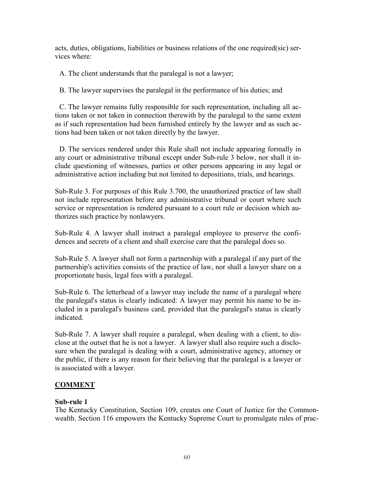acts, duties, obligations, liabilities or business relations of the one required(sic) services where:

A. The client understands that the paralegal is not a lawyer;

B. The lawyer supervises the paralegal in the performance of his duties; and

C. The lawyer remains fully responsible for such representation, including all actions taken or not taken in connection therewith by the paralegal to the same extent as if such representation had been furnished entirely by the lawyer and as such actions had been taken or not taken directly by the lawyer.

D. The services rendered under this Rule shall not include appearing formally in any court or administrative tribunal except under Sub-rule 3 below, nor shall it include questioning of witnesses, parties or other persons appearing in any legal or administrative action including but not limited to depositions, trials, and hearings.

Sub-Rule 3. For purposes of this Rule 3.700, the unauthorized practice of law shall not include representation before any administrative tribunal or court where such service or representation is rendered pursuant to a court rule or decision which authorizes such practice by nonlawyers.

Sub-Rule 4. A lawyer shall instruct a paralegal employee to preserve the confidences and secrets of a client and shall exercise care that the paralegal does so.

Sub-Rule 5. A lawyer shall not form a partnership with a paralegal if any part of the partnership's activities consists of the practice of law, nor shall a lawyer share on a proportionate basis, legal fees with a paralegal.

Sub-Rule 6. The letterhead of a lawyer may include the name of a paralegal where the paralegal's status is clearly indicated: A lawyer may permit his name to be included in a paralegal's business card, provided that the paralegal's status is clearly indicated.

Sub-Rule 7. A lawyer shall require a paralegal, when dealing with a client, to disclose at the outset that he is not a lawyer. A lawyer shall also require such a disclosure when the paralegal is dealing with a court, administrative agency, attorney or the public, if there is any reason for their believing that the paralegal is a lawyer or is associated with a lawyer.

## **COMMENT**

## **Sub-rule 1**

The Kentucky Constitution, Section 109, creates one Court of Justice for the Commonwealth. Section 116 empowers the Kentucky Supreme Court to promulgate rules of prac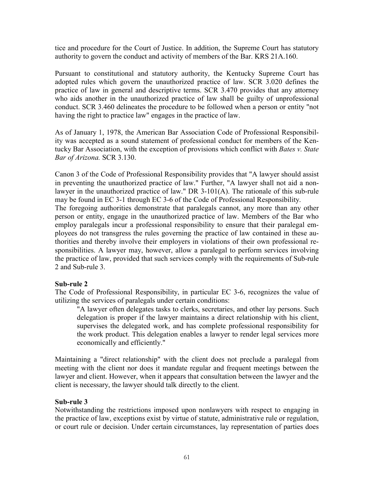tice and procedure for the Court of Justice. In addition, the Supreme Court has statutory authority to govern the conduct and activity of members of the Bar. KRS 21A.160.

Pursuant to constitutional and statutory authority, the Kentucky Supreme Court has adopted rules which govern the unauthorized practice of law. SCR 3.020 defines the practice of law in general and descriptive terms. SCR 3.470 provides that any attorney who aids another in the unauthorized practice of law shall be guilty of unprofessional conduct. SCR 3.460 delineates the procedure to be followed when a person or entity "not having the right to practice law" engages in the practice of law.

As of January 1, 1978, the American Bar Association Code of Professional Responsibility was accepted as a sound statement of professional conduct for members of the Kentucky Bar Association, with the exception of provisions which conflict with *Bates v. State Bar of Arizona.* SCR 3.130.

Canon 3 of the Code of Professional Responsibility provides that "A lawyer should assist in preventing the unauthorized practice of law." Further, "A lawyer shall not aid a nonlawyer in the unauthorized practice of law." DR 3-101(A). The rationale of this sub-rule may be found in EC 3-1 through EC 3-6 of the Code of Professional Responsibility. The foregoing authorities demonstrate that paralegals cannot, any more than any other person or entity, engage in the unauthorized practice of law. Members of the Bar who employ paralegals incur a professional responsibility to ensure that their paralegal employees do not transgress the rules governing the practice of law contained in these authorities and thereby involve their employers in violations of their own professional responsibilities. A lawyer may, however, allow a paralegal to perform services involving the practice of law, provided that such services comply with the requirements of Sub-rule 2 and Sub-rule 3.

## **Sub-rule 2**

The Code of Professional Responsibility, in particular EC 3-6, recognizes the value of utilizing the services of paralegals under certain conditions:

"A lawyer often delegates tasks to clerks, secretaries, and other lay persons. Such delegation is proper if the lawyer maintains a direct relationship with his client, supervises the delegated work, and has complete professional responsibility for the work product. This delegation enables a lawyer to render legal services more economically and efficiently."

Maintaining a "direct relationship" with the client does not preclude a paralegal from meeting with the client nor does it mandate regular and frequent meetings between the lawyer and client. However, when it appears that consultation between the lawyer and the client is necessary, the lawyer should talk directly to the client.

## **Sub-rule 3**

Notwithstanding the restrictions imposed upon nonlawyers with respect to engaging in the practice of law, exceptions exist by virtue of statute, administrative rule or regulation, or court rule or decision. Under certain circumstances, lay representation of parties does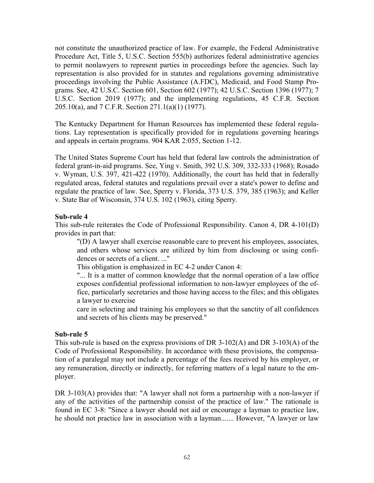not constitute the unauthorized practice of law. For example, the Federal Administrative Procedure Act, Title 5, U.S.C. Section 555(b) authorizes federal administrative agencies to permit nonlawyers to represent parties in proceedings before the agencies. Such lay representation is also provided for in statutes and regulations governing administrative proceedings involving the Public Assistance (A.FDC), Medicaid, and Food Stamp Programs. See, 42 U.S.C. Section 601, Section 602 (1977); 42 U.S.C. Section 1396 (1977); 7 U.S.C. Section 2019 (1977); and the implementing regulations, 45 C.F.R. Section 205.10(a), and 7 C.F.R. Section 271.1(a)(1) (1977).

The Kentucky Department for Human Resources has implemented these federal regulations. Lay representation is specifically provided for in regulations governing hearings and appeals in certain programs. 904 KAR 2:055, Section 1-12.

The United States Supreme Court has held that federal law controls the administration of federal grant-in-aid programs. See, Ying v. Smith, 392 U.S. 309, 332-333 (1968); Rosado v. Wyman, U.S. 397, 421-422 (1970). Additionally, the court has held that in federally regulated areas, federal statutes and regulations prevail over a state's power to define and regulate the practice of law. See, Sperry v. Florida, 373 U.S. 379, 385 (1963); and Keller v. State Bar of Wisconsin, 374 U.S. 102 (1963), citing Sperry.

#### **Sub-rule 4**

This sub-rule reiterates the Code of Professional Responsibility. Canon 4, DR 4-101(D) provides in part that:

"(D) A lawyer shall exercise reasonable care to prevent his employees, associates, and others whose services are utilized by him from disclosing or using confidences or secrets of a client. ..."

This obligation is emphasized in EC 4-2 under Canon 4:

"... It is a matter of common knowledge that the normal operation of a law office exposes confidential professional information to non-lawyer employees of the office, particularly secretaries and those having access to the files; and this obligates a lawyer to exercise

care in selecting and training his employees so that the sanctity of all confidences and secrets of his clients may be preserved."

## **Sub-rule 5**

This sub-rule is based on the express provisions of DR 3-102(A) and DR 3-103(A) of the Code of Professional Responsibility. In accordance with these provisions, the compensation of a paralegal may not include a percentage of the fees received by his employer, or any remuneration, directly or indirectly, for referring matters of a legal nature to the employer.

DR 3-103(A) provides that: "A lawyer shall not form a partnership with a non-lawyer if any of the activities of the partnership consist of the practice of law." The rationale is found in EC 3-8: "Since a lawyer should not aid or encourage a layman to practice law, he should not practice law in association with a layman....... However, "A lawyer or law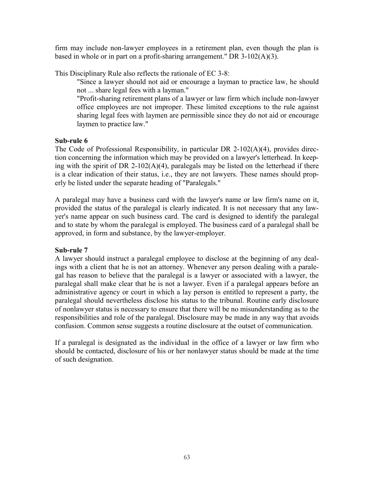firm may include non-lawyer employees in a retirement plan, even though the plan is based in whole or in part on a profit-sharing arrangement." DR 3-102(A)(3).

This Disciplinary Rule also reflects the rationale of EC 3-8:

"Since a lawyer should not aid or encourage a layman to practice law, he should not ... share legal fees with a layman."

"Profit-sharing retirement plans of a lawyer or law firm which include non-lawyer office employees are not improper. These limited exceptions to the rule against sharing legal fees with laymen are permissible since they do not aid or encourage laymen to practice law."

## **Sub-rule 6**

The Code of Professional Responsibility, in particular DR 2-102(A)(4), provides direction concerning the information which may be provided on a lawyer's letterhead. In keeping with the spirit of DR 2-102(A)(4), paralegals may be listed on the letterhead if there is a clear indication of their status, i.e., they are not lawyers. These names should properly be listed under the separate heading of "Paralegals."

A paralegal may have a business card with the lawyer's name or law firm's name on it, provided the status of the paralegal is clearly indicated. It is not necessary that any lawyer's name appear on such business card. The card is designed to identify the paralegal and to state by whom the paralegal is employed. The business card of a paralegal shall be approved, in form and substance, by the lawyer-employer.

## **Sub-rule 7**

A lawyer should instruct a paralegal employee to disclose at the beginning of any dealings with a client that he is not an attorney. Whenever any person dealing with a paralegal has reason to believe that the paralegal is a lawyer or associated with a lawyer, the paralegal shall make clear that he is not a lawyer. Even if a paralegal appears before an administrative agency or court in which a lay person is entitled to represent a party, the paralegal should nevertheless disclose his status to the tribunal. Routine early disclosure of nonlawyer status is necessary to ensure that there will be no misunderstanding as to the responsibilities and role of the paralegal. Disclosure may be made in any way that avoids confusion. Common sense suggests a routine disclosure at the outset of communication.

If a paralegal is designated as the individual in the office of a lawyer or law firm who should be contacted, disclosure of his or her nonlawyer status should be made at the time of such designation.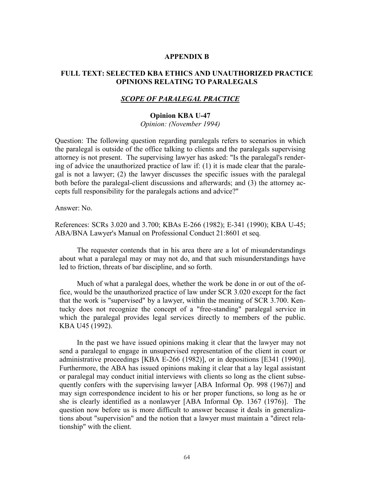#### **APPENDIX B**

#### **FULL TEXT: SELECTED KBA ETHICS AND UNAUTHORIZED PRACTICE OPINIONS RELATING TO PARALEGALS**

#### *SCOPE OF PARALEGAL PRACTICE*

#### **Opinion KBA U-47** *Opinion: (November 1994)*

Question: The following question regarding paralegals refers to scenarios in which the paralegal is outside of the office talking to clients and the paralegals supervising attorney is not present. The supervising lawyer has asked: "Is the paralegal's rendering of advice the unauthorized practice of law if: (1) it is made clear that the paralegal is not a lawyer; (2) the lawyer discusses the specific issues with the paralegal both before the paralegal-client discussions and afterwards; and (3) the attorney accepts full responsibility for the paralegals actions and advice?"

Answer: No.

References: SCRs 3.020 and 3.700; KBAs E-266 (1982); E-341 (1990); KBA U-45; ABA/BNA Lawyer's Manual on Professional Conduct 21:8601 et seq.

The requester contends that in his area there are a lot of misunderstandings about what a paralegal may or may not do, and that such misunderstandings have led to friction, threats of bar discipline, and so forth.

Much of what a paralegal does, whether the work be done in or out of the office, would be the unauthorized practice of law under SCR 3.020 except for the fact that the work is "supervised" by a lawyer, within the meaning of SCR 3.700. Kentucky does not recognize the concept of a "free-standing" paralegal service in which the paralegal provides legal services directly to members of the public. KBA U45 (1992).

In the past we have issued opinions making it clear that the lawyer may not send a paralegal to engage in unsupervised representation of the client in court or administrative proceedings [KBA E-266 (1982)], or in depositions [E341 (1990)]. Furthermore, the ABA has issued opinions making it clear that a lay legal assistant or paralegal may conduct initial interviews with clients so long as the client subsequently confers with the supervising lawyer [ABA Informal Op. 998 (1967)] and may sign correspondence incident to his or her proper functions, so long as he or she is clearly identified as a nonlawyer [ABA Informal Op. 1367 (1976)]. The question now before us is more difficult to answer because it deals in generalizations about "supervision" and the notion that a lawyer must maintain a "direct relationship" with the client.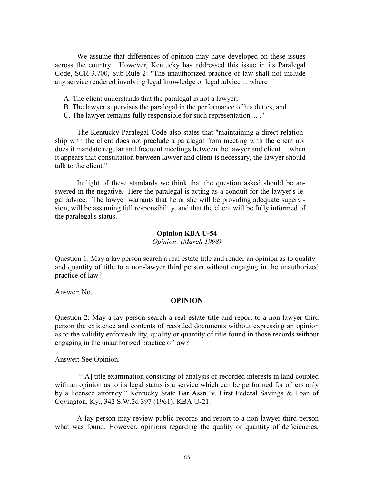We assume that differences of opinion may have developed on these issues across the country. However, Kentucky has addressed this issue in its Paralegal Code, SCR 3.700, Sub-Rule 2: "The unauthorized practice of law shall not include any service rendered involving legal knowledge or legal advice ... where

- A. The client understands that the paralegal is not a lawyer;
- B. The lawyer supervises the paralegal in the performance of his duties; and
- C. The lawyer remains fully responsible for such representation ... ."

The Kentucky Paralegal Code also states that "maintaining a direct relationship with the client does not preclude a paralegal from meeting with the client nor does it mandate regular and frequent meetings between the lawyer and client ... when it appears that consultation between lawyer and client is necessary, the lawyer should talk to the client."

In light of these standards we think that the question asked should be answered in the negative. Here the paralegal is acting as a conduit for the lawyer's legal advice. The lawyer warrants that he or she will be providing adequate supervision, will be assuming full responsibility, and that the client will be fully informed of the paralegal's status.

#### **Opinion KBA U-54**

*Opinion: (March 1998)*

Question 1: May a lay person search a real estate title and render an opinion as to quality and quantity of title to a non-lawyer third person without engaging in the unauthorized practice of law?

Answer: No.

#### **OPINION**

Question 2: May a lay person search a real estate title and report to a non-lawyer third person the existence and contents of recorded documents without expressing an opinion as to the validity enforceability, quality or quantity of title found in those records without engaging in the unauthorized practice of law?

Answer: See Opinion.

 "[A] title examination consisting of analysis of recorded interests in land coupled with an opinion as to its legal status is a service which can be performed for others only by a licensed attorney." Kentucky State Bar Assn. v. First Federal Savings & Loan of Covington, Ky., 342 S.W.2d 397 (1961). KBA U-21.

A lay person may review public records and report to a non-lawyer third person what was found. However, opinions regarding the quality or quantity of deficiencies,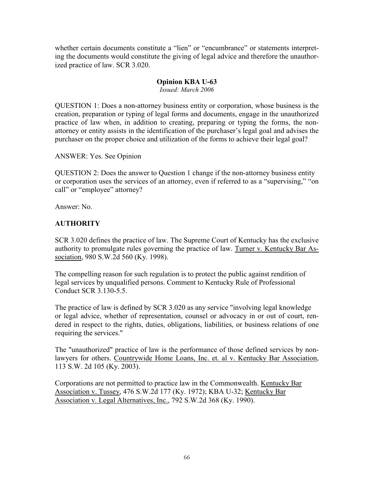whether certain documents constitute a "lien" or "encumbrance" or statements interpreting the documents would constitute the giving of legal advice and therefore the unauthorized practice of law. SCR 3.020.

#### **Opinion KBA U-63**

*Issued: March 2006*

QUESTION 1: Does a non-attorney business entity or corporation, whose business is the creation, preparation or typing of legal forms and documents, engage in the unauthorized practice of law when, in addition to creating, preparing or typing the forms, the nonattorney or entity assists in the identification of the purchaser's legal goal and advises the purchaser on the proper choice and utilization of the forms to achieve their legal goal?

ANSWER: Yes. See Opinion

QUESTION 2: Does the answer to Question 1 change if the non-attorney business entity or corporation uses the services of an attorney, even if referred to as a "supervising," "on call" or "employee" attorney?

Answer: No.

## **AUTHORITY**

SCR 3.020 defines the practice of law. The Supreme Court of Kentucky has the exclusive authority to promulgate rules governing the practice of law. Turner v. Kentucky Bar Association, 980 S.W.2d 560 (Ky. 1998).

The compelling reason for such regulation is to protect the public against rendition of legal services by unqualified persons. Comment to Kentucky Rule of Professional Conduct SCR 3.130-5.5.

The practice of law is defined by SCR 3.020 as any service "involving legal knowledge or legal advice, whether of representation, counsel or advocacy in or out of court, rendered in respect to the rights, duties, obligations, liabilities, or business relations of one requiring the services."

The "unauthorized" practice of law is the performance of those defined services by nonlawyers for others. Countrywide Home Loans, Inc. et. al v. Kentucky Bar Association, 113 S.W. 2d 105 (Ky. 2003).

Corporations are not permitted to practice law in the Commonwealth. Kentucky Bar Association v. Tussey, 476 S.W.2d 177 (Ky. 1972); KBA U-32; Kentucky Bar Association v. Legal Alternatives, Inc., 792 S.W.2d 368 (Ky. 1990).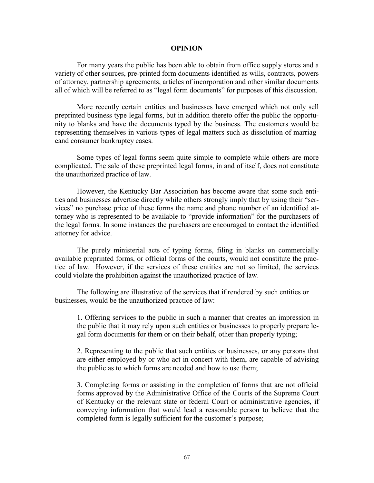#### **OPINION**

For many years the public has been able to obtain from office supply stores and a variety of other sources, pre-printed form documents identified as wills, contracts, powers of attorney, partnership agreements, articles of incorporation and other similar documents all of which will be referred to as "legal form documents" for purposes of this discussion.

More recently certain entities and businesses have emerged which not only sell preprinted business type legal forms, but in addition thereto offer the public the opportunity to blanks and have the documents typed by the business. The customers would be representing themselves in various types of legal matters such as dissolution of marriageand consumer bankruptcy cases.

Some types of legal forms seem quite simple to complete while others are more complicated. The sale of these preprinted legal forms, in and of itself, does not constitute the unauthorized practice of law.

However, the Kentucky Bar Association has become aware that some such entities and businesses advertise directly while others strongly imply that by using their "services" no purchase price of these forms the name and phone number of an identified attorney who is represented to be available to "provide information" for the purchasers of the legal forms. In some instances the purchasers are encouraged to contact the identified attorney for advice.

The purely ministerial acts of typing forms, filing in blanks on commercially available preprinted forms, or official forms of the courts, would not constitute the practice of law. However, if the services of these entities are not so limited, the services could violate the prohibition against the unauthorized practice of law.

The following are illustrative of the services that if rendered by such entities or businesses, would be the unauthorized practice of law:

1. Offering services to the public in such a manner that creates an impression in the public that it may rely upon such entities or businesses to properly prepare legal form documents for them or on their behalf, other than properly typing;

2. Representing to the public that such entities or businesses, or any persons that are either employed by or who act in concert with them, are capable of advising the public as to which forms are needed and how to use them;

3. Completing forms or assisting in the completion of forms that are not official forms approved by the Administrative Office of the Courts of the Supreme Court of Kentucky or the relevant state or federal Court or administrative agencies, if conveying information that would lead a reasonable person to believe that the completed form is legally sufficient for the customer's purpose;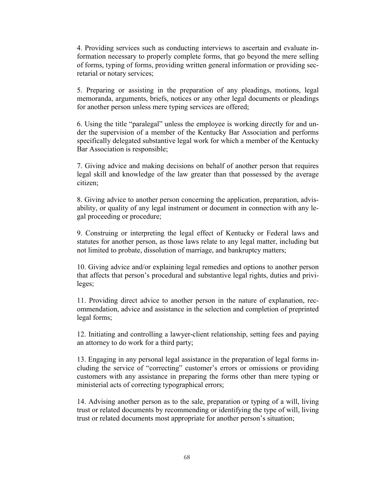4. Providing services such as conducting interviews to ascertain and evaluate information necessary to properly complete forms, that go beyond the mere selling of forms, typing of forms, providing written general information or providing secretarial or notary services;

5. Preparing or assisting in the preparation of any pleadings, motions, legal memoranda, arguments, briefs, notices or any other legal documents or pleadings for another person unless mere typing services are offered;

6. Using the title "paralegal" unless the employee is working directly for and under the supervision of a member of the Kentucky Bar Association and performs specifically delegated substantive legal work for which a member of the Kentucky Bar Association is responsible;

7. Giving advice and making decisions on behalf of another person that requires legal skill and knowledge of the law greater than that possessed by the average citizen;

8. Giving advice to another person concerning the application, preparation, advisability, or quality of any legal instrument or document in connection with any legal proceeding or procedure;

9. Construing or interpreting the legal effect of Kentucky or Federal laws and statutes for another person, as those laws relate to any legal matter, including but not limited to probate, dissolution of marriage, and bankruptcy matters;

10. Giving advice and/or explaining legal remedies and options to another person that affects that person's procedural and substantive legal rights, duties and privileges;

11. Providing direct advice to another person in the nature of explanation, recommendation, advice and assistance in the selection and completion of preprinted legal forms;

12. Initiating and controlling a lawyer-client relationship, setting fees and paying an attorney to do work for a third party;

13. Engaging in any personal legal assistance in the preparation of legal forms including the service of "correcting" customer's errors or omissions or providing customers with any assistance in preparing the forms other than mere typing or ministerial acts of correcting typographical errors;

14. Advising another person as to the sale, preparation or typing of a will, living trust or related documents by recommending or identifying the type of will, living trust or related documents most appropriate for another person's situation;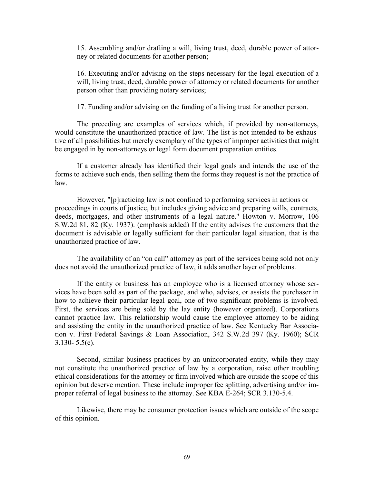15. Assembling and/or drafting a will, living trust, deed, durable power of attorney or related documents for another person;

16. Executing and/or advising on the steps necessary for the legal execution of a will, living trust, deed, durable power of attorney or related documents for another person other than providing notary services;

17. Funding and/or advising on the funding of a living trust for another person.

The preceding are examples of services which, if provided by non-attorneys, would constitute the unauthorized practice of law. The list is not intended to be exhaustive of all possibilities but merely exemplary of the types of improper activities that might be engaged in by non-attorneys or legal form document preparation entities.

If a customer already has identified their legal goals and intends the use of the forms to achieve such ends, then selling them the forms they request is not the practice of law.

However, "[p]racticing law is not confined to performing services in actions or proceedings in courts of justice, but includes giving advice and preparing wills, contracts, deeds, mortgages, and other instruments of a legal nature." Howton v. Morrow, 106 S.W.2d 81, 82 (Ky. 1937). (emphasis added) If the entity advises the customers that the document is advisable or legally sufficient for their particular legal situation, that is the unauthorized practice of law.

The availability of an "on call" attorney as part of the services being sold not only does not avoid the unauthorized practice of law, it adds another layer of problems.

If the entity or business has an employee who is a licensed attorney whose services have been sold as part of the package, and who, advises, or assists the purchaser in how to achieve their particular legal goal, one of two significant problems is involved. First, the services are being sold by the lay entity (however organized). Corporations cannot practice law. This relationship would cause the employee attorney to be aiding and assisting the entity in the unauthorized practice of law. See Kentucky Bar Association v. First Federal Savings & Loan Association, 342 S.W.2d 397 (Ky. 1960); SCR  $3.130 - 5.5(e)$ .

Second, similar business practices by an unincorporated entity, while they may not constitute the unauthorized practice of law by a corporation, raise other troubling ethical considerations for the attorney or firm involved which are outside the scope of this opinion but deserve mention. These include improper fee splitting, advertising and/or improper referral of legal business to the attorney. See KBA E-264; SCR 3.130-5.4.

Likewise, there may be consumer protection issues which are outside of the scope of this opinion.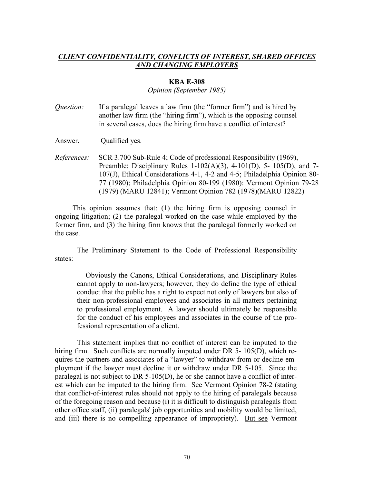#### *CLIENT CONFIDENTIALITY, CONFLICTS OF INTEREST, SHARED OFFICES AND CHANGING EMPLOYERS*

#### **KBA E-308**

*Opinion (September 1985)*

- *Question:* If a paralegal leaves a law firm (the "former firm") and is hired by another law firm (the "hiring firm"), which is the opposing counsel in several cases, does the hiring firm have a conflict of interest?
- Answer. Qualified yes.
- *References:* SCR 3.700 Sub-Rule 4; Code of professional Responsibility (1969), Preamble; Disciplinary Rules 1-102(A)(3), 4-101(D), 5- 105(D), and 7- 107(J), Ethical Considerations 4-1, 4-2 and 4-5; Philadelphia Opinion 80- 77 (1980); Philadelphia Opinion 80-199 (1980): Vermont Opinion 79-28 (1979) (MARU 12841); Vermont Opinion 782 (1978)(MARU 12822)

This opinion assumes that: (1) the hiring firm is opposing counsel in ongoing litigation; (2) the paralegal worked on the case while employed by the former firm, and (3) the hiring firm knows that the paralegal formerly worked on the case.

The Preliminary Statement to the Code of Professional Responsibility states:

Obviously the Canons, Ethical Considerations, and Disciplinary Rules cannot apply to non-lawyers; however, they do define the type of ethical conduct that the public has a right to expect not only of lawyers but also of their non-professional employees and associates in all matters pertaining to professional employment. A lawyer should ultimately be responsible for the conduct of his employees and associates in the course of the professional representation of a client.

This statement implies that no conflict of interest can be imputed to the hiring firm. Such conflicts are normally imputed under DR 5-105(D), which requires the partners and associates of a "lawyer" to withdraw from or decline employment if the lawyer must decline it or withdraw under DR 5-105. Since the paralegal is not subject to DR 5-105(D), he or she cannot have a conflict of interest which can be imputed to the hiring firm. See Vermont Opinion 78-2 (stating that conflict-of-interest rules should not apply to the hiring of paralegals because of the foregoing reason and because (i) it is difficult to distinguish paralegals from other office staff, (ii) paralegals' job opportunities and mobility would be limited, and (iii) there is no compelling appearance of impropriety). But see Vermont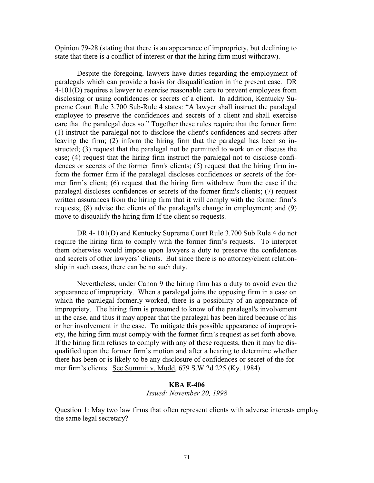Opinion 79-28 (stating that there is an appearance of impropriety, but declining to state that there is a conflict of interest or that the hiring firm must withdraw).

Despite the foregoing, lawyers have duties regarding the employment of paralegals which can provide a basis for disqualification in the present case. DR 4-101(D) requires a lawyer to exercise reasonable care to prevent employees from disclosing or using confidences or secrets of a client. In addition, Kentucky Supreme Court Rule 3.700 Sub-Rule 4 states: "A lawyer shall instruct the paralegal employee to preserve the confidences and secrets of a client and shall exercise care that the paralegal does so." Together these rules require that the former firm: (1) instruct the paralegal not to disclose the client's confidences and secrets after leaving the firm; (2) inform the hiring firm that the paralegal has been so instructed; (3) request that the paralegal not be permitted to work on or discuss the case; (4) request that the hiring firm instruct the paralegal not to disclose confidences or secrets of the former firm's clients; (5) request that the hiring firm inform the former firm if the paralegal discloses confidences or secrets of the former firm's client; (6) request that the hiring firm withdraw from the case if the paralegal discloses confidences or secrets of the former firm's clients; (7) request written assurances from the hiring firm that it will comply with the former firm's requests; (8) advise the clients of the paralegal's change in employment; and (9) move to disqualify the hiring firm If the client so requests.

DR 4- 101(D) and Kentucky Supreme Court Rule 3.700 Sub Rule 4 do not require the hiring firm to comply with the former firm's requests. To interpret them otherwise would impose upon lawyers a duty to preserve the confidences and secrets of other lawyers' clients. But since there is no attorney/client relationship in such cases, there can be no such duty.

Nevertheless, under Canon 9 the hiring firm has a duty to avoid even the appearance of impropriety. When a paralegal joins the opposing firm in a case on which the paralegal formerly worked, there is a possibility of an appearance of impropriety. The hiring firm is presumed to know of the paralegal's involvement in the case, and thus it may appear that the paralegal has been hired because of his or her involvement in the case. To mitigate this possible appearance of impropriety, the hiring firm must comply with the former firm's request as set forth above. If the hiring firm refuses to comply with any of these requests, then it may be disqualified upon the former firm's motion and after a hearing to determine whether there has been or is likely to be any disclosure of confidences or secret of the former firm's clients. See Summit v. Mudd, 679 S.W.2d 225 (Ky. 1984).

#### **KBA E-406**

#### *Issued: November 20, 1998*

Question 1: May two law firms that often represent clients with adverse interests employ the same legal secretary?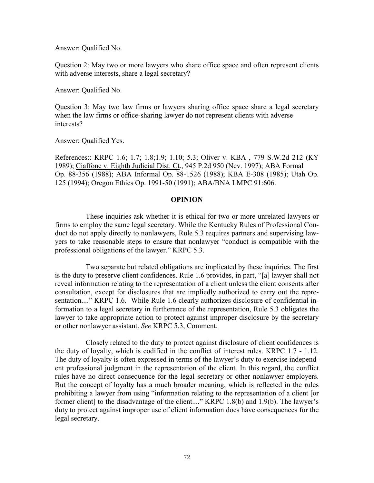Answer: Qualified No.

Question 2: May two or more lawyers who share office space and often represent clients with adverse interests, share a legal secretary?

Answer: Qualified No.

Question 3: May two law firms or lawyers sharing office space share a legal secretary when the law firms or office-sharing lawyer do not represent clients with adverse interests?

Answer: Qualified Yes.

References:: KRPC 1.6; 1.7; 1.8;1.9; 1.10; 5.3; Oliver v. KBA , 779 S.W.2d 212 (KY 1989); Ciaffone v. Eighth Judicial Dist. Ct., 945 P.2d 950 (Nev. 1997); ABA Formal Op. 88-356 (1988); ABA Informal Op. 88-1526 (1988); KBA E-308 (1985); Utah Op. 125 (1994); Oregon Ethics Op. 1991-50 (1991); ABA/BNA LMPC 91:606.

#### **OPINION**

These inquiries ask whether it is ethical for two or more unrelated lawyers or firms to employ the same legal secretary. While the Kentucky Rules of Professional Conduct do not apply directly to nonlawyers, Rule 5.3 requires partners and supervising lawyers to take reasonable steps to ensure that nonlawyer "conduct is compatible with the professional obligations of the lawyer." KRPC 5.3.

Two separate but related obligations are implicated by these inquiries. The first is the duty to preserve client confidences. Rule 1.6 provides, in part, "[a] lawyer shall not reveal information relating to the representation of a client unless the client consents after consultation, except for disclosures that are impliedly authorized to carry out the representation...." KRPC 1.6. While Rule 1.6 clearly authorizes disclosure of confidential information to a legal secretary in furtherance of the representation, Rule 5.3 obligates the lawyer to take appropriate action to protect against improper disclosure by the secretary or other nonlawyer assistant. *See* KRPC 5.3, Comment.

Closely related to the duty to protect against disclosure of client confidences is the duty of loyalty, which is codified in the conflict of interest rules. KRPC 1.7 - 1.12. The duty of loyalty is often expressed in terms of the lawyer's duty to exercise independent professional judgment in the representation of the client. In this regard, the conflict rules have no direct consequence for the legal secretary or other nonlawyer employers. But the concept of loyalty has a much broader meaning, which is reflected in the rules prohibiting a lawyer from using "information relating to the representation of a client [or former client] to the disadvantage of the client...." KRPC 1.8(b) and 1.9(b). The lawyer's duty to protect against improper use of client information does have consequences for the legal secretary.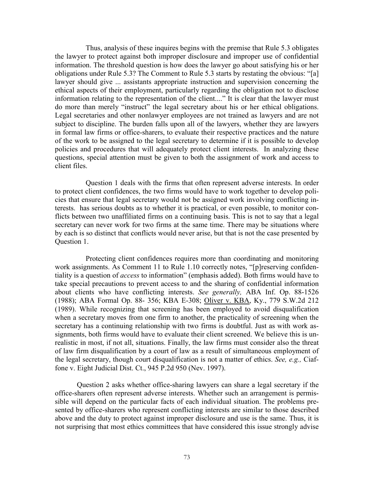Thus, analysis of these inquires begins with the premise that Rule 5.3 obligates the lawyer to protect against both improper disclosure and improper use of confidential information. The threshold question is how does the lawyer go about satisfying his or her obligations under Rule 5.3? The Comment to Rule 5.3 starts by restating the obvious: "[a] lawyer should give ... assistants appropriate instruction and supervision concerning the ethical aspects of their employment, particularly regarding the obligation not to disclose information relating to the representation of the client...." It is clear that the lawyer must do more than merely "instruct" the legal secretary about his or her ethical obligations. Legal secretaries and other nonlawyer employees are not trained as lawyers and are not subject to discipline. The burden falls upon all of the lawyers, whether they are lawyers in formal law firms or office-sharers, to evaluate their respective practices and the nature of the work to be assigned to the legal secretary to determine if it is possible to develop policies and procedures that will adequately protect client interests. In analyzing these questions, special attention must be given to both the assignment of work and access to client files.

Question 1 deals with the firms that often represent adverse interests. In order to protect client confidences, the two firms would have to work together to develop policies that ensure that legal secretary would not be assigned work involving conflicting interests. has serious doubts as to whether it is practical, or even possible, to monitor conflicts between two unaffiliated firms on a continuing basis. This is not to say that a legal secretary can never work for two firms at the same time. There may be situations where by each is so distinct that conflicts would never arise, but that is not the case presented by Question 1.

Protecting client confidences requires more than coordinating and monitoring work assignments. As Comment 11 to Rule 1.10 correctly notes, "[p]reserving confidentiality is a question of *access* to information" (emphasis added). Both firms would have to take special precautions to prevent access to and the sharing of confidential information about clients who have conflicting interests. *See generally,* ABA Inf. Op. 88-1526 (1988); ABA Formal Op. 88- 356; KBA E-308; Oliver v. KBA, Ky., 779 S.W.2d 212 (1989). While recognizing that screening has been employed to avoid disqualification when a secretary moves from one firm to another, the practicality of screening when the secretary has a continuing relationship with two firms is doubtful. Just as with work assignments, both firms would have to evaluate their client screened. We believe this is unrealistic in most, if not all, situations. Finally, the law firms must consider also the threat of law firm disqualification by a court of law as a result of simultaneous employment of the legal secretary, though court disqualification is not a matter of ethics. *See, e.g.,* Ciaffone v. Eight Judicial Dist. Ct., 945 P.2d 950 (Nev. 1997).

Question 2 asks whether office-sharing lawyers can share a legal secretary if the office-sharers often represent adverse interests. Whether such an arrangement is permissible will depend on the particular facts of each individual situation. The problems presented by office-sharers who represent conflicting interests are similar to those described above and the duty to protect against improper disclosure and use is the same. Thus, it is not surprising that most ethics committees that have considered this issue strongly advise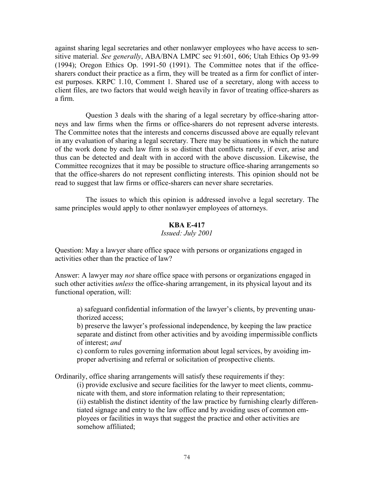against sharing legal secretaries and other nonlawyer employees who have access to sensitive material. *See generally*, ABA/BNA LMPC sec 91:601, 606; Utah Ethics Op 93-99 (1994); Oregon Ethics Op. 1991-50 (1991). The Committee notes that if the officesharers conduct their practice as a firm, they will be treated as a firm for conflict of interest purposes. KRPC 1.10, Comment 1. Shared use of a secretary, along with access to client files, are two factors that would weigh heavily in favor of treating office-sharers as a firm.

Question 3 deals with the sharing of a legal secretary by office-sharing attorneys and law firms when the firms or office-sharers do not represent adverse interests. The Committee notes that the interests and concerns discussed above are equally relevant in any evaluation of sharing a legal secretary. There may be situations in which the nature of the work done by each law firm is so distinct that conflicts rarely, if ever, arise and thus can be detected and dealt with in accord with the above discussion. Likewise, the Committee recognizes that it may be possible to structure office-sharing arrangements so that the office-sharers do not represent conflicting interests. This opinion should not be read to suggest that law firms or office-sharers can never share secretaries.

The issues to which this opinion is addressed involve a legal secretary. The same principles would apply to other nonlawyer employees of attorneys.

# **KBA E-417**

## *Issued: July 2001*

Question: May a lawyer share office space with persons or organizations engaged in activities other than the practice of law?

Answer: A lawyer may *not* share office space with persons or organizations engaged in such other activities *unless* the office-sharing arrangement, in its physical layout and its functional operation, will:

a) safeguard confidential information of the lawyer's clients, by preventing unauthorized access;

b) preserve the lawyer's professional independence, by keeping the law practice separate and distinct from other activities and by avoiding impermissible conflicts of interest; *and*

c) conform to rules governing information about legal services, by avoiding improper advertising and referral or solicitation of prospective clients.

Ordinarily, office sharing arrangements will satisfy these requirements if they:

(i) provide exclusive and secure facilities for the lawyer to meet clients, communicate with them, and store information relating to their representation; (ii) establish the distinct identity of the law practice by furnishing clearly differentiated signage and entry to the law office and by avoiding uses of common employees or facilities in ways that suggest the practice and other activities are somehow affiliated;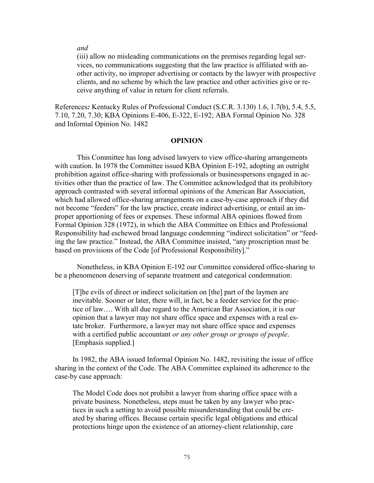*and*

(iii) allow no misleading communications on the premises regarding legal services, no communications suggesting that the law practice is affiliated with another activity, no improper advertising or contacts by the lawyer with prospective clients, and no scheme by which the law practice and other activities give or receive anything of value in return for client referrals.

References*:* Kentucky Rules of Professional Conduct (S.C.R. 3.130) 1.6, 1.7(b), 5.4, 5.5, 7.10, 7.20, 7.30; KBA Opinions E-406, E-322, E-192; ABA Formal Opinion No. 328 and Informal Opinion No. 1482

## **OPINION**

This Committee has long advised lawyers to view office-sharing arrangements with caution. In 1978 the Committee issued KBA Opinion E-192, adopting an outright prohibition against office-sharing with professionals or businesspersons engaged in activities other than the practice of law. The Committee acknowledged that its prohibitory approach contrasted with several informal opinions of the American Bar Association, which had allowed office-sharing arrangements on a case-by-case approach if they did not become "feeders" for the law practice, create indirect advertising, or entail an improper apportioning of fees or expenses. These informal ABA opinions flowed from Formal Opinion 328 (1972), in which the ABA Committee on Ethics and Professional Responsibility had eschewed broad language condemning "indirect solicitation" or "feeding the law practice." Instead, the ABA Committee insisted, "any proscription must be based on provisions of the Code [of Professional Responsibility]."

Nonetheless, in KBA Opinion E-192 our Committee considered office-sharing to be a phenomenon deserving of separate treatment and categorical condemnation:

[T]he evils of direct or indirect solicitation on [the] part of the laymen are inevitable. Sooner or later, there will, in fact, be a feeder service for the practice of law…. With all due regard to the American Bar Association, it is our opinion that a lawyer may not share office space and expenses with a real estate broker. Furthermore, a lawyer may not share office space and expenses with a certified public accountant *or any other group or groups of people*. [Emphasis supplied.]

In 1982, the ABA issued Informal Opinion No. 1482, revisiting the issue of office sharing in the context of the Code. The ABA Committee explained its adherence to the case-by case approach:

The Model Code does not prohibit a lawyer from sharing office space with a private business. Nonetheless, steps must be taken by any lawyer who practices in such a setting to avoid possible misunderstanding that could be created by sharing offices. Because certain specific legal obligations and ethical protections hinge upon the existence of an attorney-client relationship, care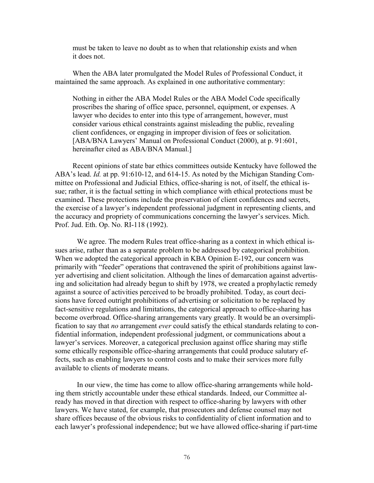must be taken to leave no doubt as to when that relationship exists and when it does not.

When the ABA later promulgated the Model Rules of Professional Conduct, it maintained the same approach. As explained in one authoritative commentary:

Nothing in either the ABA Model Rules or the ABA Model Code specifically proscribes the sharing of office space, personnel, equipment, or expenses. A lawyer who decides to enter into this type of arrangement, however, must consider various ethical constraints against misleading the public, revealing client confidences, or engaging in improper division of fees or solicitation. [ABA/BNA Lawyers' Manual on Professional Conduct (2000), at p. 91:601, hereinafter cited as ABA/BNA Manual.]

Recent opinions of state bar ethics committees outside Kentucky have followed the ABA's lead. *Id.* at pp. 91:610-12, and 614-15. As noted by the Michigan Standing Committee on Professional and Judicial Ethics, office-sharing is not, of itself, the ethical issue; rather, it is the factual setting in which compliance with ethical protections must be examined. These protections include the preservation of client confidences and secrets, the exercise of a lawyer's independent professional judgment in representing clients, and the accuracy and propriety of communications concerning the lawyer's services. Mich. Prof. Jud. Eth. Op. No. RI-118 (1992).

We agree. The modern Rules treat office-sharing as a context in which ethical issues arise, rather than as a separate problem to be addressed by categorical prohibition. When we adopted the categorical approach in KBA Opinion E-192, our concern was primarily with "feeder" operations that contravened the spirit of prohibitions against lawyer advertising and client solicitation. Although the lines of demarcation against advertising and solicitation had already begun to shift by 1978, we created a prophylactic remedy against a source of activities perceived to be broadly prohibited. Today, as court decisions have forced outright prohibitions of advertising or solicitation to be replaced by fact-sensitive regulations and limitations, the categorical approach to office-sharing has become overbroad. Office-sharing arrangements vary greatly. It would be an oversimplification to say that *no* arrangement *ever* could satisfy the ethical standards relating to confidential information, independent professional judgment, or communications about a lawyer's services. Moreover, a categorical preclusion against office sharing may stifle some ethically responsible office-sharing arrangements that could produce salutary effects, such as enabling lawyers to control costs and to make their services more fully available to clients of moderate means.

In our view, the time has come to allow office-sharing arrangements while holding them strictly accountable under these ethical standards. Indeed, our Committee already has moved in that direction with respect to office-sharing by lawyers with other lawyers. We have stated, for example, that prosecutors and defense counsel may not share offices because of the obvious risks to confidentiality of client information and to each lawyer's professional independence; but we have allowed office-sharing if part-time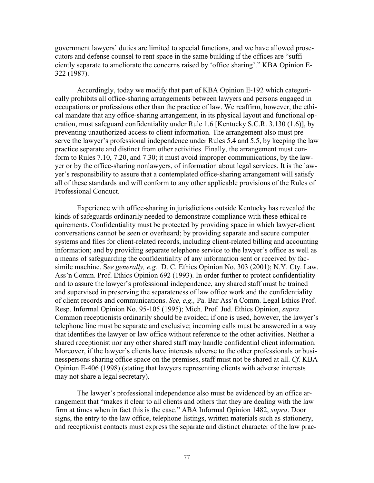government lawyers' duties are limited to special functions, and we have allowed prosecutors and defense counsel to rent space in the same building if the offices are "sufficiently separate to ameliorate the concerns raised by 'office sharing'." KBA Opinion E-322 (1987).

Accordingly, today we modify that part of KBA Opinion E-192 which categorically prohibits all office-sharing arrangements between lawyers and persons engaged in occupations or professions other than the practice of law. We reaffirm, however, the ethical mandate that any office-sharing arrangement, in its physical layout and functional operation, must safeguard confidentiality under Rule 1.6 [Kentucky S.C.R. 3.130 (1.6)], by preventing unauthorized access to client information. The arrangement also must preserve the lawyer's professional independence under Rules 5.4 and 5.5, by keeping the law practice separate and distinct from other activities. Finally, the arrangement must conform to Rules 7.10, 7.20, and 7.30; it must avoid improper communications, by the lawyer or by the office-sharing nonlawyers, of information about legal services. It is the lawyer's responsibility to assure that a contemplated office-sharing arrangement will satisfy all of these standards and will conform to any other applicable provisions of the Rules of Professional Conduct.

Experience with office-sharing in jurisdictions outside Kentucky has revealed the kinds of safeguards ordinarily needed to demonstrate compliance with these ethical requirements. Confidentiality must be protected by providing space in which lawyer-client conversations cannot be seen or overheard; by providing separate and secure computer systems and files for client-related records, including client-related billing and accounting information; and by providing separate telephone service to the lawyer's office as well as a means of safeguarding the confidentiality of any information sent or received by facsimile machine. S*ee generally, e.g.,* D. C. Ethics Opinion No. 303 (2001); N.Y. Cty. Law. Ass'n Comm. Prof. Ethics Opinion 692 (1993). In order further to protect confidentiality and to assure the lawyer's professional independence, any shared staff must be trained and supervised in preserving the separateness of law office work and the confidentiality of client records and communications. *See, e.g.,* Pa. Bar Ass'n Comm. Legal Ethics Prof. Resp. Informal Opinion No. 95-105 (1995); Mich. Prof. Jud. Ethics Opinion, *supra*. Common receptionists ordinarily should be avoided; if one is used, however, the lawyer's telephone line must be separate and exclusive; incoming calls must be answered in a way that identifies the lawyer or law office without reference to the other activities. Neither a shared receptionist nor any other shared staff may handle confidential client information. Moreover, if the lawyer's clients have interests adverse to the other professionals or businesspersons sharing office space on the premises, staff must not be shared at all. *Cf.* KBA Opinion E-406 (1998) (stating that lawyers representing clients with adverse interests may not share a legal secretary).

The lawyer's professional independence also must be evidenced by an office arrangement that "makes it clear to all clients and others that they are dealing with the law firm at times when in fact this is the case." ABA Informal Opinion 1482, *supra*. Door signs, the entry to the law office, telephone listings, written materials such as stationery, and receptionist contacts must express the separate and distinct character of the law prac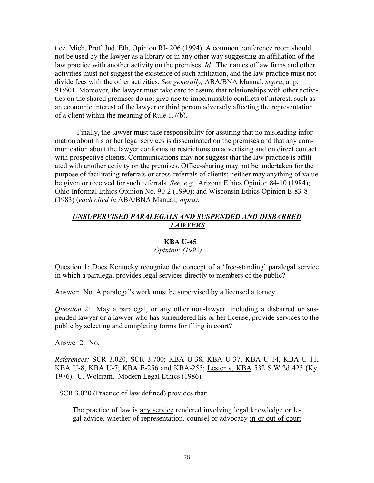tice. Mich. Prof. Jud. Eth. Opinion RI- 206 (1994). A common conference room should not be used by the lawyer as a library or in any other way suggesting an affiliation of the law practice with another activity on the premises. *Id.* The names of law firms and other activities must not suggest the existence of such affiliation, and the law practice must not divide fees with the other activities. *See generally,* ABA/BNA Manual, *supra*, at p. 91:601. Moreover, the lawyer must take care to assure that relationships with other activities on the shared premises do not give rise to impermissible conflicts of interest, such as an economic interest of the lawyer or third person adversely affecting the representation of a client within the meaning of Rule 1.7(b).

Finally, the lawyer must take responsibility for assuring that no misleading information about his or her legal services is disseminated on the premises and that any communication about the lawyer conforms to restrictions on advertising and on direct contact with prospective clients. Communications may not suggest that the law practice is affiliated with another activity on the premises. Office-sharing may not be undertaken for the purpose of facilitating referrals or cross-referrals of clients; neither may anything of value be given or received for such referrals. *See, e.g.,* Arizona Ethics Opinion 84-10 (1984); Ohio Informal Ethics Opinion No. 90-2 (1990); and Wisconsin Ethics Opinion E-83-8 (1983) (*each cited in* ABA/BNA Manual, *supra).*

## *UNSUPERVISED PARALEGALS AND SUSPENDED AND DISBARRED LAWYERS*

### **KBA U-45**

#### *Opinion: (1992)*

Question 1: Does Kentucky recognize the concept of a 'free-standing' paralegal service in which a paralegal provides legal services directly to members of the public?

Answer: No. A paralegal's work must be supervised by a licensed attorney.

*Question* 2: May a paralegal, or any other non-lawyer. including a disbarred or suspended lawyer or a lawyer who has surrendered his or her license, provide services to the public by selecting and completing forms for filing in court?

Answer 2: No.

*References:* SCR 3.020, SCR 3.700; KBA U-38, KBA U-37, KBA U-14, KBA U-11, KBA U-8, KBA U-7; KBA E-256 and KBA-255; Lester v. KBA 532 S.W.2d 425 (Ky. 1976). C. Wolfram. Modern Legal Ethics (1986).

SCR 3.020 (Practice of law defined) provides that:

The practice of law is any service rendered involving legal knowledge or legal advice, whether of representation, counsel or advocacy in or out of court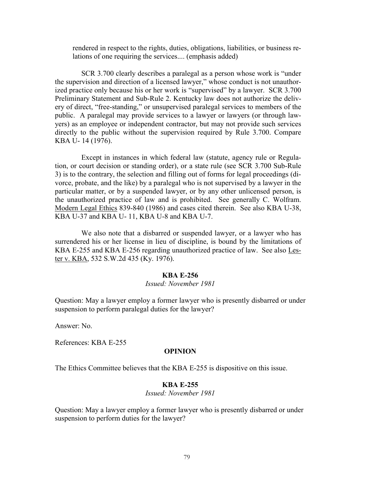rendered in respect to the rights, duties, obligations, liabilities, or business relations of one requiring the services.... (emphasis added)

SCR 3.700 clearly describes a paralegal as a person whose work is "under the supervision and direction of a licensed lawyer," whose conduct is not unauthorized practice only because his or her work is "supervised" by a lawyer. SCR 3.700 Preliminary Statement and Sub-Rule 2. Kentucky law does not authorize the delivery of direct, "free-standing," or unsupervised paralegal services to members of the public. A paralegal may provide services to a lawyer or lawyers (or through lawyers) as an employee or independent contractor, but may not provide such services directly to the public without the supervision required by Rule 3.700. Compare KBA U- 14 (1976).

Except in instances in which federal law (statute, agency rule or Regulation, or court decision or standing order), or a state rule (see SCR 3.700 Sub-Rule 3) is to the contrary, the selection and filling out of forms for legal proceedings (divorce, probate, and the like) by a paralegal who is not supervised by a lawyer in the particular matter, or by a suspended lawyer, or by any other unlicensed person, is the unauthorized practice of law and is prohibited. See generally C. Wolfram. Modern Legal Ethics 839-840 (1986) and cases cited therein. See also KBA U-38, KBA U-37 and KBA U- 11, KBA U-8 and KBA U-7.

We also note that a disbarred or suspended lawyer, or a lawyer who has surrendered his or her license in lieu of discipline, is bound by the limitations of KBA E-255 and KBA E-256 regarding unauthorized practice of law. See also Lester v. KBA, 532 S.W.2d 435 (Ky. 1976).

#### **KBA E-256**

## *Issued: November 1981*

Question: May a lawyer employ a former lawyer who is presently disbarred or under suspension to perform paralegal duties for the lawyer?

Answer: No.

References: KBA E-255

#### **OPINION**

The Ethics Committee believes that the KBA E-255 is dispositive on this issue.

#### **KBA E-255**

*Issued: November 1981*

Question: May a lawyer employ a former lawyer who is presently disbarred or under suspension to perform duties for the lawyer?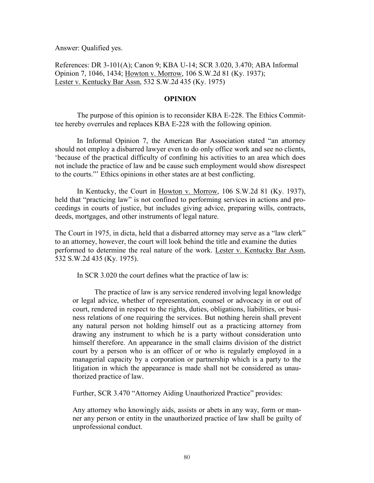Answer: Qualified yes.

References: DR 3-101(A); Canon 9; KBA U-14; SCR 3.020, 3.470; ABA Informal Opinion 7, 1046, 1434; Howton v. Morrow, 106 S.W.2d 81 (Ky. 1937); Lester v. Kentucky Bar Assn, 532 S.W.2d 435 (Ky. 1975)

#### **OPINION**

The purpose of this opinion is to reconsider KBA E-228. The Ethics Committee hereby overrules and replaces KBA E-228 with the following opinion.

In Informal Opinion 7, the American Bar Association stated "an attorney should not employ a disbarred lawyer even to do only office work and see no clients, 'because of the practical difficulty of confining his activities to an area which does not include the practice of law and be cause such employment would show disrespect to the courts."' Ethics opinions in other states are at best conflicting.

In Kentucky, the Court in Howton v. Morrow, 106 S.W.2d 81 (Ky. 1937), held that "practicing law" is not confined to performing services in actions and proceedings in courts of justice, but includes giving advice, preparing wills, contracts, deeds, mortgages, and other instruments of legal nature.

The Court in 1975, in dicta, held that a disbarred attorney may serve as a "law clerk" to an attorney, however, the court will look behind the title and examine the duties performed to determine the real nature of the work. Lester v. Kentucky Bar Assn, 532 S.W.2d 435 (Ky. 1975).

In SCR 3.020 the court defines what the practice of law is:

The practice of law is any service rendered involving legal knowledge or legal advice, whether of representation, counsel or advocacy in or out of court, rendered in respect to the rights, duties, obligations, liabilities, or business relations of one requiring the services. But nothing herein shall prevent any natural person not holding himself out as a practicing attorney from drawing any instrument to which he is a party without consideration unto himself therefore. An appearance in the small claims division of the district court by a person who is an officer of or who is regularly employed in a managerial capacity by a corporation or partnership which is a party to the litigation in which the appearance is made shall not be considered as unauthorized practice of law.

Further, SCR 3.470 "Attorney Aiding Unauthorized Practice" provides:

Any attorney who knowingly aids, assists or abets in any way, form or manner any person or entity in the unauthorized practice of law shall be guilty of unprofessional conduct.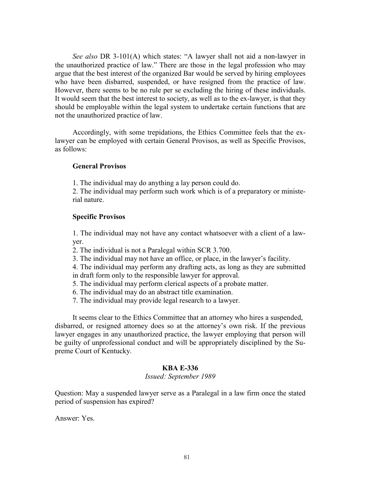*See also* DR 3-101(A) which states: "A lawyer shall not aid a non-lawyer in the unauthorized practice of law." There are those in the legal profession who may argue that the best interest of the organized Bar would be served by hiring employees who have been disbarred, suspended, or have resigned from the practice of law. However, there seems to be no rule per se excluding the hiring of these individuals. It would seem that the best interest to society, as well as to the ex-lawyer, is that they should be employable within the legal system to undertake certain functions that are not the unauthorized practice of law.

Accordingly, with some trepidations, the Ethics Committee feels that the exlawyer can be employed with certain General Provisos, as well as Specific Provisos, as follows:

#### **General Provisos**

1. The individual may do anything a lay person could do.

2. The individual may perform such work which is of a preparatory or ministerial nature.

#### **Specific Provisos**

1. The individual may not have any contact whatsoever with a client of a lawyer.

- 2. The individual is not a Paralegal within SCR 3.700.
- 3. The individual may not have an office, or place, in the lawyer's facility.

4. The individual may perform any drafting acts, as long as they are submitted in draft form only to the responsible lawyer for approval.

- 5. The individual may perform clerical aspects of a probate matter.
- 6. The individual may do an abstract title examination.
- 7. The individual may provide legal research to a lawyer.

It seems clear to the Ethics Committee that an attorney who hires a suspended, disbarred, or resigned attorney does so at the attorney's own risk. If the previous lawyer engages in any unauthorized practice, the lawyer employing that person will be guilty of unprofessional conduct and will be appropriately disciplined by the Supreme Court of Kentucky.

#### **KBA E-336**

### *Issued: September 1989*

Question: May a suspended lawyer serve as a Paralegal in a law firm once the stated period of suspension has expired?

Answer: Yes.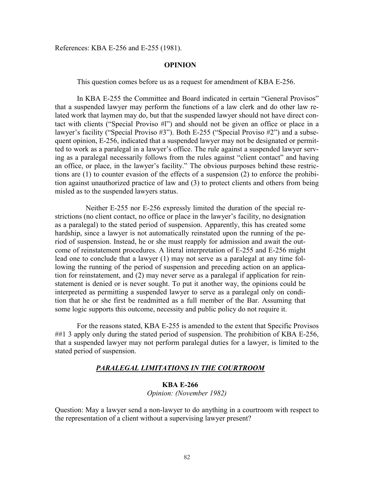References: KBA E-256 and E-255 (1981).

## **OPINION**

This question comes before us as a request for amendment of KBA E-256.

In KBA E-255 the Committee and Board indicated in certain "General Provisos" that a suspended lawyer may perform the functions of a law clerk and do other law related work that laymen may do, but that the suspended lawyer should not have direct contact with clients ("Special Proviso #l") and should not be given an office or place in a lawyer's facility ("Special Proviso #3"). Both E-255 ("Special Proviso #2") and a subsequent opinion, E-256, indicated that a suspended lawyer may not be designated or permitted to work as a paralegal in a lawyer's office. The rule against a suspended lawyer serving as a paralegal necessarily follows from the rules against "client contact" and having an office, or place, in the lawyer's facility." The obvious purposes behind these restrictions are (1) to counter evasion of the effects of a suspension (2) to enforce the prohibition against unauthorized practice of law and (3) to protect clients and others from being misled as to the suspended lawyers status.

Neither E-255 nor E-256 expressly limited the duration of the special restrictions (no client contact, no office or place in the lawyer's facility, no designation as a paralegal) to the stated period of suspension. Apparently, this has created some hardship, since a lawyer is not automatically reinstated upon the running of the period of suspension. Instead, he or she must reapply for admission and await the outcome of reinstatement procedures. A literal interpretation of E-255 and E-256 might lead one to conclude that a lawyer (1) may not serve as a paralegal at any time following the running of the period of suspension and preceding action on an application for reinstatement, and (2) may never serve as a paralegal if application for reinstatement is denied or is never sought. To put it another way, the opinions could be interpreted as permitting a suspended lawyer to serve as a paralegal only on condition that he or she first be readmitted as a full member of the Bar. Assuming that some logic supports this outcome, necessity and public policy do not require it.

For the reasons stated, KBA E-255 is amended to the extent that Specific Provisos ##1 3 apply only during the stated period of suspension. The prohibition of KBA E-256, that a suspended lawyer may not perform paralegal duties for a lawyer, is limited to the stated period of suspension.

#### *PARALEGAL LIMITATIONS IN THE COURTROOM*

# **KBA E-266**

*Opinion: (November 1982)*

Question: May a lawyer send a non-lawyer to do anything in a courtroom with respect to the representation of a client without a supervising lawyer present?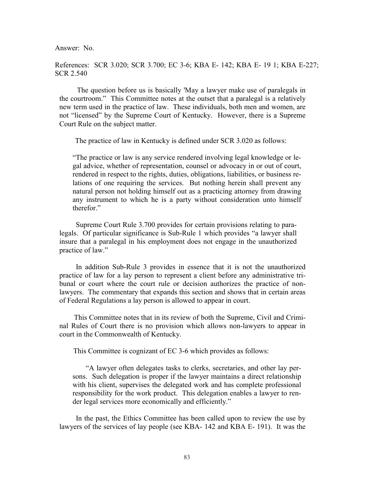Answer: No.

References: SCR 3.020; SCR 3.700; EC 3-6; KBA E- 142; KBA E- 19 1; KBA E-227; SCR 2.540

The question before us is basically 'May a lawyer make use of paralegals in the courtroom." This Committee notes at the outset that a paralegal is a relatively new term used in the practice of law. These individuals, both men and women, are not "licensed" by the Supreme Court of Kentucky. However, there is a Supreme Court Rule on the subject matter.

The practice of law in Kentucky is defined under SCR 3.020 as follows:

"The practice or law is any service rendered involving legal knowledge or legal advice, whether of representation, counsel or advocacy in or out of court, rendered in respect to the rights, duties, obligations, liabilities, or business relations of one requiring the services. But nothing herein shall prevent any natural person not holding himself out as a practicing attorney from drawing any instrument to which he is a party without consideration unto himself therefor<sup>"</sup>

 Supreme Court Rule 3.700 provides for certain provisions relating to paralegals. Of particular significance is Sub-Rule 1 which provides "a lawyer shall insure that a paralegal in his employment does not engage in the unauthorized practice of law."

 In addition Sub-Rule 3 provides in essence that it is not the unauthorized practice of law for a lay person to represent a client before any administrative tribunal or court where the court rule or decision authorizes the practice of nonlawyers. The commentary that expands this section and shows that in certain areas of Federal Regulations a lay person is allowed to appear in court.

 This Committee notes that in its review of both the Supreme, Civil and Criminal Rules of Court there is no provision which allows non-lawyers to appear in court in the Commonwealth of Kentucky.

This Committee is cognizant of EC 3-6 which provides as follows:

"A lawyer often delegates tasks to clerks, secretaries, and other lay persons. Such delegation is proper if the lawyer maintains a direct relationship with his client, supervises the delegated work and has complete professional responsibility for the work product. This delegation enables a lawyer to render legal services more economically and efficiently."

 In the past, the Ethics Committee has been called upon to review the use by lawyers of the services of lay people (see KBA- 142 and KBA E- 191). It was the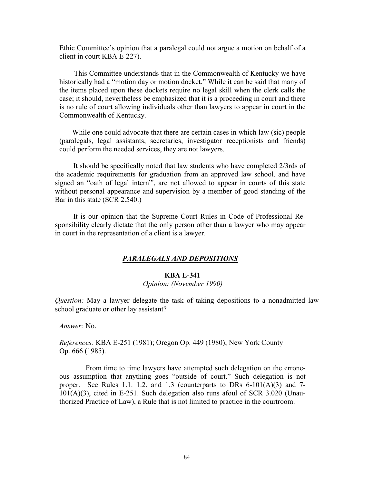Ethic Committee's opinion that a paralegal could not argue a motion on behalf of a client in court KBA E-227).

 This Committee understands that in the Commonwealth of Kentucky we have historically had a "motion day or motion docket." While it can be said that many of the items placed upon these dockets require no legal skill when the clerk calls the case; it should, nevertheless be emphasized that it is a proceeding in court and there is no rule of court allowing individuals other than lawyers to appear in court in the Commonwealth of Kentucky.

 While one could advocate that there are certain cases in which law (sic) people (paralegals, legal assistants, secretaries, investigator receptionists and friends) could perform the needed services, they are not lawyers.

 It should be specifically noted that law students who have completed 2/3rds of the academic requirements for graduation from an approved law school. and have signed an "oath of legal intern"', are not allowed to appear in courts of this state without personal appearance and supervision by a member of good standing of the Bar in this state (SCR 2.540.)

 It is our opinion that the Supreme Court Rules in Code of Professional Responsibility clearly dictate that the only person other than a lawyer who may appear in court in the representation of a client is a lawyer.

## *PARALEGALS AND DEPOSITIONS*

#### **KBA E-341**

#### *Opinion: (November 1990)*

*Question:* May a lawyer delegate the task of taking depositions to a nonadmitted law school graduate or other lay assistant?

*Answer:* No.

*References:* KBA E-251 (1981); Oregon Op. 449 (1980); New York County Op. 666 (1985).

From time to time lawyers have attempted such delegation on the erroneous assumption that anything goes "outside of court." Such delegation is not proper. See Rules 1.1. 1.2. and 1.3 (counterparts to DRs  $6-101(A)(3)$  and 7-101(A)(3), cited in E-251. Such delegation also runs afoul of SCR 3.020 (Unauthorized Practice of Law), a Rule that is not limited to practice in the courtroom.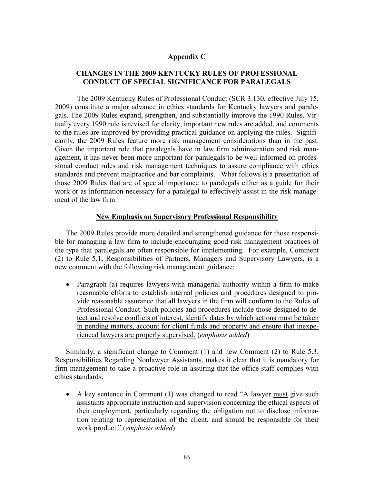## **Appendix C**

## **CHANGES IN THE 2009 KENTUCKY RULES OF PROFESSIONAL CONDUCT OF SPECIAL SIGNIFICANCE FOR PARALEGALS**

The 2009 Kentucky Rules of Professional Conduct (SCR 3.130, effective July 15, 2009) constitute a major advance in ethics standards for Kentucky lawyers and paralegals. The 2009 Rules expand, strengthen, and substantially improve the 1990 Rules. Virtually every 1990 rule is revised for clarity, important new rules are added, and comments to the rules are improved by providing practical guidance on applying the rules. Significantly, the 2009 Rules feature more risk management considerations than in the past. Given the important role that paralegals have in law firm administration and risk management, it has never been more important for paralegals to be well informed on professional conduct rules and risk management techniques to assure compliance with ethics standards and prevent malpractice and bar complaints. What follows is a presentation of those 2009 Rules that are of special importance to paralegals either as a guide for their work or as information necessary for a paralegal to effectively assist in the risk management of the law firm.

#### **New Emphasis on Supervisory Professional Responsibility**

The 2009 Rules provide more detailed and strengthened guidance for those responsible for managing a law firm to include encouraging good risk management practices of the type that paralegals are often responsible for implementing. For example, Comment (2) to Rule 5.1, Responsibilities of Partners, Managers and Supervisory Lawyers, is a new comment with the following risk management guidance:

 Paragraph (a) requires lawyers with managerial authority within a firm to make reasonable efforts to establish internal policies and procedures designed to provide reasonable assurance that all lawyers in the firm will conform to the Rules of Professional Conduct. Such policies and procedures include those designed to detect and resolve conflicts of interest, identify dates by which actions must be taken in pending matters, account for client funds and property and ensure that inexperienced lawyers are properly supervised. (*emphasis added*)

Similarly, a significant change to Comment (1) and new Comment (2) to Rule 5.3, Responsibilities Regarding Nonlawyer Assistants, makes it clear that it is mandatory for firm management to take a proactive role in assuring that the office staff complies with ethics standards:

 A key sentence in Comment (1) was changed to read "A lawyer must give such assistants appropriate instruction and supervision concerning the ethical aspects of their employment, particularly regarding the obligation not to disclose information relating to representation of the client, and should be responsible for their work product." (*emphasis added*)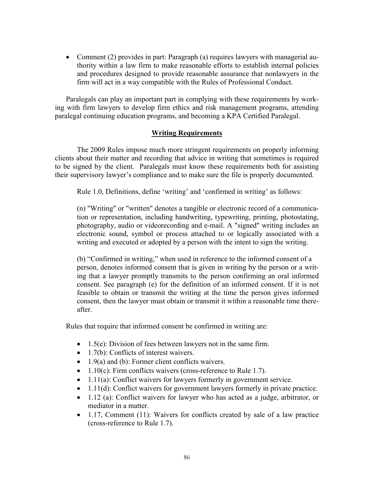• Comment (2) provides in part: Paragraph (a) requires lawyers with managerial authority within a law firm to make reasonable efforts to establish internal policies and procedures designed to provide reasonable assurance that nonlawyers in the firm will act in a way compatible with the Rules of Professional Conduct.

Paralegals can play an important part in complying with these requirements by working with firm lawyers to develop firm ethics and risk management programs, attending paralegal continuing education programs, and becoming a KPA Certified Paralegal.

## **Writing Requirements**

The 2009 Rules impose much more stringent requirements on properly informing clients about their matter and recording that advice in writing that sometimes is required to be signed by the client. Paralegals must know these requirements both for assisting their supervisory lawyer's compliance and to make sure the file is properly documented.

Rule 1.0, Definitions, define 'writing' and 'confirmed in writing' as follows:

(n) "Writing" or "written" denotes a tangible or electronic record of a communication or representation, including handwriting, typewriting, printing, photostating, photography, audio or videorecording and e-mail. A "signed" writing includes an electronic sound, symbol or process attached to or logically associated with a writing and executed or adopted by a person with the intent to sign the writing.

(b) "Confirmed in writing," when used in reference to the informed consent of a person, denotes informed consent that is given in writing by the person or a writing that a lawyer promptly transmits to the person confirming an oral informed consent. See paragraph (e) for the definition of an informed consent. If it is not feasible to obtain or transmit the writing at the time the person gives informed consent, then the lawyer must obtain or transmit it within a reasonable time thereafter.

Rules that require that informed consent be confirmed in writing are:

- $\bullet$  1.5(e): Division of fees between lawyers not in the same firm.
- $\bullet$  1.7(b): Conflicts of interest waivers.
- $\bullet$  1.9(a) and (b): Former client conflicts waivers.
- $\bullet$  1.10(c): Firm conflicts waivers (cross-reference to Rule 1.7).
- $\bullet$  1.11(a): Conflict waivers for lawyers formerly in government service.
- 1.11(d): Conflict waivers for government lawyers formerly in private practice.
- 1.12 (a): Conflict waivers for lawyer who has acted as a judge, arbitrator, or mediator in a matter.
- 1.17, Comment (11): Waivers for conflicts created by sale of a law practice (cross-reference to Rule 1.7).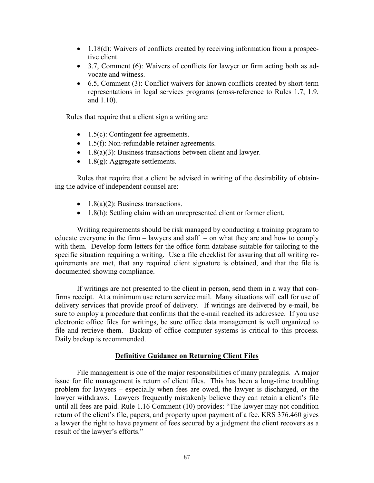- 1.18(d): Waivers of conflicts created by receiving information from a prospective client.
- 3.7, Comment (6): Waivers of conflicts for lawyer or firm acting both as advocate and witness.
- 6.5, Comment (3): Conflict waivers for known conflicts created by short-term representations in legal services programs (cross-reference to Rules 1.7, 1.9, and 1.10).

Rules that require that a client sign a writing are:

- $\bullet$  1.5(c): Contingent fee agreements.
- $\bullet$  1.5(f): Non-refundable retainer agreements.
- $\bullet$  1.8(a)(3): Business transactions between client and lawyer.
- $\bullet$  1.8(g): Aggregate settlements.

Rules that require that a client be advised in writing of the desirability of obtaining the advice of independent counsel are:

- $1.8(a)(2)$ : Business transactions.
- 1.8(h): Settling claim with an unrepresented client or former client.

Writing requirements should be risk managed by conducting a training program to educate everyone in the firm – lawyers and staff – on what they are and how to comply with them. Develop form letters for the office form database suitable for tailoring to the specific situation requiring a writing. Use a file checklist for assuring that all writing requirements are met, that any required client signature is obtained, and that the file is documented showing compliance.

If writings are not presented to the client in person, send them in a way that confirms receipt. At a minimum use return service mail. Many situations will call for use of delivery services that provide proof of delivery. If writings are delivered by e-mail, be sure to employ a procedure that confirms that the e-mail reached its addressee. If you use electronic office files for writings, be sure office data management is well organized to file and retrieve them. Backup of office computer systems is critical to this process. Daily backup is recommended.

#### **Definitive Guidance on Returning Client Files**

File management is one of the major responsibilities of many paralegals. A major issue for file management is return of client files. This has been a long-time troubling problem for lawyers – especially when fees are owed, the lawyer is discharged, or the lawyer withdraws. Lawyers frequently mistakenly believe they can retain a client's file until all fees are paid. Rule 1.16 Comment (10) provides: "The lawyer may not condition return of the client's file, papers, and property upon payment of a fee. KRS 376.460 gives a lawyer the right to have payment of fees secured by a judgment the client recovers as a result of the lawyer's efforts."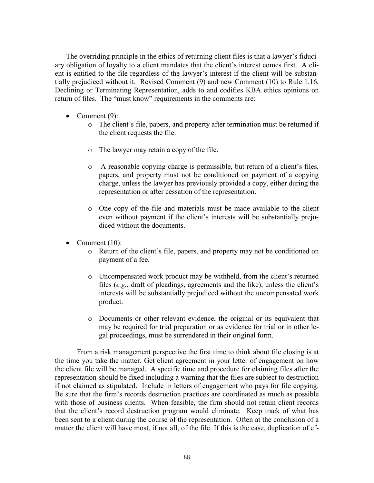The overriding principle in the ethics of returning client files is that a lawyer's fiduciary obligation of loyalty to a client mandates that the client's interest comes first. A client is entitled to the file regardless of the lawyer's interest if the client will be substantially prejudiced without it. Revised Comment (9) and new Comment (10) to Rule 1.16, Declining or Terminating Representation, adds to and codifies KBA ethics opinions on return of files. The "must know" requirements in the comments are:

- Comment  $(9)$ :
	- o The client's file, papers, and property after termination must be returned if the client requests the file.
	- o The lawyer may retain a copy of the file.
	- o A reasonable copying charge is permissible, but return of a client's files, papers, and property must not be conditioned on payment of a copying charge, unless the lawyer has previously provided a copy, either during the representation or after cessation of the representation.
	- o One copy of the file and materials must be made available to the client even without payment if the client's interests will be substantially prejudiced without the documents.
- Comment  $(10)$ :
	- o Return of the client's file, papers, and property may not be conditioned on payment of a fee.
	- o Uncompensated work product may be withheld, from the client's returned files (*e.g.*, draft of pleadings, agreements and the like), unless the client's interests will be substantially prejudiced without the uncompensated work product.
	- o Documents or other relevant evidence, the original or its equivalent that may be required for trial preparation or as evidence for trial or in other legal proceedings, must be surrendered in their original form.

From a risk management perspective the first time to think about file closing is at the time you take the matter. Get client agreement in your letter of engagement on how the client file will be managed. A specific time and procedure for claiming files after the representation should be fixed including a warning that the files are subject to destruction if not claimed as stipulated. Include in letters of engagement who pays for file copying. Be sure that the firm's records destruction practices are coordinated as much as possible with those of business clients. When feasible, the firm should not retain client records that the client's record destruction program would eliminate. Keep track of what has been sent to a client during the course of the representation. Often at the conclusion of a matter the client will have most, if not all, of the file. If this is the case, duplication of ef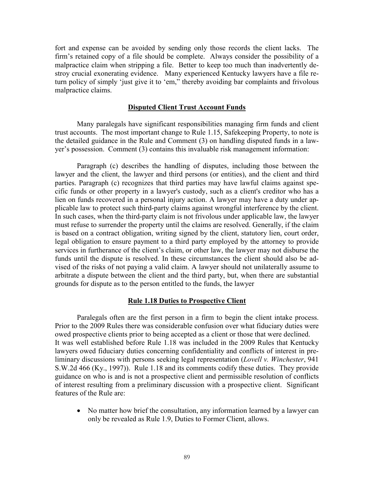fort and expense can be avoided by sending only those records the client lacks. The firm's retained copy of a file should be complete. Always consider the possibility of a malpractice claim when stripping a file. Better to keep too much than inadvertently destroy crucial exonerating evidence. Many experienced Kentucky lawyers have a file return policy of simply 'just give it to 'em," thereby avoiding bar complaints and frivolous malpractice claims.

## **Disputed Client Trust Account Funds**

Many paralegals have significant responsibilities managing firm funds and client trust accounts. The most important change to Rule 1.15, Safekeeping Property, to note is the detailed guidance in the Rule and Comment (3) on handling disputed funds in a lawyer's possession. Comment (3) contains this invaluable risk management information:

Paragraph (c) describes the handling of disputes, including those between the lawyer and the client, the lawyer and third persons (or entities), and the client and third parties. Paragraph (c) recognizes that third parties may have lawful claims against specific funds or other property in a lawyer's custody, such as a client's creditor who has a lien on funds recovered in a personal injury action. A lawyer may have a duty under applicable law to protect such third-party claims against wrongful interference by the client. In such cases, when the third-party claim is not frivolous under applicable law, the lawyer must refuse to surrender the property until the claims are resolved. Generally, if the claim is based on a contract obligation, writing signed by the client, statutory lien, court order, legal obligation to ensure payment to a third party employed by the attorney to provide services in furtherance of the client's claim, or other law, the lawyer may not disburse the funds until the dispute is resolved. In these circumstances the client should also be advised of the risks of not paying a valid claim. A lawyer should not unilaterally assume to arbitrate a dispute between the client and the third party, but, when there are substantial grounds for dispute as to the person entitled to the funds, the lawyer

#### **Rule 1.18 Duties to Prospective Client**

Paralegals often are the first person in a firm to begin the client intake process. Prior to the 2009 Rules there was considerable confusion over what fiduciary duties were owed prospective clients prior to being accepted as a client or those that were declined. It was well established before Rule 1.18 was included in the 2009 Rules that Kentucky lawyers owed fiduciary duties concerning confidentiality and conflicts of interest in preliminary discussions with persons seeking legal representation (*Lovell v. Winchester*, 941 S.W.2d 466 (Ky., 1997)). Rule 1.18 and its comments codify these duties. They provide guidance on who is and is not a prospective client and permissible resolution of conflicts of interest resulting from a preliminary discussion with a prospective client. Significant features of the Rule are:

 No matter how brief the consultation, any information learned by a lawyer can only be revealed as Rule 1.9, Duties to Former Client, allows.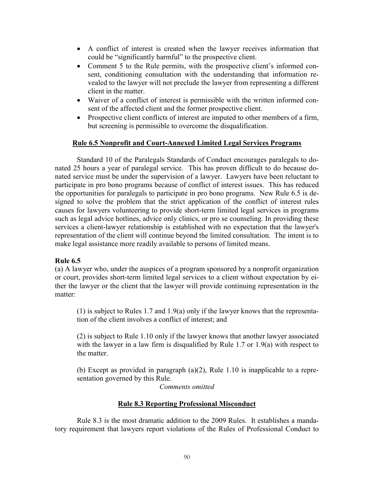- A conflict of interest is created when the lawyer receives information that could be "significantly harmful" to the prospective client.
- Comment 5 to the Rule permits, with the prospective client's informed consent, conditioning consultation with the understanding that information revealed to the lawyer will not preclude the lawyer from representing a different client in the matter.
- Waiver of a conflict of interest is permissible with the written informed consent of the affected client and the former prospective client.
- Prospective client conflicts of interest are imputed to other members of a firm, but screening is permissible to overcome the disqualification.

## **Rule 6.5 Nonprofit and Court-Annexed Limited Legal Services Programs**

Standard 10 of the Paralegals Standards of Conduct encourages paralegals to donated 25 hours a year of paralegal service. This has proven difficult to do because donated service must be under the supervision of a lawyer. Lawyers have been reluctant to participate in pro bono programs because of conflict of interest issues. This has reduced the opportunities for paralegals to participate in pro bono programs. New Rule 6.5 is designed to solve the problem that the strict application of the conflict of interest rules causes for lawyers volunteering to provide short-term limited legal services in programs such as legal advice hotlines, advice only clinics, or pro se counseling. In providing these services a client-lawyer relationship is established with no expectation that the lawyer's representation of the client will continue beyond the limited consultation. The intent is to make legal assistance more readily available to persons of limited means.

## **Rule 6.5**

(a) A lawyer who, under the auspices of a program sponsored by a nonprofit organization or court, provides short-term limited legal services to a client without expectation by either the lawyer or the client that the lawyer will provide continuing representation in the matter:

(1) is subject to Rules 1.7 and 1.9(a) only if the lawyer knows that the representation of the client involves a conflict of interest; and

(2) is subject to Rule 1.10 only if the lawyer knows that another lawyer associated with the lawyer in a law firm is disqualified by Rule 1.7 or 1.9(a) with respect to the matter.

(b) Except as provided in paragraph (a)(2), Rule 1.10 is inapplicable to a representation governed by this Rule.

*Comments omitted*

## **Rule 8.3 Reporting Professional Misconduct**

Rule 8.3 is the most dramatic addition to the 2009 Rules. It establishes a mandatory requirement that lawyers report violations of the Rules of Professional Conduct to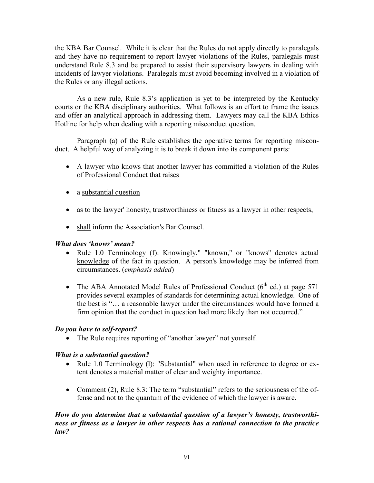the KBA Bar Counsel. While it is clear that the Rules do not apply directly to paralegals and they have no requirement to report lawyer violations of the Rules, paralegals must understand Rule 8.3 and be prepared to assist their supervisory lawyers in dealing with incidents of lawyer violations. Paralegals must avoid becoming involved in a violation of the Rules or any illegal actions.

As a new rule, Rule 8.3's application is yet to be interpreted by the Kentucky courts or the KBA disciplinary authorities. What follows is an effort to frame the issues and offer an analytical approach in addressing them. Lawyers may call the KBA Ethics Hotline for help when dealing with a reporting misconduct question.

Paragraph (a) of the Rule establishes the operative terms for reporting misconduct. A helpful way of analyzing it is to break it down into its component parts:

- A lawyer who knows that another lawyer has committed a violation of the Rules of Professional Conduct that raises
- a substantial question
- as to the lawyer' honesty, trustworthiness or fitness as a lawyer in other respects,
- shall inform the Association's Bar Counsel.

# *What does 'knows' mean?*

- Rule 1.0 Terminology (f): Knowingly," "known," or "knows" denotes actual knowledge of the fact in question. A person's knowledge may be inferred from circumstances. (*emphasis added*)
- The ABA Annotated Model Rules of Professional Conduct ( $6<sup>th</sup>$  ed.) at page 571 provides several examples of standards for determining actual knowledge. One of the best is "… a reasonable lawyer under the circumstances would have formed a firm opinion that the conduct in question had more likely than not occurred."

# *Do you have to self-report?*

• The Rule requires reporting of "another lawyer" not yourself.

# *What is a substantial question?*

- Rule 1.0 Terminology (1): "Substantial" when used in reference to degree or extent denotes a material matter of clear and weighty importance.
- Comment (2), Rule 8.3: The term "substantial" refers to the seriousness of the offense and not to the quantum of the evidence of which the lawyer is aware.

## *How do you determine that a substantial question of a lawyer's honesty, trustworthiness or fitness as a lawyer in other respects has a rational connection to the practice law?*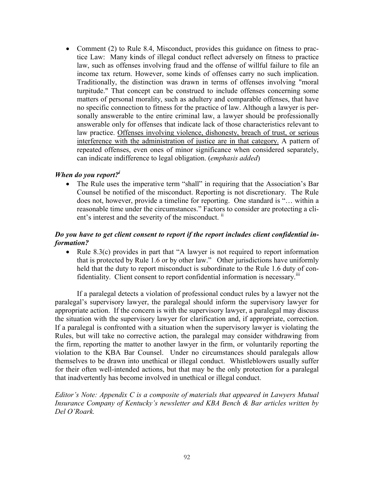• Comment (2) to Rule 8.4, Misconduct, provides this guidance on fitness to practice Law: Many kinds of illegal conduct reflect adversely on fitness to practice law, such as offenses involving fraud and the offense of willful failure to file an income tax return. However, some kinds of offenses carry no such implication. Traditionally, the distinction was drawn in terms of offenses involving "moral turpitude." That concept can be construed to include offenses concerning some matters of personal morality, such as adultery and comparable offenses, that have no specific connection to fitness for the practice of law. Although a lawyer is personally answerable to the entire criminal law, a lawyer should be professionally answerable only for offenses that indicate lack of those characteristics relevant to law practice. Offenses involving violence, dishonesty, breach of trust, or serious interference with the administration of justice are in that category. A pattern of repeated offenses, even ones of minor significance when considered separately, can indicate indifference to legal obligation. (*emphasis added*)

## *When do you report?<sup>i</sup>*

• The Rule uses the imperative term "shall" in requiring that the Association's Bar Counsel be notified of the misconduct. Reporting is not discretionary. The Rule does not, however, provide a timeline for reporting. One standard is "… within a reasonable time under the circumstances." Factors to consider are protecting a client's interest and the severity of the misconduct.  $\mathbf{u}$ 

# *Do you have to get client consent to report if the report includes client confidential information?*

• Rule 8.3(c) provides in part that "A lawyer is not required to report information that is protected by Rule 1.6 or by other law." Other jurisdictions have uniformly held that the duty to report misconduct is subordinate to the Rule 1.6 duty of confidentiality. Client consent to report confidential information is necessary.<sup>iii</sup>

If a paralegal detects a violation of professional conduct rules by a lawyer not the paralegal's supervisory lawyer, the paralegal should inform the supervisory lawyer for appropriate action. If the concern is with the supervisory lawyer, a paralegal may discuss the situation with the supervisory lawyer for clarification and, if appropriate, correction. If a paralegal is confronted with a situation when the supervisory lawyer is violating the Rules, but will take no corrective action, the paralegal may consider withdrawing from the firm, reporting the matter to another lawyer in the firm, or voluntarily reporting the violation to the KBA Bar Counsel. Under no circumstances should paralegals allow themselves to be drawn into unethical or illegal conduct. Whistleblowers usually suffer for their often well-intended actions, but that may be the only protection for a paralegal that inadvertently has become involved in unethical or illegal conduct.

*Editor's Note: Appendix C is a composite of materials that appeared in Lawyers Mutual Insurance Company of Kentucky's newsletter and KBA Bench & Bar articles written by Del O'Roark.*